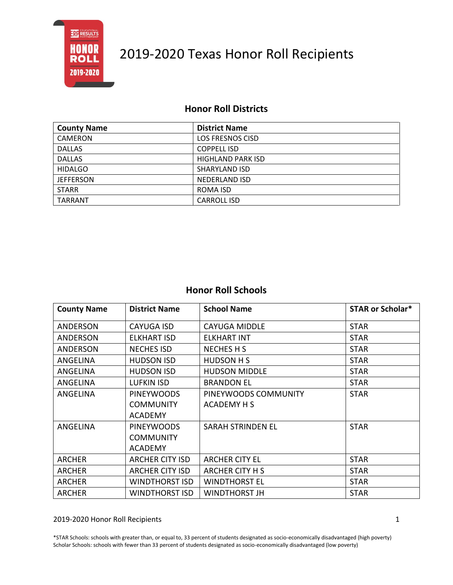

### **Honor Roll Districts**

| <b>County Name</b> | <b>District Name</b>     |
|--------------------|--------------------------|
| CAMERON            | <b>LOS FRESNOS CISD</b>  |
| <b>DALLAS</b>      | <b>COPPELL ISD</b>       |
| <b>DALLAS</b>      | <b>HIGHLAND PARK ISD</b> |
| <b>HIDALGO</b>     | SHARYLAND ISD            |
| <b>JEFFERSON</b>   | NEDERLAND ISD            |
| <b>STARR</b>       | ROMA ISD                 |
| TARRANT            | <b>CARROLL ISD</b>       |

### **Honor Roll Schools**

| <b>County Name</b> | <b>District Name</b>   | <b>School Name</b>       | <b>STAR or Scholar*</b> |
|--------------------|------------------------|--------------------------|-------------------------|
| <b>ANDERSON</b>    | <b>CAYUGA ISD</b>      | <b>CAYUGA MIDDLE</b>     | <b>STAR</b>             |
| ANDERSON           | ELKHART ISD            | ELKHART INT              | <b>STAR</b>             |
| <b>ANDERSON</b>    | <b>NECHES ISD</b>      | <b>NECHES H S</b>        | <b>STAR</b>             |
| ANGELINA           | <b>HUDSON ISD</b>      | <b>HUDSON H S</b>        | <b>STAR</b>             |
| ANGELINA           | <b>HUDSON ISD</b>      | <b>HUDSON MIDDLE</b>     | <b>STAR</b>             |
| ANGELINA           | <b>LUFKIN ISD</b>      | <b>BRANDON EL</b>        | <b>STAR</b>             |
| ANGELINA           | <b>PINEYWOODS</b>      | PINEYWOODS COMMUNITY     | <b>STAR</b>             |
|                    | <b>COMMUNITY</b>       | <b>ACADEMY H S</b>       |                         |
|                    | <b>ACADEMY</b>         |                          |                         |
| ANGELINA           | <b>PINEYWOODS</b>      | <b>SARAH STRINDEN EL</b> | <b>STAR</b>             |
|                    | <b>COMMUNITY</b>       |                          |                         |
|                    | <b>ACADEMY</b>         |                          |                         |
| <b>ARCHER</b>      | <b>ARCHER CITY ISD</b> | <b>ARCHER CITY EL</b>    | <b>STAR</b>             |
| <b>ARCHER</b>      | <b>ARCHER CITY ISD</b> | ARCHER CITY H S          | <b>STAR</b>             |
| <b>ARCHER</b>      | WINDTHORST ISD         | <b>WINDTHORST EL</b>     | <b>STAR</b>             |
| <b>ARCHER</b>      | <b>WINDTHORST ISD</b>  | <b>WINDTHORST JH</b>     | <b>STAR</b>             |

#### 2019-2020 Honor Roll Recipients 1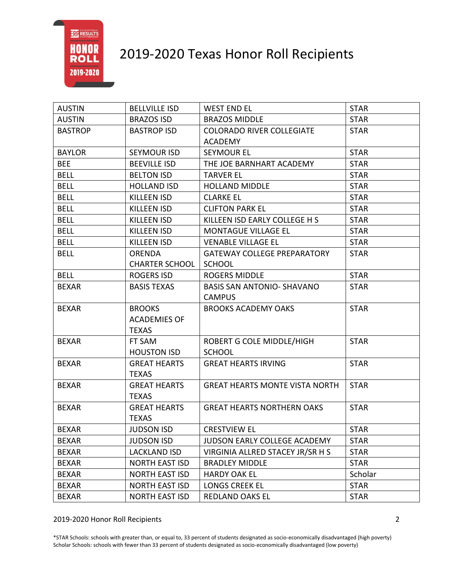

| <b>AUSTIN</b>  | <b>BELLVILLE ISD</b>  | <b>WEST END EL</b>                    | <b>STAR</b> |
|----------------|-----------------------|---------------------------------------|-------------|
| <b>AUSTIN</b>  | <b>BRAZOS ISD</b>     | <b>BRAZOS MIDDLE</b>                  | <b>STAR</b> |
| <b>BASTROP</b> | <b>BASTROP ISD</b>    | <b>COLORADO RIVER COLLEGIATE</b>      | <b>STAR</b> |
|                |                       | <b>ACADEMY</b>                        |             |
| <b>BAYLOR</b>  | <b>SEYMOUR ISD</b>    | <b>SEYMOUR EL</b>                     | <b>STAR</b> |
| <b>BEE</b>     | <b>BEEVILLE ISD</b>   | THE JOE BARNHART ACADEMY              | <b>STAR</b> |
| <b>BELL</b>    | <b>BELTON ISD</b>     | <b>TARVER EL</b>                      | <b>STAR</b> |
| <b>BELL</b>    | <b>HOLLAND ISD</b>    | <b>HOLLAND MIDDLE</b>                 | <b>STAR</b> |
| <b>BELL</b>    | <b>KILLEEN ISD</b>    | <b>CLARKE EL</b>                      | <b>STAR</b> |
| <b>BELL</b>    | <b>KILLEEN ISD</b>    | <b>CLIFTON PARK EL</b>                | <b>STAR</b> |
| <b>BELL</b>    | <b>KILLEEN ISD</b>    | KILLEEN ISD EARLY COLLEGE H S         | <b>STAR</b> |
| <b>BELL</b>    | KILLEEN ISD           | <b>MONTAGUE VILLAGE EL</b>            | <b>STAR</b> |
| <b>BELL</b>    | <b>KILLEEN ISD</b>    | <b>VENABLE VILLAGE EL</b>             | <b>STAR</b> |
| <b>BELL</b>    | <b>ORENDA</b>         | <b>GATEWAY COLLEGE PREPARATORY</b>    | <b>STAR</b> |
|                | <b>CHARTER SCHOOL</b> | <b>SCHOOL</b>                         |             |
| <b>BELL</b>    | <b>ROGERS ISD</b>     | <b>ROGERS MIDDLE</b>                  | <b>STAR</b> |
| <b>BEXAR</b>   | <b>BASIS TEXAS</b>    | <b>BASIS SAN ANTONIO- SHAVANO</b>     | <b>STAR</b> |
|                |                       | <b>CAMPUS</b>                         |             |
| <b>BEXAR</b>   | <b>BROOKS</b>         | <b>BROOKS ACADEMY OAKS</b>            | <b>STAR</b> |
|                | <b>ACADEMIES OF</b>   |                                       |             |
|                | <b>TEXAS</b>          |                                       |             |
| <b>BEXAR</b>   | FT SAM                | ROBERT G COLE MIDDLE/HIGH             | <b>STAR</b> |
|                | <b>HOUSTON ISD</b>    | <b>SCHOOL</b>                         |             |
| <b>BEXAR</b>   | <b>GREAT HEARTS</b>   | <b>GREAT HEARTS IRVING</b>            | <b>STAR</b> |
|                | <b>TEXAS</b>          |                                       |             |
| <b>BEXAR</b>   | <b>GREAT HEARTS</b>   | <b>GREAT HEARTS MONTE VISTA NORTH</b> | <b>STAR</b> |
|                | <b>TEXAS</b>          |                                       |             |
| <b>BEXAR</b>   | <b>GREAT HEARTS</b>   | <b>GREAT HEARTS NORTHERN OAKS</b>     | <b>STAR</b> |
|                | <b>TEXAS</b>          |                                       |             |
| <b>BEXAR</b>   | <b>JUDSON ISD</b>     | <b>CRESTVIEW EL</b>                   | <b>STAR</b> |
| <b>BEXAR</b>   | <b>JUDSON ISD</b>     | JUDSON EARLY COLLEGE ACADEMY          | <b>STAR</b> |
| <b>BEXAR</b>   | <b>LACKLAND ISD</b>   | VIRGINIA ALLRED STACEY JR/SR H S      | <b>STAR</b> |
| <b>BEXAR</b>   | <b>NORTH EAST ISD</b> | <b>BRADLEY MIDDLE</b>                 | <b>STAR</b> |
| <b>BEXAR</b>   | <b>NORTH EAST ISD</b> | <b>HARDY OAK EL</b>                   | Scholar     |
| <b>BEXAR</b>   | <b>NORTH EAST ISD</b> | <b>LONGS CREEK EL</b>                 | <b>STAR</b> |
| <b>BEXAR</b>   | <b>NORTH EAST ISD</b> | <b>REDLAND OAKS EL</b>                | <b>STAR</b> |

2019-2020 Honor Roll Recipients 2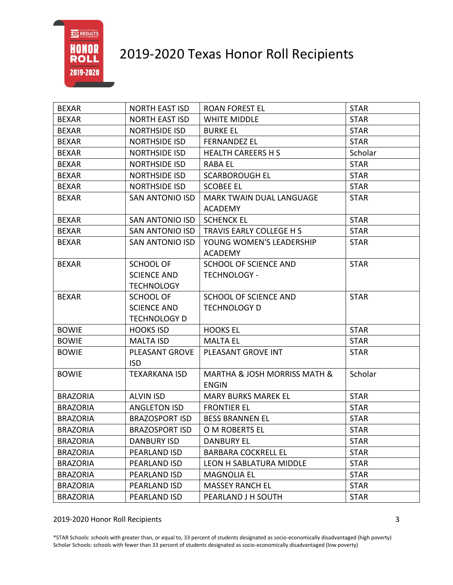# 2019-2020 Texas Honor Roll Recipients

| <b>BEXAR</b>    | <b>NORTH EAST ISD</b>  | <b>ROAN FOREST EL</b>                       | <b>STAR</b> |
|-----------------|------------------------|---------------------------------------------|-------------|
| <b>BEXAR</b>    | <b>NORTH EAST ISD</b>  | <b>WHITE MIDDLE</b>                         | <b>STAR</b> |
| <b>BEXAR</b>    | <b>NORTHSIDE ISD</b>   | <b>BURKE EL</b>                             | <b>STAR</b> |
| <b>BEXAR</b>    | <b>NORTHSIDE ISD</b>   | <b>FERNANDEZ EL</b>                         | <b>STAR</b> |
| <b>BEXAR</b>    | <b>NORTHSIDE ISD</b>   | <b>HEALTH CAREERS H S</b>                   | Scholar     |
| <b>BEXAR</b>    | <b>NORTHSIDE ISD</b>   | <b>RABA EL</b>                              | <b>STAR</b> |
| <b>BEXAR</b>    | <b>NORTHSIDE ISD</b>   | <b>SCARBOROUGH EL</b>                       | <b>STAR</b> |
| <b>BEXAR</b>    | <b>NORTHSIDE ISD</b>   | <b>SCOBEE EL</b>                            | <b>STAR</b> |
| <b>BEXAR</b>    | <b>SAN ANTONIO ISD</b> | <b>MARK TWAIN DUAL LANGUAGE</b>             | <b>STAR</b> |
|                 |                        | ACADEMY                                     |             |
| <b>BEXAR</b>    | SAN ANTONIO ISD        | <b>SCHENCK EL</b>                           | <b>STAR</b> |
| <b>BEXAR</b>    | SAN ANTONIO ISD        | TRAVIS EARLY COLLEGE H S                    | <b>STAR</b> |
| <b>BEXAR</b>    | SAN ANTONIO ISD        | YOUNG WOMEN'S LEADERSHIP                    | <b>STAR</b> |
|                 |                        | <b>ACADEMY</b>                              |             |
| <b>BEXAR</b>    | SCHOOL OF              | <b>SCHOOL OF SCIENCE AND</b>                | <b>STAR</b> |
|                 | <b>SCIENCE AND</b>     | <b>TECHNOLOGY -</b>                         |             |
|                 | <b>TECHNOLOGY</b>      |                                             |             |
| <b>BEXAR</b>    | <b>SCHOOL OF</b>       | <b>SCHOOL OF SCIENCE AND</b>                | <b>STAR</b> |
|                 | <b>SCIENCE AND</b>     | <b>TECHNOLOGY D</b>                         |             |
|                 | <b>TECHNOLOGY D</b>    |                                             |             |
| <b>BOWIE</b>    | <b>HOOKS ISD</b>       | <b>HOOKS EL</b>                             | <b>STAR</b> |
| <b>BOWIE</b>    | <b>MALTA ISD</b>       | <b>MALTA EL</b>                             | <b>STAR</b> |
| <b>BOWIE</b>    | PLEASANT GROVE         | PLEASANT GROVE INT                          | <b>STAR</b> |
|                 | <b>ISD</b>             |                                             |             |
| <b>BOWIE</b>    | <b>TEXARKANA ISD</b>   | <b>MARTHA &amp; JOSH MORRISS MATH &amp;</b> | Scholar     |
|                 |                        | <b>ENGIN</b>                                |             |
| <b>BRAZORIA</b> | <b>ALVIN ISD</b>       | <b>MARY BURKS MAREK EL</b>                  | <b>STAR</b> |
| <b>BRAZORIA</b> | <b>ANGLETON ISD</b>    | <b>FRONTIER EL</b>                          | <b>STAR</b> |
| <b>BRAZORIA</b> | <b>BRAZOSPORT ISD</b>  | <b>BESS BRANNEN EL</b>                      | <b>STAR</b> |
| <b>BRAZORIA</b> | <b>BRAZOSPORT ISD</b>  | O M ROBERTS EL                              | <b>STAR</b> |
| <b>BRAZORIA</b> | DANBURY ISD            | <b>DANBURY EL</b>                           | <b>STAR</b> |
| <b>BRAZORIA</b> | PEARLAND ISD           | <b>BARBARA COCKRELL EL</b>                  | <b>STAR</b> |
| <b>BRAZORIA</b> | PEARLAND ISD           | <b>LEON H SABLATURA MIDDLE</b>              | <b>STAR</b> |
| <b>BRAZORIA</b> | PEARLAND ISD           | <b>MAGNOLIA EL</b>                          | <b>STAR</b> |
| <b>BRAZORIA</b> | PEARLAND ISD           | <b>MASSEY RANCH EL</b>                      | <b>STAR</b> |
| <b>BRAZORIA</b> | PEARLAND ISD           | PEARLAND J H SOUTH                          | <b>STAR</b> |

2019-2020 Honor Roll Recipients 3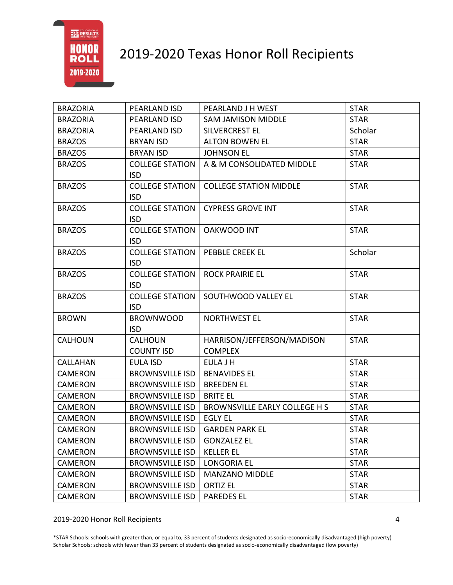

| <b>BRAZORIA</b> | PEARLAND ISD           | PEARLAND J H WEST             | <b>STAR</b> |
|-----------------|------------------------|-------------------------------|-------------|
| <b>BRAZORIA</b> | PEARLAND ISD           | <b>SAM JAMISON MIDDLE</b>     | <b>STAR</b> |
| <b>BRAZORIA</b> | PEARLAND ISD           | SILVERCREST EL                | Scholar     |
| <b>BRAZOS</b>   | <b>BRYAN ISD</b>       | <b>ALTON BOWEN EL</b>         | <b>STAR</b> |
| <b>BRAZOS</b>   | <b>BRYAN ISD</b>       | <b>JOHNSON EL</b>             | <b>STAR</b> |
| <b>BRAZOS</b>   | <b>COLLEGE STATION</b> | A & M CONSOLIDATED MIDDLE     | <b>STAR</b> |
|                 | <b>ISD</b>             |                               |             |
| <b>BRAZOS</b>   | <b>COLLEGE STATION</b> | <b>COLLEGE STATION MIDDLE</b> | <b>STAR</b> |
|                 | <b>ISD</b>             |                               |             |
| <b>BRAZOS</b>   | <b>COLLEGE STATION</b> | <b>CYPRESS GROVE INT</b>      | <b>STAR</b> |
|                 | <b>ISD</b>             |                               |             |
| <b>BRAZOS</b>   | <b>COLLEGE STATION</b> | <b>OAKWOOD INT</b>            | <b>STAR</b> |
|                 | <b>ISD</b>             |                               |             |
| <b>BRAZOS</b>   | <b>COLLEGE STATION</b> | <b>PEBBLE CREEK EL</b>        | Scholar     |
|                 | <b>ISD</b>             |                               |             |
| <b>BRAZOS</b>   | <b>COLLEGE STATION</b> | <b>ROCK PRAIRIE EL</b>        | <b>STAR</b> |
|                 | <b>ISD</b>             |                               |             |
| <b>BRAZOS</b>   | <b>COLLEGE STATION</b> | SOUTHWOOD VALLEY EL           | <b>STAR</b> |
|                 | <b>ISD</b>             |                               |             |
| <b>BROWN</b>    | <b>BROWNWOOD</b>       | <b>NORTHWEST EL</b>           | <b>STAR</b> |
|                 | <b>ISD</b>             |                               |             |
| <b>CALHOUN</b>  | <b>CALHOUN</b>         | HARRISON/JEFFERSON/MADISON    | <b>STAR</b> |
|                 | <b>COUNTY ISD</b>      | <b>COMPLEX</b>                |             |
| <b>CALLAHAN</b> | <b>EULA ISD</b>        | <b>EULA J H</b>               | <b>STAR</b> |
| CAMERON         | <b>BROWNSVILLE ISD</b> | <b>BENAVIDES EL</b>           | <b>STAR</b> |
| <b>CAMERON</b>  | <b>BROWNSVILLE ISD</b> | <b>BREEDEN EL</b>             | <b>STAR</b> |
| <b>CAMERON</b>  | <b>BROWNSVILLE ISD</b> | <b>BRITE EL</b>               | <b>STAR</b> |
| <b>CAMERON</b>  | <b>BROWNSVILLE ISD</b> | BROWNSVILLE EARLY COLLEGE H S | <b>STAR</b> |
| <b>CAMERON</b>  | <b>BROWNSVILLE ISD</b> | <b>EGLY EL</b>                | <b>STAR</b> |
| <b>CAMERON</b>  | <b>BROWNSVILLE ISD</b> | <b>GARDEN PARK EL</b>         | <b>STAR</b> |
| CAMERON         | <b>BROWNSVILLE ISD</b> | <b>GONZALEZ EL</b>            | <b>STAR</b> |
| CAMERON         | <b>BROWNSVILLE ISD</b> | <b>KELLER EL</b>              | <b>STAR</b> |
| <b>CAMERON</b>  | <b>BROWNSVILLE ISD</b> | <b>LONGORIA EL</b>            | <b>STAR</b> |
| CAMERON         | <b>BROWNSVILLE ISD</b> | <b>MANZANO MIDDLE</b>         | <b>STAR</b> |
| CAMERON         | <b>BROWNSVILLE ISD</b> | <b>ORTIZ EL</b>               | <b>STAR</b> |
| <b>CAMERON</b>  | <b>BROWNSVILLE ISD</b> | <b>PAREDES EL</b>             | <b>STAR</b> |

2019-2020 Honor Roll Recipients 4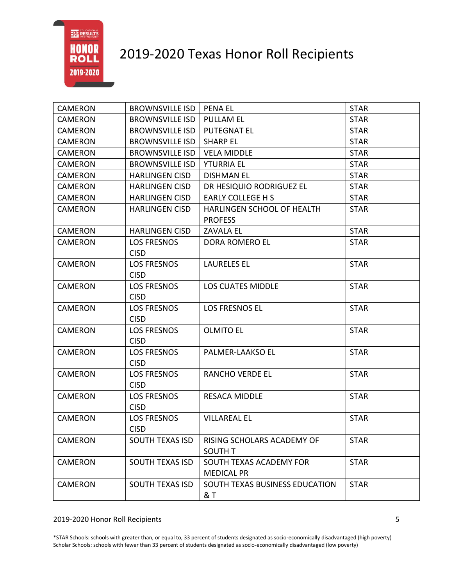

| <b>CAMERON</b> | <b>BROWNSVILLE ISD</b>            | <b>PENA EL</b>                               | <b>STAR</b> |
|----------------|-----------------------------------|----------------------------------------------|-------------|
| <b>CAMERON</b> | <b>BROWNSVILLE ISD</b>            | <b>PULLAM EL</b>                             | <b>STAR</b> |
| <b>CAMERON</b> | <b>BROWNSVILLE ISD</b>            | <b>PUTEGNAT EL</b>                           | <b>STAR</b> |
| <b>CAMERON</b> | <b>BROWNSVILLE ISD</b>            | <b>SHARP EL</b>                              | <b>STAR</b> |
| <b>CAMERON</b> | <b>BROWNSVILLE ISD</b>            | <b>VELA MIDDLE</b>                           | <b>STAR</b> |
| <b>CAMERON</b> | <b>BROWNSVILLE ISD</b>            | <b>YTURRIA EL</b>                            | <b>STAR</b> |
| <b>CAMERON</b> | <b>HARLINGEN CISD</b>             | <b>DISHMAN EL</b>                            | <b>STAR</b> |
| <b>CAMERON</b> | <b>HARLINGEN CISD</b>             | DR HESIQUIO RODRIGUEZ EL                     | <b>STAR</b> |
| <b>CAMERON</b> | <b>HARLINGEN CISD</b>             | <b>EARLY COLLEGE H S</b>                     | <b>STAR</b> |
| <b>CAMERON</b> | <b>HARLINGEN CISD</b>             | HARLINGEN SCHOOL OF HEALTH<br><b>PROFESS</b> | <b>STAR</b> |
| CAMERON        | <b>HARLINGEN CISD</b>             | <b>ZAVALA EL</b>                             | <b>STAR</b> |
| <b>CAMERON</b> | <b>LOS FRESNOS</b><br><b>CISD</b> | DORA ROMERO EL                               | <b>STAR</b> |
| <b>CAMERON</b> | <b>LOS FRESNOS</b><br><b>CISD</b> | <b>LAURELES EL</b>                           | <b>STAR</b> |
| <b>CAMERON</b> | <b>LOS FRESNOS</b><br><b>CISD</b> | <b>LOS CUATES MIDDLE</b>                     | <b>STAR</b> |
| <b>CAMERON</b> | <b>LOS FRESNOS</b><br><b>CISD</b> | <b>LOS FRESNOS EL</b>                        | <b>STAR</b> |
| <b>CAMERON</b> | <b>LOS FRESNOS</b><br><b>CISD</b> | <b>OLMITO EL</b>                             | <b>STAR</b> |
| <b>CAMERON</b> | <b>LOS FRESNOS</b><br><b>CISD</b> | PALMER-LAAKSO EL                             | <b>STAR</b> |
| <b>CAMERON</b> | <b>LOS FRESNOS</b><br><b>CISD</b> | <b>RANCHO VERDE EL</b>                       | <b>STAR</b> |
| <b>CAMERON</b> | <b>LOS FRESNOS</b><br><b>CISD</b> | <b>RESACA MIDDLE</b>                         | <b>STAR</b> |
| <b>CAMERON</b> | <b>LOS FRESNOS</b><br><b>CISD</b> | <b>VILLAREAL EL</b>                          | <b>STAR</b> |
| CAMERON        | <b>SOUTH TEXAS ISD</b>            | RISING SCHOLARS ACADEMY OF<br><b>SOUTH T</b> | <b>STAR</b> |
| <b>CAMERON</b> | <b>SOUTH TEXAS ISD</b>            | SOUTH TEXAS ACADEMY FOR<br><b>MEDICAL PR</b> | <b>STAR</b> |
| <b>CAMERON</b> | <b>SOUTH TEXAS ISD</b>            | SOUTH TEXAS BUSINESS EDUCATION<br>& T        | <b>STAR</b> |

#### 2019-2020 Honor Roll Recipients 5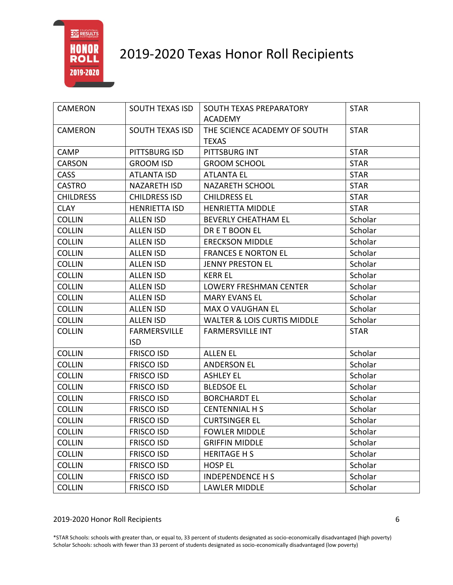

| <b>CAMERON</b>   | SOUTH TEXAS ISD        | SOUTH TEXAS PREPARATORY                | <b>STAR</b> |
|------------------|------------------------|----------------------------------------|-------------|
|                  |                        | <b>ACADEMY</b>                         |             |
| CAMERON          | <b>SOUTH TEXAS ISD</b> | THE SCIENCE ACADEMY OF SOUTH           | <b>STAR</b> |
|                  |                        | <b>TEXAS</b>                           |             |
| CAMP             | PITTSBURG ISD          | PITTSBURG INT                          | <b>STAR</b> |
| <b>CARSON</b>    | <b>GROOM ISD</b>       | <b>GROOM SCHOOL</b>                    | <b>STAR</b> |
| <b>CASS</b>      | <b>ATLANTA ISD</b>     | <b>ATLANTA EL</b>                      | <b>STAR</b> |
| <b>CASTRO</b>    | NAZARETH ISD           | NAZARETH SCHOOL                        | <b>STAR</b> |
| <b>CHILDRESS</b> | <b>CHILDRESS ISD</b>   | <b>CHILDRESS EL</b>                    | <b>STAR</b> |
| <b>CLAY</b>      | <b>HENRIETTA ISD</b>   | <b>HENRIETTA MIDDLE</b>                | <b>STAR</b> |
| <b>COLLIN</b>    | <b>ALLEN ISD</b>       | <b>BEVERLY CHEATHAM EL</b>             | Scholar     |
| <b>COLLIN</b>    | <b>ALLEN ISD</b>       | DRET BOON EL                           | Scholar     |
| <b>COLLIN</b>    | <b>ALLEN ISD</b>       | <b>ERECKSON MIDDLE</b>                 | Scholar     |
| <b>COLLIN</b>    | <b>ALLEN ISD</b>       | <b>FRANCES E NORTON EL</b>             | Scholar     |
| <b>COLLIN</b>    | <b>ALLEN ISD</b>       | <b>JENNY PRESTON EL</b>                | Scholar     |
| <b>COLLIN</b>    | <b>ALLEN ISD</b>       | <b>KERR EL</b>                         | Scholar     |
| <b>COLLIN</b>    | <b>ALLEN ISD</b>       | <b>LOWERY FRESHMAN CENTER</b>          | Scholar     |
| <b>COLLIN</b>    | <b>ALLEN ISD</b>       | <b>MARY EVANS EL</b>                   | Scholar     |
| <b>COLLIN</b>    | <b>ALLEN ISD</b>       | <b>MAX O VAUGHAN EL</b>                | Scholar     |
| <b>COLLIN</b>    | <b>ALLEN ISD</b>       | <b>WALTER &amp; LOIS CURTIS MIDDLE</b> | Scholar     |
| <b>COLLIN</b>    | <b>FARMERSVILLE</b>    | <b>FARMERSVILLE INT</b>                | <b>STAR</b> |
|                  | <b>ISD</b>             |                                        |             |
| <b>COLLIN</b>    | <b>FRISCO ISD</b>      | <b>ALLEN EL</b>                        | Scholar     |
| <b>COLLIN</b>    | <b>FRISCO ISD</b>      | <b>ANDERSON EL</b>                     | Scholar     |
| <b>COLLIN</b>    | <b>FRISCO ISD</b>      | <b>ASHLEY EL</b>                       | Scholar     |
| <b>COLLIN</b>    | <b>FRISCO ISD</b>      | <b>BLEDSOE EL</b>                      | Scholar     |
| <b>COLLIN</b>    | <b>FRISCO ISD</b>      | <b>BORCHARDT EL</b>                    | Scholar     |
| <b>COLLIN</b>    | <b>FRISCO ISD</b>      | <b>CENTENNIAL H S</b>                  | Scholar     |
| <b>COLLIN</b>    | <b>FRISCO ISD</b>      | <b>CURTSINGER EL</b>                   | Scholar     |
| <b>COLLIN</b>    | <b>FRISCO ISD</b>      | <b>FOWLER MIDDLE</b>                   | Scholar     |
| <b>COLLIN</b>    | <b>FRISCO ISD</b>      | <b>GRIFFIN MIDDLE</b>                  | Scholar     |
| <b>COLLIN</b>    | <b>FRISCO ISD</b>      | <b>HERITAGE H S</b>                    | Scholar     |
| <b>COLLIN</b>    | <b>FRISCO ISD</b>      | <b>HOSP EL</b>                         | Scholar     |
| <b>COLLIN</b>    | <b>FRISCO ISD</b>      | <b>INDEPENDENCE H S</b>                | Scholar     |
| <b>COLLIN</b>    | <b>FRISCO ISD</b>      | <b>LAWLER MIDDLE</b>                   | Scholar     |

#### 2019-2020 Honor Roll Recipients 6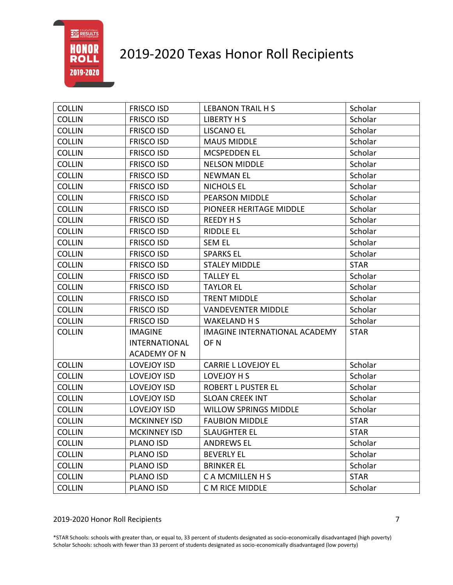# 2019-2020 Texas Honor Roll Recipients

| <b>COLLIN</b> | <b>FRISCO ISD</b>    | <b>LEBANON TRAIL H S</b>             | Scholar     |
|---------------|----------------------|--------------------------------------|-------------|
| <b>COLLIN</b> | <b>FRISCO ISD</b>    | <b>LIBERTY H S</b>                   | Scholar     |
| <b>COLLIN</b> | <b>FRISCO ISD</b>    | <b>LISCANO EL</b>                    | Scholar     |
| <b>COLLIN</b> | <b>FRISCO ISD</b>    | <b>MAUS MIDDLE</b>                   | Scholar     |
| <b>COLLIN</b> | <b>FRISCO ISD</b>    | <b>MCSPEDDEN EL</b>                  | Scholar     |
| <b>COLLIN</b> | <b>FRISCO ISD</b>    | <b>NELSON MIDDLE</b>                 | Scholar     |
| <b>COLLIN</b> | <b>FRISCO ISD</b>    | <b>NEWMAN EL</b>                     | Scholar     |
| <b>COLLIN</b> | <b>FRISCO ISD</b>    | <b>NICHOLS EL</b>                    | Scholar     |
| <b>COLLIN</b> | <b>FRISCO ISD</b>    | PEARSON MIDDLE                       | Scholar     |
| <b>COLLIN</b> | <b>FRISCO ISD</b>    | PIONEER HERITAGE MIDDLE              | Scholar     |
| <b>COLLIN</b> | <b>FRISCO ISD</b>    | <b>REEDY H S</b>                     | Scholar     |
| <b>COLLIN</b> | <b>FRISCO ISD</b>    | <b>RIDDLE EL</b>                     | Scholar     |
| <b>COLLIN</b> | <b>FRISCO ISD</b>    | <b>SEM EL</b>                        | Scholar     |
| <b>COLLIN</b> | <b>FRISCO ISD</b>    | <b>SPARKS EL</b>                     | Scholar     |
| <b>COLLIN</b> | <b>FRISCO ISD</b>    | <b>STALEY MIDDLE</b>                 | <b>STAR</b> |
| <b>COLLIN</b> | <b>FRISCO ISD</b>    | <b>TALLEY EL</b>                     | Scholar     |
| <b>COLLIN</b> | <b>FRISCO ISD</b>    | <b>TAYLOR EL</b>                     | Scholar     |
| <b>COLLIN</b> | <b>FRISCO ISD</b>    | <b>TRENT MIDDLE</b>                  | Scholar     |
| <b>COLLIN</b> | <b>FRISCO ISD</b>    | <b>VANDEVENTER MIDDLE</b>            | Scholar     |
| <b>COLLIN</b> | <b>FRISCO ISD</b>    | <b>WAKELAND H S</b>                  | Scholar     |
| <b>COLLIN</b> | <b>IMAGINE</b>       | <b>IMAGINE INTERNATIONAL ACADEMY</b> | <b>STAR</b> |
|               | <b>INTERNATIONAL</b> | OF <sub>N</sub>                      |             |
|               | <b>ACADEMY OF N</b>  |                                      |             |
| <b>COLLIN</b> | <b>LOVEJOY ISD</b>   | <b>CARRIE L LOVEJOY EL</b>           | Scholar     |
| <b>COLLIN</b> | <b>LOVEJOY ISD</b>   | LOVEJOY H S                          | Scholar     |
| <b>COLLIN</b> | <b>LOVEJOY ISD</b>   | <b>ROBERT L PUSTER EL</b>            | Scholar     |
| <b>COLLIN</b> | <b>LOVEJOY ISD</b>   | <b>SLOAN CREEK INT</b>               | Scholar     |
| <b>COLLIN</b> | <b>LOVEJOY ISD</b>   | <b>WILLOW SPRINGS MIDDLE</b>         | Scholar     |
| <b>COLLIN</b> | <b>MCKINNEY ISD</b>  | <b>FAUBION MIDDLE</b>                | <b>STAR</b> |
| <b>COLLIN</b> | <b>MCKINNEY ISD</b>  | <b>SLAUGHTER EL</b>                  | <b>STAR</b> |
| <b>COLLIN</b> | <b>PLANO ISD</b>     | <b>ANDREWS EL</b>                    | Scholar     |
| <b>COLLIN</b> | PLANO ISD            | <b>BEVERLY EL</b>                    | Scholar     |
| <b>COLLIN</b> | <b>PLANO ISD</b>     | <b>BRINKER EL</b>                    | Scholar     |
| <b>COLLIN</b> | PLANO ISD            | <b>CAMCMILLENHS</b>                  | <b>STAR</b> |
| <b>COLLIN</b> | PLANO ISD            | C M RICE MIDDLE                      | Scholar     |

### 2019-2020 Honor Roll Recipients 7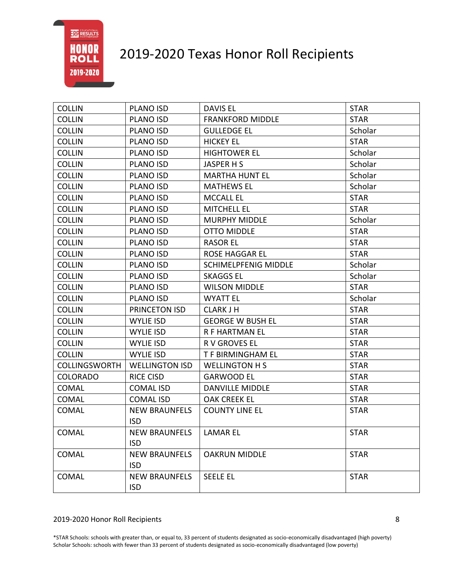# 2019-2020 Texas Honor Roll Recipients

| <b>COLLIN</b>        | <b>PLANO ISD</b>      | DAVIS EL                    | <b>STAR</b> |
|----------------------|-----------------------|-----------------------------|-------------|
| <b>COLLIN</b>        | <b>PLANO ISD</b>      | <b>FRANKFORD MIDDLE</b>     | <b>STAR</b> |
| <b>COLLIN</b>        | <b>PLANO ISD</b>      | <b>GULLEDGE EL</b>          | Scholar     |
| <b>COLLIN</b>        | PLANO ISD             | <b>HICKEY EL</b>            | <b>STAR</b> |
| <b>COLLIN</b>        | <b>PLANO ISD</b>      | <b>HIGHTOWER EL</b>         | Scholar     |
| <b>COLLIN</b>        | PLANO ISD             | JASPER H S                  | Scholar     |
| <b>COLLIN</b>        | <b>PLANO ISD</b>      | <b>MARTHA HUNT EL</b>       | Scholar     |
| <b>COLLIN</b>        | PLANO ISD             | <b>MATHEWS EL</b>           | Scholar     |
| <b>COLLIN</b>        | PLANO ISD             | <b>MCCALL EL</b>            | <b>STAR</b> |
| <b>COLLIN</b>        | PLANO ISD             | <b>MITCHELL EL</b>          | <b>STAR</b> |
| <b>COLLIN</b>        | <b>PLANO ISD</b>      | <b>MURPHY MIDDLE</b>        | Scholar     |
| <b>COLLIN</b>        | <b>PLANO ISD</b>      | <b>OTTO MIDDLE</b>          | <b>STAR</b> |
| <b>COLLIN</b>        | PLANO ISD             | <b>RASOR EL</b>             | <b>STAR</b> |
| <b>COLLIN</b>        | PLANO ISD             | <b>ROSE HAGGAR EL</b>       | <b>STAR</b> |
| <b>COLLIN</b>        | PLANO ISD             | <b>SCHIMELPFENIG MIDDLE</b> | Scholar     |
| <b>COLLIN</b>        | <b>PLANO ISD</b>      | <b>SKAGGS EL</b>            | Scholar     |
| <b>COLLIN</b>        | <b>PLANO ISD</b>      | <b>WILSON MIDDLE</b>        | <b>STAR</b> |
| <b>COLLIN</b>        | <b>PLANO ISD</b>      | <b>WYATT EL</b>             | Scholar     |
| <b>COLLIN</b>        | PRINCETON ISD         | <b>CLARK J H</b>            | <b>STAR</b> |
| <b>COLLIN</b>        | <b>WYLIE ISD</b>      | <b>GEORGE W BUSH EL</b>     | <b>STAR</b> |
| <b>COLLIN</b>        | <b>WYLIE ISD</b>      | R F HARTMAN EL              | <b>STAR</b> |
| <b>COLLIN</b>        | <b>WYLIE ISD</b>      | R V GROVES EL               | <b>STAR</b> |
| <b>COLLIN</b>        | <b>WYLIE ISD</b>      | T F BIRMINGHAM EL           | <b>STAR</b> |
| <b>COLLINGSWORTH</b> | <b>WELLINGTON ISD</b> | <b>WELLINGTON H S</b>       | <b>STAR</b> |
| <b>COLORADO</b>      | <b>RICE CISD</b>      | <b>GARWOOD EL</b>           | <b>STAR</b> |
| <b>COMAL</b>         | <b>COMAL ISD</b>      | <b>DANVILLE MIDDLE</b>      | <b>STAR</b> |
| <b>COMAL</b>         | <b>COMAL ISD</b>      | <b>OAK CREEK EL</b>         | <b>STAR</b> |
| <b>COMAL</b>         | <b>NEW BRAUNFELS</b>  | <b>COUNTY LINE EL</b>       | <b>STAR</b> |
|                      | <b>ISD</b>            |                             |             |
| COMAL                | <b>NEW BRAUNFELS</b>  | <b>LAMAR EL</b>             | <b>STAR</b> |
|                      | <b>ISD</b>            |                             |             |
| <b>COMAL</b>         | <b>NEW BRAUNFELS</b>  | <b>OAKRUN MIDDLE</b>        | <b>STAR</b> |
|                      | <b>ISD</b>            |                             |             |
| <b>COMAL</b>         | <b>NEW BRAUNFELS</b>  | <b>SEELE EL</b>             | <b>STAR</b> |
|                      | <b>ISD</b>            |                             |             |

#### 2019-2020 Honor Roll Recipients 8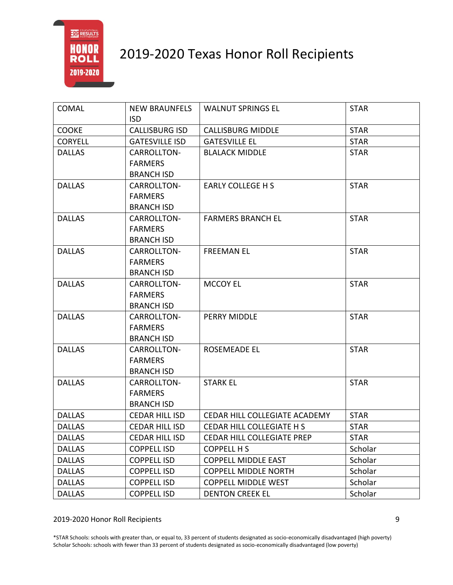

| <b>COMAL</b>   | <b>NEW BRAUNFELS</b>                | <b>WALNUT SPRINGS EL</b>      | <b>STAR</b> |
|----------------|-------------------------------------|-------------------------------|-------------|
| <b>COOKE</b>   | <b>ISD</b><br><b>CALLISBURG ISD</b> | <b>CALLISBURG MIDDLE</b>      | <b>STAR</b> |
| <b>CORYELL</b> | <b>GATESVILLE ISD</b>               | <b>GATESVILLE EL</b>          | <b>STAR</b> |
| <b>DALLAS</b>  | CARROLLTON-                         | <b>BLALACK MIDDLE</b>         | <b>STAR</b> |
|                | <b>FARMERS</b>                      |                               |             |
|                | <b>BRANCH ISD</b>                   |                               |             |
| <b>DALLAS</b>  | CARROLLTON-                         | <b>EARLY COLLEGE H S</b>      | <b>STAR</b> |
|                | <b>FARMERS</b>                      |                               |             |
|                | <b>BRANCH ISD</b>                   |                               |             |
| <b>DALLAS</b>  | CARROLLTON-                         | <b>FARMERS BRANCH EL</b>      | <b>STAR</b> |
|                | <b>FARMERS</b>                      |                               |             |
|                | <b>BRANCH ISD</b>                   |                               |             |
| <b>DALLAS</b>  | CARROLLTON-                         | <b>FREEMAN EL</b>             | <b>STAR</b> |
|                | <b>FARMERS</b>                      |                               |             |
|                | <b>BRANCH ISD</b>                   |                               |             |
| <b>DALLAS</b>  | CARROLLTON-                         | <b>MCCOY EL</b>               | <b>STAR</b> |
|                | <b>FARMERS</b>                      |                               |             |
|                | <b>BRANCH ISD</b>                   |                               |             |
| <b>DALLAS</b>  | CARROLLTON-                         | PERRY MIDDLE                  | <b>STAR</b> |
|                | <b>FARMERS</b>                      |                               |             |
|                | <b>BRANCH ISD</b>                   |                               |             |
| <b>DALLAS</b>  | CARROLLTON-                         | <b>ROSEMEADE EL</b>           | <b>STAR</b> |
|                | <b>FARMERS</b>                      |                               |             |
|                | <b>BRANCH ISD</b>                   |                               |             |
| <b>DALLAS</b>  | CARROLLTON-                         | <b>STARK EL</b>               | <b>STAR</b> |
|                | <b>FARMERS</b>                      |                               |             |
|                | <b>BRANCH ISD</b>                   |                               |             |
| <b>DALLAS</b>  | <b>CEDAR HILL ISD</b>               | CEDAR HILL COLLEGIATE ACADEMY | <b>STAR</b> |
| <b>DALLAS</b>  | <b>CEDAR HILL ISD</b>               | CEDAR HILL COLLEGIATE H S     | <b>STAR</b> |
| <b>DALLAS</b>  | <b>CEDAR HILL ISD</b>               | CEDAR HILL COLLEGIATE PREP    | <b>STAR</b> |
| <b>DALLAS</b>  | <b>COPPELL ISD</b>                  | <b>COPPELL H S</b>            | Scholar     |
| <b>DALLAS</b>  | <b>COPPELL ISD</b>                  | <b>COPPELL MIDDLE EAST</b>    | Scholar     |
| <b>DALLAS</b>  | <b>COPPELL ISD</b>                  | <b>COPPELL MIDDLE NORTH</b>   | Scholar     |
| <b>DALLAS</b>  | <b>COPPELL ISD</b>                  | <b>COPPELL MIDDLE WEST</b>    | Scholar     |
| <b>DALLAS</b>  | <b>COPPELL ISD</b>                  | <b>DENTON CREEK EL</b>        | Scholar     |

#### 2019-2020 Honor Roll Recipients 9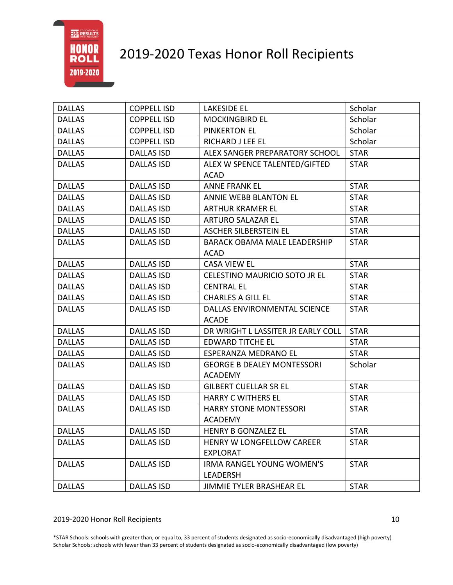# 2019-2020 Texas Honor Roll Recipients

| <b>DALLAS</b> | <b>COPPELL ISD</b> | <b>LAKESIDE EL</b>                  | Scholar     |
|---------------|--------------------|-------------------------------------|-------------|
| <b>DALLAS</b> | <b>COPPELL ISD</b> | <b>MOCKINGBIRD EL</b>               | Scholar     |
| <b>DALLAS</b> | <b>COPPELL ISD</b> | <b>PINKERTON EL</b>                 | Scholar     |
| <b>DALLAS</b> | <b>COPPELL ISD</b> | RICHARD J LEE EL                    | Scholar     |
| <b>DALLAS</b> | <b>DALLAS ISD</b>  | ALEX SANGER PREPARATORY SCHOOL      | <b>STAR</b> |
| <b>DALLAS</b> | <b>DALLAS ISD</b>  | ALEX W SPENCE TALENTED/GIFTED       | <b>STAR</b> |
|               |                    | <b>ACAD</b>                         |             |
| <b>DALLAS</b> | <b>DALLAS ISD</b>  | <b>ANNE FRANK EL</b>                | <b>STAR</b> |
| <b>DALLAS</b> | <b>DALLAS ISD</b>  | ANNIE WEBB BLANTON EL               | <b>STAR</b> |
| <b>DALLAS</b> | <b>DALLAS ISD</b>  | ARTHUR KRAMER EL                    | <b>STAR</b> |
| <b>DALLAS</b> | <b>DALLAS ISD</b>  | ARTURO SALAZAR EL                   | <b>STAR</b> |
| <b>DALLAS</b> | <b>DALLAS ISD</b>  | <b>ASCHER SILBERSTEIN EL</b>        | <b>STAR</b> |
| <b>DALLAS</b> | <b>DALLAS ISD</b>  | <b>BARACK OBAMA MALE LEADERSHIP</b> | <b>STAR</b> |
|               |                    | <b>ACAD</b>                         |             |
| <b>DALLAS</b> | <b>DALLAS ISD</b>  | <b>CASA VIEW EL</b>                 | <b>STAR</b> |
| <b>DALLAS</b> | <b>DALLAS ISD</b>  | CELESTINO MAURICIO SOTO JR EL       | <b>STAR</b> |
| <b>DALLAS</b> | <b>DALLAS ISD</b>  | <b>CENTRAL EL</b>                   | <b>STAR</b> |
| <b>DALLAS</b> | <b>DALLAS ISD</b>  | <b>CHARLES A GILL EL</b>            | <b>STAR</b> |
| <b>DALLAS</b> | <b>DALLAS ISD</b>  | DALLAS ENVIRONMENTAL SCIENCE        | <b>STAR</b> |
|               |                    | <b>ACADE</b>                        |             |
| <b>DALLAS</b> | <b>DALLAS ISD</b>  | DR WRIGHT L LASSITER JR EARLY COLL  | <b>STAR</b> |
| <b>DALLAS</b> | <b>DALLAS ISD</b>  | <b>EDWARD TITCHE EL</b>             | <b>STAR</b> |
| <b>DALLAS</b> | <b>DALLAS ISD</b>  | <b>ESPERANZA MEDRANO EL</b>         | <b>STAR</b> |
| <b>DALLAS</b> | <b>DALLAS ISD</b>  | <b>GEORGE B DEALEY MONTESSORI</b>   | Scholar     |
|               |                    | <b>ACADEMY</b>                      |             |
| <b>DALLAS</b> | <b>DALLAS ISD</b>  | <b>GILBERT CUELLAR SR EL</b>        | <b>STAR</b> |
| <b>DALLAS</b> | <b>DALLAS ISD</b>  | <b>HARRY C WITHERS EL</b>           | <b>STAR</b> |
| <b>DALLAS</b> | DALLAS ISD         | <b>HARRY STONE MONTESSORI</b>       | <b>STAR</b> |
|               |                    | <b>ACADEMY</b>                      |             |
| <b>DALLAS</b> | <b>DALLAS ISD</b>  | <b>HENRY B GONZALEZ EL</b>          | <b>STAR</b> |
| <b>DALLAS</b> | DALLAS ISD         | HENRY W LONGFELLOW CAREER           | <b>STAR</b> |
|               |                    | <b>EXPLORAT</b>                     |             |
| <b>DALLAS</b> | <b>DALLAS ISD</b>  | <b>IRMA RANGEL YOUNG WOMEN'S</b>    | <b>STAR</b> |
|               |                    | LEADERSH                            |             |
| <b>DALLAS</b> | <b>DALLAS ISD</b>  | JIMMIE TYLER BRASHEAR EL            | <b>STAR</b> |

#### 2019-2020 Honor Roll Recipients 10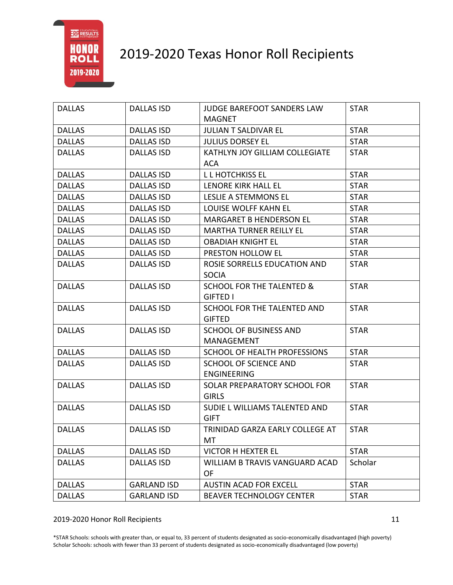

| <b>DALLAS</b> | <b>DALLAS ISD</b>  | JUDGE BAREFOOT SANDERS LAW<br><b>MAGNET</b> | <b>STAR</b> |
|---------------|--------------------|---------------------------------------------|-------------|
| <b>DALLAS</b> | <b>DALLAS ISD</b>  | <b>JULIAN T SALDIVAR EL</b>                 | <b>STAR</b> |
| <b>DALLAS</b> | <b>DALLAS ISD</b>  | <b>JULIUS DORSEY EL</b>                     | <b>STAR</b> |
| <b>DALLAS</b> | <b>DALLAS ISD</b>  | KATHLYN JOY GILLIAM COLLEGIATE              | <b>STAR</b> |
|               |                    | ACA                                         |             |
| <b>DALLAS</b> | <b>DALLAS ISD</b>  | L L HOTCHKISS EL                            | <b>STAR</b> |
| <b>DALLAS</b> | <b>DALLAS ISD</b>  | LENORE KIRK HALL EL                         | <b>STAR</b> |
| <b>DALLAS</b> | <b>DALLAS ISD</b>  | LESLIE A STEMMONS EL                        | <b>STAR</b> |
| <b>DALLAS</b> | <b>DALLAS ISD</b>  | LOUISE WOLFF KAHN EL                        | <b>STAR</b> |
| <b>DALLAS</b> | <b>DALLAS ISD</b>  | <b>MARGARET B HENDERSON EL</b>              | <b>STAR</b> |
| <b>DALLAS</b> | <b>DALLAS ISD</b>  | <b>MARTHA TURNER REILLY EL</b>              | <b>STAR</b> |
| <b>DALLAS</b> | <b>DALLAS ISD</b>  | <b>OBADIAH KNIGHT EL</b>                    | <b>STAR</b> |
| <b>DALLAS</b> | <b>DALLAS ISD</b>  | PRESTON HOLLOW EL                           | <b>STAR</b> |
| <b>DALLAS</b> | <b>DALLAS ISD</b>  | ROSIE SORRELLS EDUCATION AND                | <b>STAR</b> |
|               |                    | <b>SOCIA</b>                                |             |
| <b>DALLAS</b> | <b>DALLAS ISD</b>  | <b>SCHOOL FOR THE TALENTED &amp;</b>        | <b>STAR</b> |
|               |                    | <b>GIFTED I</b>                             |             |
| <b>DALLAS</b> | <b>DALLAS ISD</b>  | SCHOOL FOR THE TALENTED AND                 | <b>STAR</b> |
|               |                    | <b>GIFTED</b>                               |             |
| <b>DALLAS</b> | <b>DALLAS ISD</b>  | <b>SCHOOL OF BUSINESS AND</b>               | <b>STAR</b> |
|               |                    | MANAGEMENT                                  |             |
| <b>DALLAS</b> | <b>DALLAS ISD</b>  | SCHOOL OF HEALTH PROFESSIONS                | <b>STAR</b> |
| <b>DALLAS</b> | <b>DALLAS ISD</b>  | SCHOOL OF SCIENCE AND                       | <b>STAR</b> |
|               |                    | <b>ENGINEERING</b>                          |             |
| <b>DALLAS</b> | <b>DALLAS ISD</b>  | SOLAR PREPARATORY SCHOOL FOR                | <b>STAR</b> |
|               |                    | <b>GIRLS</b>                                |             |
| <b>DALLAS</b> | <b>DALLAS ISD</b>  | SUDIE L WILLIAMS TALENTED AND               | <b>STAR</b> |
|               |                    | <b>GIFT</b>                                 |             |
| <b>DALLAS</b> | <b>DALLAS ISD</b>  | TRINIDAD GARZA EARLY COLLEGE AT             | <b>STAR</b> |
|               |                    | MT                                          |             |
| <b>DALLAS</b> | <b>DALLAS ISD</b>  | <b>VICTOR H HEXTER EL</b>                   | <b>STAR</b> |
| <b>DALLAS</b> | <b>DALLAS ISD</b>  | WILLIAM B TRAVIS VANGUARD ACAD              | Scholar     |
|               |                    | <b>OF</b>                                   |             |
| <b>DALLAS</b> | <b>GARLAND ISD</b> | <b>AUSTIN ACAD FOR EXCELL</b>               | <b>STAR</b> |
| <b>DALLAS</b> | <b>GARLAND ISD</b> | <b>BEAVER TECHNOLOGY CENTER</b>             | <b>STAR</b> |

2019-2020 Honor Roll Recipients 11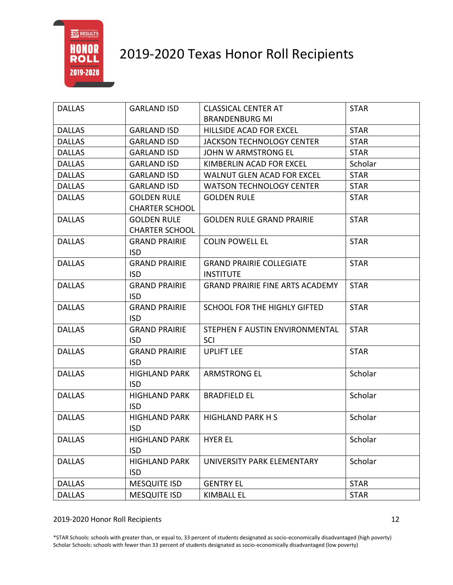

| <b>DALLAS</b> | <b>GARLAND ISD</b>    | <b>CLASSICAL CENTER AT</b>             | <b>STAR</b> |
|---------------|-----------------------|----------------------------------------|-------------|
|               |                       | <b>BRANDENBURG MI</b>                  |             |
| <b>DALLAS</b> | <b>GARLAND ISD</b>    | HILLSIDE ACAD FOR EXCEL                | <b>STAR</b> |
| <b>DALLAS</b> | <b>GARLAND ISD</b>    | <b>JACKSON TECHNOLOGY CENTER</b>       | <b>STAR</b> |
| <b>DALLAS</b> | <b>GARLAND ISD</b>    | JOHN W ARMSTRONG EL                    | <b>STAR</b> |
| <b>DALLAS</b> | <b>GARLAND ISD</b>    | KIMBERLIN ACAD FOR EXCEL               | Scholar     |
| <b>DALLAS</b> | <b>GARLAND ISD</b>    | <b>WALNUT GLEN ACAD FOR EXCEL</b>      | <b>STAR</b> |
| <b>DALLAS</b> | <b>GARLAND ISD</b>    | <b>WATSON TECHNOLOGY CENTER</b>        | <b>STAR</b> |
| <b>DALLAS</b> | <b>GOLDEN RULE</b>    | <b>GOLDEN RULE</b>                     | <b>STAR</b> |
|               | <b>CHARTER SCHOOL</b> |                                        |             |
| <b>DALLAS</b> | <b>GOLDEN RULE</b>    | <b>GOLDEN RULE GRAND PRAIRIE</b>       | <b>STAR</b> |
|               | <b>CHARTER SCHOOL</b> |                                        |             |
| <b>DALLAS</b> | <b>GRAND PRAIRIE</b>  | <b>COLIN POWELL EL</b>                 | <b>STAR</b> |
|               | ISD.                  |                                        |             |
| <b>DALLAS</b> | <b>GRAND PRAIRIE</b>  | <b>GRAND PRAIRIE COLLEGIATE</b>        | <b>STAR</b> |
|               | <b>ISD</b>            | <b>INSTITUTE</b>                       |             |
| <b>DALLAS</b> | <b>GRAND PRAIRIE</b>  | <b>GRAND PRAIRIE FINE ARTS ACADEMY</b> | <b>STAR</b> |
|               | <b>ISD</b>            |                                        |             |
| <b>DALLAS</b> | <b>GRAND PRAIRIE</b>  | SCHOOL FOR THE HIGHLY GIFTED           | <b>STAR</b> |
|               | <b>ISD</b>            |                                        |             |
| <b>DALLAS</b> | <b>GRAND PRAIRIE</b>  | STEPHEN F AUSTIN ENVIRONMENTAL         | <b>STAR</b> |
|               | <b>ISD</b>            | <b>SCI</b>                             |             |
| <b>DALLAS</b> | <b>GRAND PRAIRIE</b>  | <b>UPLIFT LEE</b>                      | <b>STAR</b> |
|               | <b>ISD</b>            |                                        |             |
| <b>DALLAS</b> | <b>HIGHLAND PARK</b>  | <b>ARMSTRONG EL</b>                    | Scholar     |
|               | <b>ISD</b>            |                                        |             |
| <b>DALLAS</b> | <b>HIGHLAND PARK</b>  | <b>BRADFIELD EL</b>                    | Scholar     |
|               | <b>ISD</b>            |                                        |             |
| <b>DALLAS</b> | HIGHLAND PARK         | <b>HIGHLAND PARK H S</b>               | Scholar     |
|               | <b>ISD</b>            |                                        |             |
| <b>DALLAS</b> | <b>HIGHLAND PARK</b>  | <b>HYER EL</b>                         | Scholar     |
|               | <b>ISD</b>            |                                        |             |
| <b>DALLAS</b> | <b>HIGHLAND PARK</b>  | UNIVERSITY PARK ELEMENTARY             | Scholar     |
|               | <b>ISD</b>            |                                        |             |
| <b>DALLAS</b> | <b>MESQUITE ISD</b>   | <b>GENTRY EL</b>                       | <b>STAR</b> |
| <b>DALLAS</b> | <b>MESQUITE ISD</b>   | <b>KIMBALL EL</b>                      | <b>STAR</b> |

2019-2020 Honor Roll Recipients 12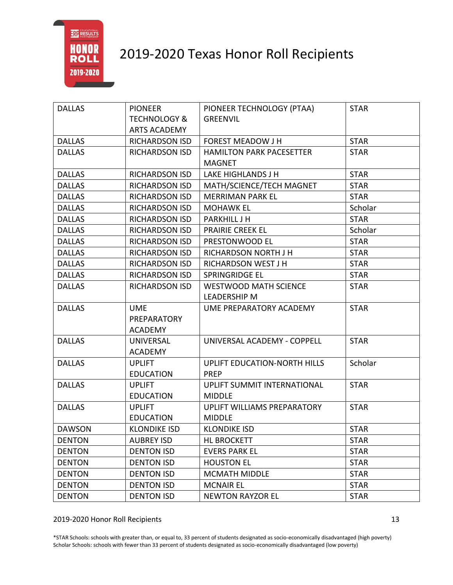

| <b>DALLAS</b> | <b>PIONEER</b>          | PIONEER TECHNOLOGY (PTAA)       | <b>STAR</b> |
|---------------|-------------------------|---------------------------------|-------------|
|               | <b>TECHNOLOGY &amp;</b> | <b>GREENVIL</b>                 |             |
|               | <b>ARTS ACADEMY</b>     |                                 |             |
| <b>DALLAS</b> | RICHARDSON ISD          | <b>FOREST MEADOW J H</b>        | <b>STAR</b> |
| <b>DALLAS</b> | <b>RICHARDSON ISD</b>   | <b>HAMILTON PARK PACESETTER</b> | <b>STAR</b> |
|               |                         | <b>MAGNET</b>                   |             |
| <b>DALLAS</b> | <b>RICHARDSON ISD</b>   | LAKE HIGHLANDS J H              | <b>STAR</b> |
| <b>DALLAS</b> | <b>RICHARDSON ISD</b>   | MATH/SCIENCE/TECH MAGNET        | <b>STAR</b> |
| <b>DALLAS</b> | RICHARDSON ISD          | <b>MERRIMAN PARK EL</b>         | <b>STAR</b> |
| <b>DALLAS</b> | <b>RICHARDSON ISD</b>   | <b>MOHAWK EL</b>                | Scholar     |
| <b>DALLAS</b> | <b>RICHARDSON ISD</b>   | <b>PARKHILL J H</b>             | <b>STAR</b> |
| <b>DALLAS</b> | RICHARDSON ISD          | <b>PRAIRIE CREEK EL</b>         | Scholar     |
| <b>DALLAS</b> | RICHARDSON ISD          | PRESTONWOOD EL                  | <b>STAR</b> |
| <b>DALLAS</b> | RICHARDSON ISD          | RICHARDSON NORTH J H            | <b>STAR</b> |
| <b>DALLAS</b> | RICHARDSON ISD          | RICHARDSON WEST J H             | <b>STAR</b> |
| <b>DALLAS</b> | RICHARDSON ISD          | SPRINGRIDGE EL                  | <b>STAR</b> |
| <b>DALLAS</b> | RICHARDSON ISD          | <b>WESTWOOD MATH SCIENCE</b>    | <b>STAR</b> |
|               |                         | <b>LEADERSHIP M</b>             |             |
| <b>DALLAS</b> | <b>UME</b>              | UME PREPARATORY ACADEMY         | <b>STAR</b> |
|               | PREPARATORY             |                                 |             |
|               | <b>ACADEMY</b>          |                                 |             |
| <b>DALLAS</b> | UNIVERSAL               | UNIVERSAL ACADEMY - COPPELL     | <b>STAR</b> |
|               | <b>ACADEMY</b>          |                                 |             |
| <b>DALLAS</b> | <b>UPLIFT</b>           | UPLIFT EDUCATION-NORTH HILLS    | Scholar     |
|               | <b>EDUCATION</b>        | <b>PREP</b>                     |             |
| <b>DALLAS</b> | <b>UPLIFT</b>           | UPLIFT SUMMIT INTERNATIONAL     | <b>STAR</b> |
|               | <b>EDUCATION</b>        | <b>MIDDLE</b>                   |             |
| <b>DALLAS</b> | <b>UPLIFT</b>           | UPLIFT WILLIAMS PREPARATORY     | <b>STAR</b> |
|               | <b>EDUCATION</b>        | <b>MIDDLE</b>                   |             |
| <b>DAWSON</b> | <b>KLONDIKE ISD</b>     | <b>KLONDIKE ISD</b>             | <b>STAR</b> |
| <b>DENTON</b> | <b>AUBREY ISD</b>       | <b>HL BROCKETT</b>              | <b>STAR</b> |
| <b>DENTON</b> | <b>DENTON ISD</b>       | <b>EVERS PARK EL</b>            | <b>STAR</b> |
| <b>DENTON</b> | <b>DENTON ISD</b>       | <b>HOUSTON EL</b>               | <b>STAR</b> |
| <b>DENTON</b> | <b>DENTON ISD</b>       | <b>MCMATH MIDDLE</b>            | <b>STAR</b> |
| <b>DENTON</b> | <b>DENTON ISD</b>       | <b>MCNAIR EL</b>                | <b>STAR</b> |
| <b>DENTON</b> | <b>DENTON ISD</b>       | <b>NEWTON RAYZOR EL</b>         | <b>STAR</b> |

2019-2020 Honor Roll Recipients 13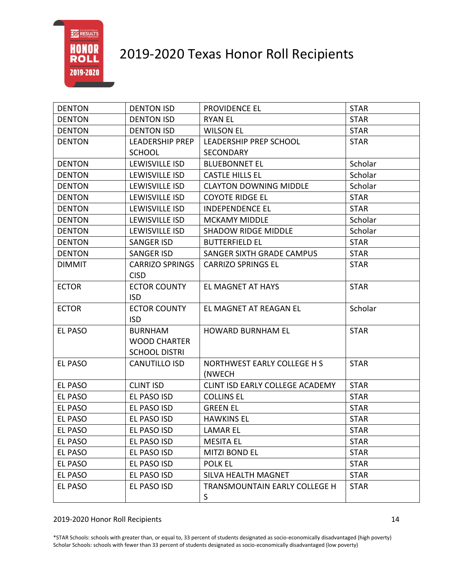

| <b>DENTON</b>  | <b>DENTON ISD</b>      | PROVIDENCE EL                   | <b>STAR</b> |
|----------------|------------------------|---------------------------------|-------------|
| <b>DENTON</b>  | <b>DENTON ISD</b>      | <b>RYAN EL</b>                  | <b>STAR</b> |
| <b>DENTON</b>  | <b>DENTON ISD</b>      | <b>WILSON EL</b>                | <b>STAR</b> |
| <b>DENTON</b>  | <b>LEADERSHIP PREP</b> | LEADERSHIP PREP SCHOOL          | <b>STAR</b> |
|                | <b>SCHOOL</b>          | SECONDARY                       |             |
| <b>DENTON</b>  | LEWISVILLE ISD         | <b>BLUEBONNET EL</b>            | Scholar     |
| <b>DENTON</b>  | LEWISVILLE ISD         | <b>CASTLE HILLS EL</b>          | Scholar     |
| <b>DENTON</b>  | LEWISVILLE ISD         | <b>CLAYTON DOWNING MIDDLE</b>   | Scholar     |
| <b>DENTON</b>  | LEWISVILLE ISD         | <b>COYOTE RIDGE EL</b>          | <b>STAR</b> |
| <b>DENTON</b>  | <b>LEWISVILLE ISD</b>  | <b>INDEPENDENCE EL</b>          | <b>STAR</b> |
| <b>DENTON</b>  | LEWISVILLE ISD         | <b>MCKAMY MIDDLE</b>            | Scholar     |
| <b>DENTON</b>  | LEWISVILLE ISD         | <b>SHADOW RIDGE MIDDLE</b>      | Scholar     |
| <b>DENTON</b>  | <b>SANGER ISD</b>      | <b>BUTTERFIELD EL</b>           | <b>STAR</b> |
| <b>DENTON</b>  | <b>SANGER ISD</b>      | SANGER SIXTH GRADE CAMPUS       | <b>STAR</b> |
| <b>DIMMIT</b>  | <b>CARRIZO SPRINGS</b> | <b>CARRIZO SPRINGS EL</b>       | <b>STAR</b> |
|                | <b>CISD</b>            |                                 |             |
| <b>ECTOR</b>   | <b>ECTOR COUNTY</b>    | EL MAGNET AT HAYS               | <b>STAR</b> |
|                | <b>ISD</b>             |                                 |             |
| <b>ECTOR</b>   | <b>ECTOR COUNTY</b>    | EL MAGNET AT REAGAN EL          | Scholar     |
|                | <b>ISD</b>             |                                 |             |
| <b>EL PASO</b> | <b>BURNHAM</b>         | <b>HOWARD BURNHAM EL</b>        | <b>STAR</b> |
|                | <b>WOOD CHARTER</b>    |                                 |             |
|                | <b>SCHOOL DISTRI</b>   |                                 |             |
| <b>EL PASO</b> | CANUTILLO ISD          | NORTHWEST EARLY COLLEGE H S     | <b>STAR</b> |
|                |                        | (NWECH                          |             |
| EL PASO        | <b>CLINT ISD</b>       | CLINT ISD EARLY COLLEGE ACADEMY | <b>STAR</b> |
| EL PASO        | EL PASO ISD            | <b>COLLINS EL</b>               | <b>STAR</b> |
| EL PASO        | EL PASO ISD            | <b>GREEN EL</b>                 | <b>STAR</b> |
| <b>EL PASO</b> | EL PASO ISD            | <b>HAWKINS EL</b>               | <b>STAR</b> |
| <b>EL PASO</b> | EL PASO ISD            | <b>LAMAR EL</b>                 | <b>STAR</b> |
| EL PASO        | EL PASO ISD            | <b>MESITA EL</b>                | <b>STAR</b> |
| <b>EL PASO</b> | EL PASO ISD            | <b>MITZI BOND EL</b>            | <b>STAR</b> |
| <b>EL PASO</b> | EL PASO ISD            | <b>POLK EL</b>                  | <b>STAR</b> |
| EL PASO        | EL PASO ISD            | SILVA HEALTH MAGNET             | <b>STAR</b> |
| EL PASO        | EL PASO ISD            | TRANSMOUNTAIN EARLY COLLEGE H   | <b>STAR</b> |
|                |                        | S                               |             |

#### 2019-2020 Honor Roll Recipients 14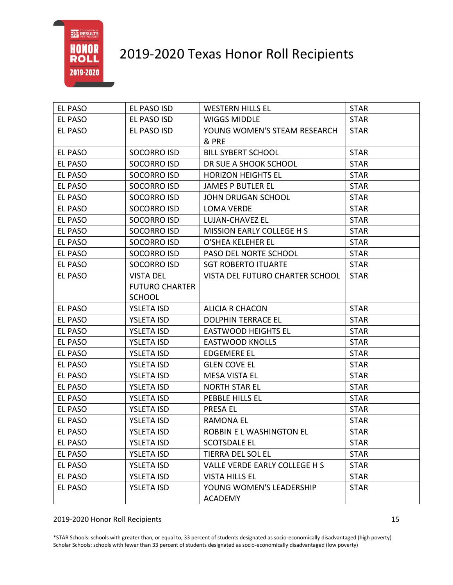# 2019-2020 Texas Honor Roll Recipients

| EL PASO        | EL PASO ISD           | <b>WESTERN HILLS EL</b>          | <b>STAR</b> |
|----------------|-----------------------|----------------------------------|-------------|
| EL PASO        | EL PASO ISD           | <b>WIGGS MIDDLE</b>              | <b>STAR</b> |
| EL PASO        | EL PASO ISD           | YOUNG WOMEN'S STEAM RESEARCH     | <b>STAR</b> |
|                |                       | & PRE                            |             |
| <b>EL PASO</b> | <b>SOCORRO ISD</b>    | <b>BILL SYBERT SCHOOL</b>        | <b>STAR</b> |
| <b>EL PASO</b> | SOCORRO ISD           | DR SUE A SHOOK SCHOOL            | <b>STAR</b> |
| <b>EL PASO</b> | <b>SOCORRO ISD</b>    | <b>HORIZON HEIGHTS EL</b>        | <b>STAR</b> |
| <b>EL PASO</b> | SOCORRO ISD           | <b>JAMES P BUTLER EL</b>         | <b>STAR</b> |
| <b>EL PASO</b> | SOCORRO ISD           | <b>JOHN DRUGAN SCHOOL</b>        | <b>STAR</b> |
| <b>EL PASO</b> | <b>SOCORRO ISD</b>    | <b>LOMA VERDE</b>                | <b>STAR</b> |
| <b>EL PASO</b> | SOCORRO ISD           | LUJAN-CHAVEZ EL                  | <b>STAR</b> |
| <b>EL PASO</b> | SOCORRO ISD           | <b>MISSION EARLY COLLEGE H S</b> | <b>STAR</b> |
| EL PASO        | SOCORRO ISD           | O'SHEA KELEHER EL                | <b>STAR</b> |
| EL PASO        | <b>SOCORRO ISD</b>    | PASO DEL NORTE SCHOOL            | <b>STAR</b> |
| EL PASO        | SOCORRO ISD           | <b>SGT ROBERTO ITUARTE</b>       | <b>STAR</b> |
| EL PASO        | <b>VISTA DEL</b>      | VISTA DEL FUTURO CHARTER SCHOOL  | <b>STAR</b> |
|                | <b>FUTURO CHARTER</b> |                                  |             |
|                | <b>SCHOOL</b>         |                                  |             |
| <b>EL PASO</b> | <b>YSLETA ISD</b>     | <b>ALICIA R CHACON</b>           | <b>STAR</b> |
| EL PASO        | <b>YSLETA ISD</b>     | <b>DOLPHIN TERRACE EL</b>        | <b>STAR</b> |
| <b>EL PASO</b> | <b>YSLETA ISD</b>     | <b>EASTWOOD HEIGHTS EL</b>       | <b>STAR</b> |
| <b>EL PASO</b> | <b>YSLETA ISD</b>     | <b>EASTWOOD KNOLLS</b>           | <b>STAR</b> |
| <b>EL PASO</b> | <b>YSLETA ISD</b>     | <b>EDGEMERE EL</b>               | <b>STAR</b> |
| <b>EL PASO</b> | <b>YSLETA ISD</b>     | <b>GLEN COVE EL</b>              | <b>STAR</b> |
| <b>EL PASO</b> | <b>YSLETA ISD</b>     | <b>MESA VISTA EL</b>             | <b>STAR</b> |
| <b>EL PASO</b> | <b>YSLETA ISD</b>     | <b>NORTH STAR EL</b>             | <b>STAR</b> |
| <b>EL PASO</b> | <b>YSLETA ISD</b>     | PEBBLE HILLS EL                  | <b>STAR</b> |
| <b>EL PASO</b> | <b>YSLETA ISD</b>     | PRESA EL                         | <b>STAR</b> |
| <b>EL PASO</b> | <b>YSLETA ISD</b>     | <b>RAMONA EL</b>                 | <b>STAR</b> |
| EL PASO        | <b>YSLETA ISD</b>     | ROBBIN E L WASHINGTON EL         | <b>STAR</b> |
| EL PASO        | <b>YSLETA ISD</b>     | <b>SCOTSDALE EL</b>              | <b>STAR</b> |
| EL PASO        | <b>YSLETA ISD</b>     | TIERRA DEL SOL EL                | <b>STAR</b> |
| EL PASO        | <b>YSLETA ISD</b>     | VALLE VERDE EARLY COLLEGE H S    | <b>STAR</b> |
| EL PASO        | <b>YSLETA ISD</b>     | <b>VISTA HILLS EL</b>            | <b>STAR</b> |
| <b>EL PASO</b> | <b>YSLETA ISD</b>     | YOUNG WOMEN'S LEADERSHIP         | <b>STAR</b> |
|                |                       | <b>ACADEMY</b>                   |             |

### 2019-2020 Honor Roll Recipients 15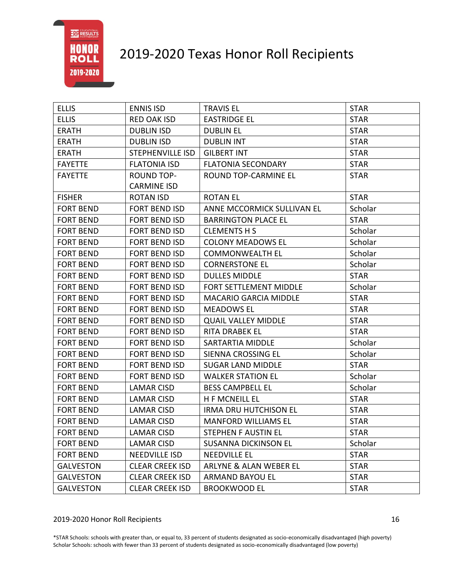# 2019-2020 Texas Honor Roll Recipients

| <b>ELLIS</b>     | <b>ENNIS ISD</b>        | <b>TRAVIS EL</b>             | <b>STAR</b> |
|------------------|-------------------------|------------------------------|-------------|
| <b>ELLIS</b>     | <b>RED OAK ISD</b>      | <b>EASTRIDGE EL</b>          | <b>STAR</b> |
| <b>ERATH</b>     | <b>DUBLIN ISD</b>       | <b>DUBLIN EL</b>             | <b>STAR</b> |
| <b>ERATH</b>     | <b>DUBLIN ISD</b>       | <b>DUBLIN INT</b>            | <b>STAR</b> |
| <b>ERATH</b>     | <b>STEPHENVILLE ISD</b> | <b>GILBERT INT</b>           | <b>STAR</b> |
| <b>FAYETTE</b>   | <b>FLATONIA ISD</b>     | <b>FLATONIA SECONDARY</b>    | <b>STAR</b> |
| <b>FAYETTE</b>   | <b>ROUND TOP-</b>       | ROUND TOP-CARMINE EL         | <b>STAR</b> |
|                  | <b>CARMINE ISD</b>      |                              |             |
| <b>FISHER</b>    | <b>ROTAN ISD</b>        | <b>ROTAN EL</b>              | <b>STAR</b> |
| <b>FORT BEND</b> | <b>FORT BEND ISD</b>    | ANNE MCCORMICK SULLIVAN EL   | Scholar     |
| <b>FORT BEND</b> | <b>FORT BEND ISD</b>    | <b>BARRINGTON PLACE EL</b>   | <b>STAR</b> |
| <b>FORT BEND</b> | <b>FORT BEND ISD</b>    | <b>CLEMENTS H S</b>          | Scholar     |
| <b>FORT BEND</b> | <b>FORT BEND ISD</b>    | <b>COLONY MEADOWS EL</b>     | Scholar     |
| <b>FORT BEND</b> | <b>FORT BEND ISD</b>    | <b>COMMONWEALTH EL</b>       | Scholar     |
| <b>FORT BEND</b> | <b>FORT BEND ISD</b>    | <b>CORNERSTONE EL</b>        | Scholar     |
| <b>FORT BEND</b> | <b>FORT BEND ISD</b>    | <b>DULLES MIDDLE</b>         | <b>STAR</b> |
| <b>FORT BEND</b> | <b>FORT BEND ISD</b>    | FORT SETTLEMENT MIDDLE       | Scholar     |
| <b>FORT BEND</b> | <b>FORT BEND ISD</b>    | <b>MACARIO GARCIA MIDDLE</b> | <b>STAR</b> |
| <b>FORT BEND</b> | <b>FORT BEND ISD</b>    | <b>MEADOWS EL</b>            | <b>STAR</b> |
| <b>FORT BEND</b> | <b>FORT BEND ISD</b>    | <b>QUAIL VALLEY MIDDLE</b>   | <b>STAR</b> |
| <b>FORT BEND</b> | <b>FORT BEND ISD</b>    | RITA DRABEK EL               | <b>STAR</b> |
| <b>FORT BEND</b> | <b>FORT BEND ISD</b>    | SARTARTIA MIDDLE             | Scholar     |
| <b>FORT BEND</b> | <b>FORT BEND ISD</b>    | SIENNA CROSSING EL           | Scholar     |
| <b>FORT BEND</b> | <b>FORT BEND ISD</b>    | <b>SUGAR LAND MIDDLE</b>     | <b>STAR</b> |
| <b>FORT BEND</b> | <b>FORT BEND ISD</b>    | <b>WALKER STATION EL</b>     | Scholar     |
| <b>FORT BEND</b> | <b>LAMAR CISD</b>       | <b>BESS CAMPBELL EL</b>      | Scholar     |
| <b>FORT BEND</b> | <b>LAMAR CISD</b>       | <b>H F MCNEILL EL</b>        | <b>STAR</b> |
| <b>FORT BEND</b> | <b>LAMAR CISD</b>       | <b>IRMA DRU HUTCHISON EL</b> | <b>STAR</b> |
| <b>FORT BEND</b> | <b>LAMAR CISD</b>       | <b>MANFORD WILLIAMS EL</b>   | <b>STAR</b> |
| <b>FORT BEND</b> | <b>LAMAR CISD</b>       | STEPHEN F AUSTIN EL          | <b>STAR</b> |
| <b>FORT BEND</b> | LAMAR CISD              | <b>SUSANNA DICKINSON EL</b>  | Scholar     |
| <b>FORT BEND</b> | <b>NEEDVILLE ISD</b>    | <b>NEEDVILLE EL</b>          | <b>STAR</b> |
| <b>GALVESTON</b> | <b>CLEAR CREEK ISD</b>  | ARLYNE & ALAN WEBER EL       | <b>STAR</b> |
| <b>GALVESTON</b> | <b>CLEAR CREEK ISD</b>  | <b>ARMAND BAYOU EL</b>       | <b>STAR</b> |
| <b>GALVESTON</b> | <b>CLEAR CREEK ISD</b>  | <b>BROOKWOOD EL</b>          | <b>STAR</b> |

#### 2019-2020 Honor Roll Recipients 16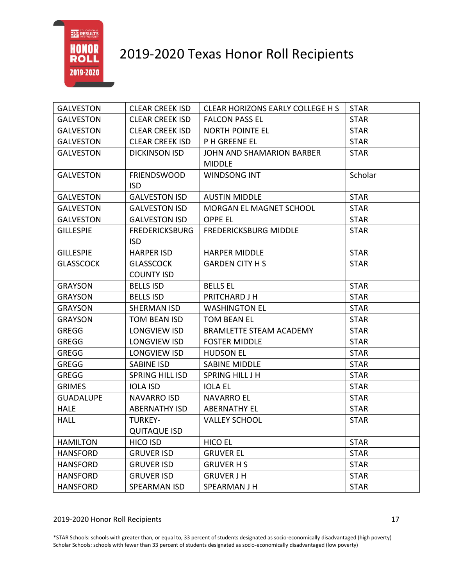

| <b>GALVESTON</b> | <b>CLEAR CREEK ISD</b>                | CLEAR HORIZONS EARLY COLLEGE H S                  | <b>STAR</b> |
|------------------|---------------------------------------|---------------------------------------------------|-------------|
| <b>GALVESTON</b> | <b>CLEAR CREEK ISD</b>                | <b>FALCON PASS EL</b>                             | <b>STAR</b> |
| <b>GALVESTON</b> | <b>CLEAR CREEK ISD</b>                | <b>NORTH POINTE EL</b>                            | <b>STAR</b> |
| <b>GALVESTON</b> | <b>CLEAR CREEK ISD</b>                | <b>PH GREENE EL</b>                               | <b>STAR</b> |
| <b>GALVESTON</b> | <b>DICKINSON ISD</b>                  | <b>JOHN AND SHAMARION BARBER</b><br><b>MIDDLE</b> | <b>STAR</b> |
| <b>GALVESTON</b> | <b>FRIENDSWOOD</b><br><b>ISD</b>      | WINDSONG INT                                      | Scholar     |
| <b>GALVESTON</b> | <b>GALVESTON ISD</b>                  | <b>AUSTIN MIDDLE</b>                              | <b>STAR</b> |
| <b>GALVESTON</b> | <b>GALVESTON ISD</b>                  | MORGAN EL MAGNET SCHOOL                           | <b>STAR</b> |
| <b>GALVESTON</b> | <b>GALVESTON ISD</b>                  | <b>OPPE EL</b>                                    | <b>STAR</b> |
| <b>GILLESPIE</b> | <b>FREDERICKSBURG</b><br><b>ISD</b>   | <b>FREDERICKSBURG MIDDLE</b>                      | <b>STAR</b> |
| <b>GILLESPIE</b> | <b>HARPER ISD</b>                     | <b>HARPER MIDDLE</b>                              | <b>STAR</b> |
| <b>GLASSCOCK</b> | <b>GLASSCOCK</b><br><b>COUNTY ISD</b> | <b>GARDEN CITY H S</b>                            | <b>STAR</b> |
| <b>GRAYSON</b>   | <b>BELLS ISD</b>                      | <b>BELLS EL</b>                                   | <b>STAR</b> |
| <b>GRAYSON</b>   | <b>BELLS ISD</b>                      | PRITCHARD J H                                     | <b>STAR</b> |
| <b>GRAYSON</b>   | SHERMAN ISD                           | <b>WASHINGTON EL</b>                              | <b>STAR</b> |
| <b>GRAYSON</b>   | TOM BEAN ISD                          | <b>TOM BEAN EL</b>                                | <b>STAR</b> |
| <b>GREGG</b>     | LONGVIEW ISD                          | <b>BRAMLETTE STEAM ACADEMY</b>                    | <b>STAR</b> |
| <b>GREGG</b>     | LONGVIEW ISD                          | <b>FOSTER MIDDLE</b>                              | <b>STAR</b> |
| <b>GREGG</b>     | LONGVIEW ISD                          | <b>HUDSON EL</b>                                  | <b>STAR</b> |
| <b>GREGG</b>     | SABINE ISD                            | <b>SABINE MIDDLE</b>                              | <b>STAR</b> |
| <b>GREGG</b>     | <b>SPRING HILL ISD</b>                | SPRING HILL J H                                   | <b>STAR</b> |
| <b>GRIMES</b>    | <b>IOLA ISD</b>                       | <b>IOLA EL</b>                                    | <b>STAR</b> |
| <b>GUADALUPE</b> | NAVARRO ISD                           | <b>NAVARRO EL</b>                                 | <b>STAR</b> |
| <b>HALE</b>      | <b>ABERNATHY ISD</b>                  | <b>ABERNATHY EL</b>                               | <b>STAR</b> |
| <b>HALL</b>      | <b>TURKEY-</b>                        | <b>VALLEY SCHOOL</b>                              | <b>STAR</b> |
|                  | <b>QUITAQUE ISD</b>                   |                                                   |             |
| <b>HAMILTON</b>  | <b>HICO ISD</b>                       | <b>HICO EL</b>                                    | <b>STAR</b> |
| <b>HANSFORD</b>  | <b>GRUVER ISD</b>                     | <b>GRUVER EL</b>                                  | <b>STAR</b> |
| <b>HANSFORD</b>  | <b>GRUVER ISD</b>                     | <b>GRUVER HS</b>                                  | <b>STAR</b> |
| <b>HANSFORD</b>  | <b>GRUVER ISD</b>                     | <b>GRUVER J H</b>                                 | <b>STAR</b> |
| <b>HANSFORD</b>  | SPEARMAN ISD                          | SPEARMAN J H                                      | <b>STAR</b> |

#### 2019-2020 Honor Roll Recipients 17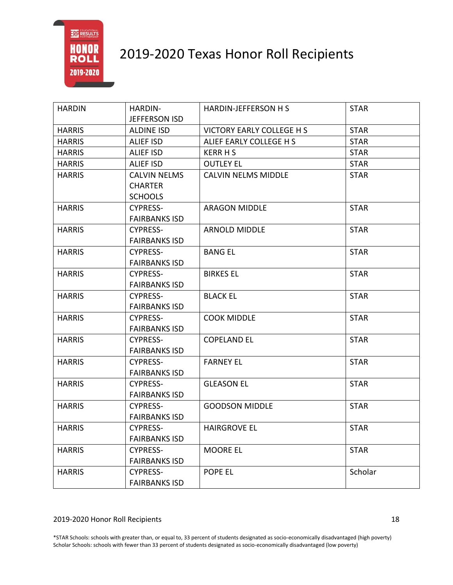

| <b>HARDIN</b> | HARDIN-              | HARDIN-JEFFERSON H S             | <b>STAR</b> |
|---------------|----------------------|----------------------------------|-------------|
|               | <b>JEFFERSON ISD</b> |                                  |             |
| <b>HARRIS</b> | <b>ALDINE ISD</b>    | <b>VICTORY EARLY COLLEGE H S</b> | <b>STAR</b> |
| <b>HARRIS</b> | <b>ALIEF ISD</b>     | ALIEF EARLY COLLEGE H S          | <b>STAR</b> |
| <b>HARRIS</b> | ALIEF ISD            | <b>KERR H S</b>                  | <b>STAR</b> |
| <b>HARRIS</b> | ALIEF ISD            | <b>OUTLEY EL</b>                 | <b>STAR</b> |
| <b>HARRIS</b> | <b>CALVIN NELMS</b>  | <b>CALVIN NELMS MIDDLE</b>       | <b>STAR</b> |
|               | <b>CHARTER</b>       |                                  |             |
|               | <b>SCHOOLS</b>       |                                  |             |
| <b>HARRIS</b> | <b>CYPRESS-</b>      | <b>ARAGON MIDDLE</b>             | <b>STAR</b> |
|               | <b>FAIRBANKS ISD</b> |                                  |             |
| <b>HARRIS</b> | <b>CYPRESS-</b>      | <b>ARNOLD MIDDLE</b>             | <b>STAR</b> |
|               | <b>FAIRBANKS ISD</b> |                                  |             |
| <b>HARRIS</b> | <b>CYPRESS-</b>      | <b>BANG EL</b>                   | <b>STAR</b> |
|               | <b>FAIRBANKS ISD</b> |                                  |             |
| <b>HARRIS</b> | <b>CYPRESS-</b>      | <b>BIRKES EL</b>                 | <b>STAR</b> |
|               | <b>FAIRBANKS ISD</b> |                                  |             |
| <b>HARRIS</b> | <b>CYPRESS-</b>      | <b>BLACK EL</b>                  | <b>STAR</b> |
|               | <b>FAIRBANKS ISD</b> |                                  |             |
| <b>HARRIS</b> | <b>CYPRESS-</b>      | <b>COOK MIDDLE</b>               | <b>STAR</b> |
|               | <b>FAIRBANKS ISD</b> |                                  |             |
| <b>HARRIS</b> | <b>CYPRESS-</b>      | <b>COPELAND EL</b>               | <b>STAR</b> |
|               | <b>FAIRBANKS ISD</b> |                                  |             |
| <b>HARRIS</b> | <b>CYPRESS-</b>      | <b>FARNEY EL</b>                 | <b>STAR</b> |
|               | <b>FAIRBANKS ISD</b> |                                  |             |
| <b>HARRIS</b> | <b>CYPRESS-</b>      | <b>GLEASON EL</b>                | <b>STAR</b> |
|               | <b>FAIRBANKS ISD</b> |                                  |             |
| <b>HARRIS</b> | <b>CYPRESS-</b>      | <b>GOODSON MIDDLE</b>            | <b>STAR</b> |
|               | <b>FAIRBANKS ISD</b> |                                  |             |
| <b>HARRIS</b> | <b>CYPRESS-</b>      | <b>HAIRGROVE EL</b>              | <b>STAR</b> |
|               | <b>FAIRBANKS ISD</b> |                                  |             |
| <b>HARRIS</b> | <b>CYPRESS-</b>      | <b>MOORE EL</b>                  | <b>STAR</b> |
|               | <b>FAIRBANKS ISD</b> |                                  |             |
| <b>HARRIS</b> | <b>CYPRESS-</b>      | POPE EL                          | Scholar     |
|               | <b>FAIRBANKS ISD</b> |                                  |             |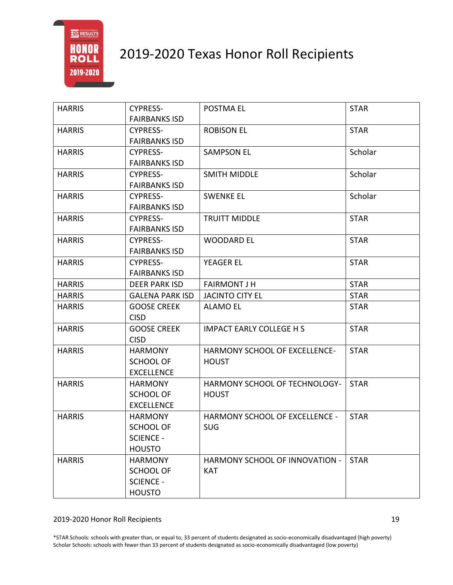

| <b>CYPRESS-</b>        | POSTMA EL                                                                                                                                                                                                                         | <b>STAR</b>                                                                       |
|------------------------|-----------------------------------------------------------------------------------------------------------------------------------------------------------------------------------------------------------------------------------|-----------------------------------------------------------------------------------|
|                        |                                                                                                                                                                                                                                   |                                                                                   |
|                        |                                                                                                                                                                                                                                   | <b>STAR</b>                                                                       |
|                        |                                                                                                                                                                                                                                   |                                                                                   |
|                        |                                                                                                                                                                                                                                   | Scholar                                                                           |
|                        |                                                                                                                                                                                                                                   |                                                                                   |
|                        |                                                                                                                                                                                                                                   | Scholar                                                                           |
|                        |                                                                                                                                                                                                                                   |                                                                                   |
|                        |                                                                                                                                                                                                                                   | Scholar                                                                           |
| <b>FAIRBANKS ISD</b>   |                                                                                                                                                                                                                                   |                                                                                   |
| <b>CYPRESS-</b>        | <b>TRUITT MIDDLE</b>                                                                                                                                                                                                              | <b>STAR</b>                                                                       |
| <b>FAIRBANKS ISD</b>   |                                                                                                                                                                                                                                   |                                                                                   |
| <b>CYPRESS-</b>        | <b>WOODARD EL</b>                                                                                                                                                                                                                 | <b>STAR</b>                                                                       |
| <b>FAIRBANKS ISD</b>   |                                                                                                                                                                                                                                   |                                                                                   |
| <b>CYPRESS-</b>        | <b>YEAGER EL</b>                                                                                                                                                                                                                  | <b>STAR</b>                                                                       |
| <b>FAIRBANKS ISD</b>   |                                                                                                                                                                                                                                   |                                                                                   |
| <b>DEER PARK ISD</b>   | <b>FAIRMONT J H</b>                                                                                                                                                                                                               | <b>STAR</b>                                                                       |
| <b>GALENA PARK ISD</b> | <b>JACINTO CITY EL</b>                                                                                                                                                                                                            | <b>STAR</b>                                                                       |
| <b>GOOSE CREEK</b>     | <b>ALAMO EL</b>                                                                                                                                                                                                                   | <b>STAR</b>                                                                       |
| <b>CISD</b>            |                                                                                                                                                                                                                                   |                                                                                   |
| <b>GOOSE CREEK</b>     | <b>IMPACT EARLY COLLEGE H S</b>                                                                                                                                                                                                   | <b>STAR</b>                                                                       |
| <b>CISD</b>            |                                                                                                                                                                                                                                   |                                                                                   |
| <b>HARMONY</b>         | <b>HARMONY SCHOOL OF EXCELLENCE-</b>                                                                                                                                                                                              | <b>STAR</b>                                                                       |
| SCHOOL OF              | <b>HOUST</b>                                                                                                                                                                                                                      |                                                                                   |
| <b>EXCELLENCE</b>      |                                                                                                                                                                                                                                   |                                                                                   |
| <b>HARMONY</b>         | HARMONY SCHOOL OF TECHNOLOGY-                                                                                                                                                                                                     | <b>STAR</b>                                                                       |
| <b>SCHOOL OF</b>       | <b>HOUST</b>                                                                                                                                                                                                                      |                                                                                   |
| <b>EXCELLENCE</b>      |                                                                                                                                                                                                                                   |                                                                                   |
| <b>HARMONY</b>         | <b>HARMONY SCHOOL OF EXCELLENCE -</b>                                                                                                                                                                                             | <b>STAR</b>                                                                       |
| <b>SCHOOL OF</b>       | <b>SUG</b>                                                                                                                                                                                                                        |                                                                                   |
|                        |                                                                                                                                                                                                                                   |                                                                                   |
| <b>HOUSTO</b>          |                                                                                                                                                                                                                                   |                                                                                   |
| <b>HARMONY</b>         | HARMONY SCHOOL OF INNOVATION -                                                                                                                                                                                                    | <b>STAR</b>                                                                       |
| <b>SCHOOL OF</b>       | <b>KAT</b>                                                                                                                                                                                                                        |                                                                                   |
|                        |                                                                                                                                                                                                                                   |                                                                                   |
|                        |                                                                                                                                                                                                                                   |                                                                                   |
|                        | <b>FAIRBANKS ISD</b><br><b>CYPRESS-</b><br><b>FAIRBANKS ISD</b><br><b>CYPRESS-</b><br><b>FAIRBANKS ISD</b><br><b>CYPRESS-</b><br><b>FAIRBANKS ISD</b><br><b>CYPRESS-</b><br><b>SCIENCE -</b><br><b>SCIENCE -</b><br><b>HOUSTO</b> | <b>ROBISON EL</b><br><b>SAMPSON EL</b><br><b>SMITH MIDDLE</b><br><b>SWENKE EL</b> |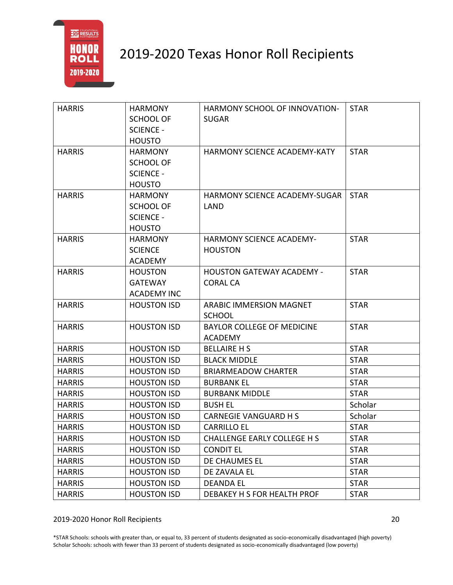

| <b>HARRIS</b> | <b>HARMONY</b>     | HARMONY SCHOOL OF INNOVATION-      | <b>STAR</b> |
|---------------|--------------------|------------------------------------|-------------|
|               | <b>SCHOOL OF</b>   | <b>SUGAR</b>                       |             |
|               | <b>SCIENCE -</b>   |                                    |             |
|               | <b>HOUSTO</b>      |                                    |             |
| <b>HARRIS</b> | <b>HARMONY</b>     | HARMONY SCIENCE ACADEMY-KATY       | <b>STAR</b> |
|               | <b>SCHOOL OF</b>   |                                    |             |
|               | <b>SCIENCE -</b>   |                                    |             |
|               | <b>HOUSTO</b>      |                                    |             |
| <b>HARRIS</b> | <b>HARMONY</b>     | HARMONY SCIENCE ACADEMY-SUGAR      | <b>STAR</b> |
|               | <b>SCHOOL OF</b>   | LAND                               |             |
|               | <b>SCIENCE -</b>   |                                    |             |
|               | <b>HOUSTO</b>      |                                    |             |
| <b>HARRIS</b> | <b>HARMONY</b>     | <b>HARMONY SCIENCE ACADEMY-</b>    | <b>STAR</b> |
|               | <b>SCIENCE</b>     | <b>HOUSTON</b>                     |             |
|               | <b>ACADEMY</b>     |                                    |             |
| <b>HARRIS</b> | <b>HOUSTON</b>     | <b>HOUSTON GATEWAY ACADEMY -</b>   | <b>STAR</b> |
|               | <b>GATEWAY</b>     | <b>CORAL CA</b>                    |             |
|               | <b>ACADEMY INC</b> |                                    |             |
| <b>HARRIS</b> | <b>HOUSTON ISD</b> | <b>ARABIC IMMERSION MAGNET</b>     | <b>STAR</b> |
|               |                    | <b>SCHOOL</b>                      |             |
| <b>HARRIS</b> | <b>HOUSTON ISD</b> | <b>BAYLOR COLLEGE OF MEDICINE</b>  | <b>STAR</b> |
|               |                    | <b>ACADEMY</b>                     |             |
| <b>HARRIS</b> | <b>HOUSTON ISD</b> | <b>BELLAIRE H S</b>                | <b>STAR</b> |
| <b>HARRIS</b> | <b>HOUSTON ISD</b> | <b>BLACK MIDDLE</b>                | <b>STAR</b> |
| <b>HARRIS</b> | <b>HOUSTON ISD</b> | <b>BRIARMEADOW CHARTER</b>         | <b>STAR</b> |
| <b>HARRIS</b> | <b>HOUSTON ISD</b> | <b>BURBANK EL</b>                  | <b>STAR</b> |
| <b>HARRIS</b> | <b>HOUSTON ISD</b> | <b>BURBANK MIDDLE</b>              | <b>STAR</b> |
| <b>HARRIS</b> | <b>HOUSTON ISD</b> | <b>BUSH EL</b>                     | Scholar     |
| <b>HARRIS</b> | <b>HOUSTON ISD</b> | <b>CARNEGIE VANGUARD H S</b>       | Scholar     |
| <b>HARRIS</b> | <b>HOUSTON ISD</b> | <b>CARRILLO EL</b>                 | <b>STAR</b> |
| <b>HARRIS</b> | <b>HOUSTON ISD</b> | <b>CHALLENGE EARLY COLLEGE H S</b> | <b>STAR</b> |
| <b>HARRIS</b> | <b>HOUSTON ISD</b> | <b>CONDIT EL</b>                   | <b>STAR</b> |
| <b>HARRIS</b> | <b>HOUSTON ISD</b> | DE CHAUMES EL                      | <b>STAR</b> |
| <b>HARRIS</b> | <b>HOUSTON ISD</b> | DE ZAVALA EL                       | <b>STAR</b> |
| <b>HARRIS</b> | <b>HOUSTON ISD</b> | <b>DEANDA EL</b>                   | <b>STAR</b> |
| <b>HARRIS</b> | <b>HOUSTON ISD</b> | DEBAKEY H S FOR HEALTH PROF        | <b>STAR</b> |

#### 2019-2020 Honor Roll Recipients 20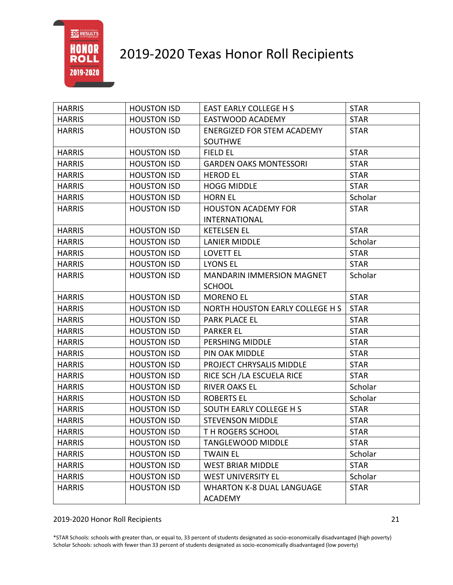

| <b>HARRIS</b> | <b>HOUSTON ISD</b> | <b>EAST EARLY COLLEGE H S</b>     | <b>STAR</b> |
|---------------|--------------------|-----------------------------------|-------------|
| <b>HARRIS</b> | <b>HOUSTON ISD</b> | EASTWOOD ACADEMY                  | <b>STAR</b> |
| <b>HARRIS</b> | <b>HOUSTON ISD</b> | <b>ENERGIZED FOR STEM ACADEMY</b> | <b>STAR</b> |
|               |                    | <b>SOUTHWE</b>                    |             |
| <b>HARRIS</b> | <b>HOUSTON ISD</b> | <b>FIELD EL</b>                   | <b>STAR</b> |
| <b>HARRIS</b> | <b>HOUSTON ISD</b> | <b>GARDEN OAKS MONTESSORI</b>     | <b>STAR</b> |
| <b>HARRIS</b> | <b>HOUSTON ISD</b> | <b>HEROD EL</b>                   | <b>STAR</b> |
| <b>HARRIS</b> | <b>HOUSTON ISD</b> | <b>HOGG MIDDLE</b>                | <b>STAR</b> |
| <b>HARRIS</b> | <b>HOUSTON ISD</b> | <b>HORN EL</b>                    | Scholar     |
| <b>HARRIS</b> | <b>HOUSTON ISD</b> | <b>HOUSTON ACADEMY FOR</b>        | <b>STAR</b> |
|               |                    | <b>INTERNATIONAL</b>              |             |
| <b>HARRIS</b> | <b>HOUSTON ISD</b> | <b>KETELSEN EL</b>                | <b>STAR</b> |
| <b>HARRIS</b> | <b>HOUSTON ISD</b> | <b>LANIER MIDDLE</b>              | Scholar     |
| <b>HARRIS</b> | <b>HOUSTON ISD</b> | <b>LOVETT EL</b>                  | <b>STAR</b> |
| <b>HARRIS</b> | <b>HOUSTON ISD</b> | <b>LYONS EL</b>                   | <b>STAR</b> |
| <b>HARRIS</b> | <b>HOUSTON ISD</b> | <b>MANDARIN IMMERSION MAGNET</b>  | Scholar     |
|               |                    | <b>SCHOOL</b>                     |             |
| <b>HARRIS</b> | <b>HOUSTON ISD</b> | <b>MORENO EL</b>                  | <b>STAR</b> |
| <b>HARRIS</b> | <b>HOUSTON ISD</b> | NORTH HOUSTON EARLY COLLEGE H S   | <b>STAR</b> |
| <b>HARRIS</b> | <b>HOUSTON ISD</b> | PARK PLACE EL                     | <b>STAR</b> |
| <b>HARRIS</b> | <b>HOUSTON ISD</b> | <b>PARKER EL</b>                  | <b>STAR</b> |
| <b>HARRIS</b> | <b>HOUSTON ISD</b> | PERSHING MIDDLE                   | <b>STAR</b> |
| <b>HARRIS</b> | <b>HOUSTON ISD</b> | PIN OAK MIDDLE                    | <b>STAR</b> |
| <b>HARRIS</b> | <b>HOUSTON ISD</b> | PROJECT CHRYSALIS MIDDLE          | <b>STAR</b> |
| <b>HARRIS</b> | <b>HOUSTON ISD</b> | RICE SCH / LA ESCUELA RICE        | <b>STAR</b> |
| <b>HARRIS</b> | <b>HOUSTON ISD</b> | <b>RIVER OAKS EL</b>              | Scholar     |
| <b>HARRIS</b> | <b>HOUSTON ISD</b> | <b>ROBERTS EL</b>                 | Scholar     |
| <b>HARRIS</b> | <b>HOUSTON ISD</b> | SOUTH EARLY COLLEGE H S           | <b>STAR</b> |
| <b>HARRIS</b> | <b>HOUSTON ISD</b> | <b>STEVENSON MIDDLE</b>           | <b>STAR</b> |
| <b>HARRIS</b> | <b>HOUSTON ISD</b> | TH ROGERS SCHOOL                  | <b>STAR</b> |
| <b>HARRIS</b> | <b>HOUSTON ISD</b> | <b>TANGLEWOOD MIDDLE</b>          | <b>STAR</b> |
| <b>HARRIS</b> | <b>HOUSTON ISD</b> | <b>TWAIN EL</b>                   | Scholar     |
| <b>HARRIS</b> | <b>HOUSTON ISD</b> | <b>WEST BRIAR MIDDLE</b>          | <b>STAR</b> |
| <b>HARRIS</b> | <b>HOUSTON ISD</b> | <b>WEST UNIVERSITY EL</b>         | Scholar     |
| <b>HARRIS</b> | <b>HOUSTON ISD</b> | <b>WHARTON K-8 DUAL LANGUAGE</b>  | <b>STAR</b> |
|               |                    | <b>ACADEMY</b>                    |             |

#### 2019-2020 Honor Roll Recipients 21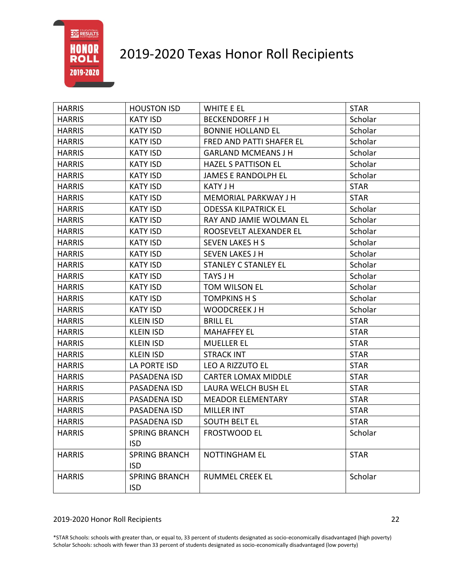# 2019-2020 Texas Honor Roll Recipients

| <b>HARRIS</b> | <b>HOUSTON ISD</b>   | WHITE E EL                  | <b>STAR</b> |
|---------------|----------------------|-----------------------------|-------------|
| <b>HARRIS</b> | <b>KATY ISD</b>      | <b>BECKENDORFF J H</b>      | Scholar     |
| <b>HARRIS</b> | <b>KATY ISD</b>      | <b>BONNIE HOLLAND EL</b>    | Scholar     |
| <b>HARRIS</b> | <b>KATY ISD</b>      | FRED AND PATTI SHAFER EL    | Scholar     |
| <b>HARRIS</b> | <b>KATY ISD</b>      | <b>GARLAND MCMEANS J H</b>  | Scholar     |
| <b>HARRIS</b> | <b>KATY ISD</b>      | <b>HAZEL S PATTISON EL</b>  | Scholar     |
| <b>HARRIS</b> | <b>KATY ISD</b>      | JAMES E RANDOLPH EL         | Scholar     |
| <b>HARRIS</b> | <b>KATY ISD</b>      | <b>KATY J H</b>             | <b>STAR</b> |
| <b>HARRIS</b> | <b>KATY ISD</b>      | <b>MEMORIAL PARKWAY J H</b> | <b>STAR</b> |
| <b>HARRIS</b> | <b>KATY ISD</b>      | <b>ODESSA KILPATRICK EL</b> | Scholar     |
| <b>HARRIS</b> | <b>KATY ISD</b>      | RAY AND JAMIE WOLMAN EL     | Scholar     |
| <b>HARRIS</b> | <b>KATY ISD</b>      | ROOSEVELT ALEXANDER EL      | Scholar     |
| <b>HARRIS</b> | <b>KATY ISD</b>      | <b>SEVEN LAKES H S</b>      | Scholar     |
| <b>HARRIS</b> | <b>KATY ISD</b>      | <b>SEVEN LAKES J H</b>      | Scholar     |
| <b>HARRIS</b> | <b>KATY ISD</b>      | <b>STANLEY C STANLEY EL</b> | Scholar     |
| <b>HARRIS</b> | <b>KATY ISD</b>      | TAYS J H                    | Scholar     |
| <b>HARRIS</b> | <b>KATY ISD</b>      | TOM WILSON EL               | Scholar     |
| <b>HARRIS</b> | <b>KATY ISD</b>      | <b>TOMPKINS H S</b>         | Scholar     |
| <b>HARRIS</b> | <b>KATY ISD</b>      | <b>WOODCREEK J H</b>        | Scholar     |
| <b>HARRIS</b> | <b>KLEIN ISD</b>     | <b>BRILL EL</b>             | <b>STAR</b> |
| <b>HARRIS</b> | <b>KLEIN ISD</b>     | <b>MAHAFFEY EL</b>          | <b>STAR</b> |
| <b>HARRIS</b> | <b>KLEIN ISD</b>     | <b>MUELLER EL</b>           | <b>STAR</b> |
| <b>HARRIS</b> | <b>KLEIN ISD</b>     | <b>STRACK INT</b>           | <b>STAR</b> |
| <b>HARRIS</b> | LA PORTE ISD         | LEO A RIZZUTO EL            | <b>STAR</b> |
| <b>HARRIS</b> | PASADENA ISD         | <b>CARTER LOMAX MIDDLE</b>  | <b>STAR</b> |
| <b>HARRIS</b> | PASADENA ISD         | <b>LAURA WELCH BUSH EL</b>  | <b>STAR</b> |
| <b>HARRIS</b> | PASADENA ISD         | <b>MEADOR ELEMENTARY</b>    | <b>STAR</b> |
| <b>HARRIS</b> | PASADENA ISD         | <b>MILLER INT</b>           | <b>STAR</b> |
| <b>HARRIS</b> | PASADENA ISD         | <b>SOUTH BELT EL</b>        | <b>STAR</b> |
| <b>HARRIS</b> | <b>SPRING BRANCH</b> | FROSTWOOD EL                | Scholar     |
|               | <b>ISD</b>           |                             |             |
| <b>HARRIS</b> | <b>SPRING BRANCH</b> | <b>NOTTINGHAM EL</b>        | <b>STAR</b> |
|               | <b>ISD</b>           |                             |             |
| <b>HARRIS</b> | <b>SPRING BRANCH</b> | <b>RUMMEL CREEK EL</b>      | Scholar     |
|               | <b>ISD</b>           |                             |             |

#### 2019-2020 Honor Roll Recipients 22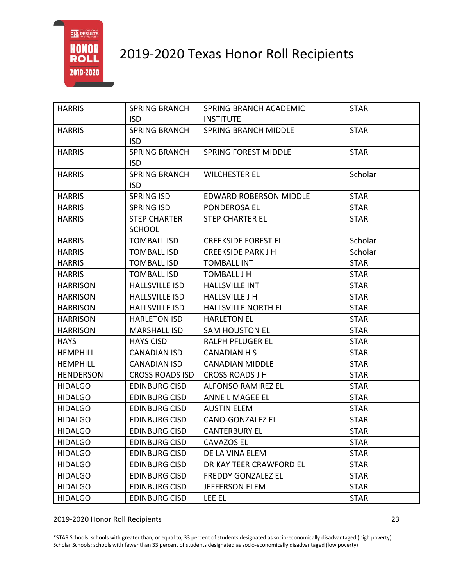

| <b>HARRIS</b>    | <b>SPRING BRANCH</b>   | SPRING BRANCH ACADEMIC        | <b>STAR</b> |
|------------------|------------------------|-------------------------------|-------------|
|                  | ISD.                   | <b>INSTITUTE</b>              |             |
| <b>HARRIS</b>    | <b>SPRING BRANCH</b>   | <b>SPRING BRANCH MIDDLE</b>   | <b>STAR</b> |
|                  | <b>ISD</b>             |                               |             |
| <b>HARRIS</b>    | <b>SPRING BRANCH</b>   | <b>SPRING FOREST MIDDLE</b>   | <b>STAR</b> |
|                  | <b>ISD</b>             |                               |             |
| <b>HARRIS</b>    | <b>SPRING BRANCH</b>   | <b>WILCHESTER EL</b>          | Scholar     |
|                  | <b>ISD</b>             |                               |             |
| <b>HARRIS</b>    | SPRING ISD             | <b>EDWARD ROBERSON MIDDLE</b> | <b>STAR</b> |
| <b>HARRIS</b>    | SPRING ISD             | PONDEROSA EL                  | <b>STAR</b> |
| <b>HARRIS</b>    | <b>STEP CHARTER</b>    | <b>STEP CHARTER EL</b>        | <b>STAR</b> |
|                  | <b>SCHOOL</b>          |                               |             |
| <b>HARRIS</b>    | <b>TOMBALL ISD</b>     | <b>CREEKSIDE FOREST EL</b>    | Scholar     |
| <b>HARRIS</b>    | <b>TOMBALL ISD</b>     | <b>CREEKSIDE PARK J H</b>     | Scholar     |
| <b>HARRIS</b>    | <b>TOMBALL ISD</b>     | <b>TOMBALL INT</b>            | <b>STAR</b> |
| <b>HARRIS</b>    | <b>TOMBALL ISD</b>     | <b>TOMBALL J H</b>            | <b>STAR</b> |
| <b>HARRISON</b>  | <b>HALLSVILLE ISD</b>  | <b>HALLSVILLE INT</b>         | <b>STAR</b> |
| <b>HARRISON</b>  | <b>HALLSVILLE ISD</b>  | <b>HALLSVILLE J H</b>         | <b>STAR</b> |
| <b>HARRISON</b>  | <b>HALLSVILLE ISD</b>  | HALLSVILLE NORTH EL           | <b>STAR</b> |
| <b>HARRISON</b>  | <b>HARLETON ISD</b>    | <b>HARLETON EL</b>            | <b>STAR</b> |
| <b>HARRISON</b>  | <b>MARSHALL ISD</b>    | <b>SAM HOUSTON EL</b>         | <b>STAR</b> |
| <b>HAYS</b>      | <b>HAYS CISD</b>       | <b>RALPH PFLUGER EL</b>       | <b>STAR</b> |
| <b>HEMPHILL</b>  | <b>CANADIAN ISD</b>    | CANADIAN H S                  | <b>STAR</b> |
| <b>HEMPHILL</b>  | <b>CANADIAN ISD</b>    | <b>CANADIAN MIDDLE</b>        | <b>STAR</b> |
| <b>HENDERSON</b> | <b>CROSS ROADS ISD</b> | <b>CROSS ROADS J H</b>        | <b>STAR</b> |
| <b>HIDALGO</b>   | <b>EDINBURG CISD</b>   | <b>ALFONSO RAMIREZ EL</b>     | <b>STAR</b> |
| <b>HIDALGO</b>   | <b>EDINBURG CISD</b>   | ANNE L MAGEE EL               | <b>STAR</b> |
| <b>HIDALGO</b>   | <b>EDINBURG CISD</b>   | <b>AUSTIN ELEM</b>            | <b>STAR</b> |
| <b>HIDALGO</b>   | <b>EDINBURG CISD</b>   | <b>CANO-GONZALEZ EL</b>       | <b>STAR</b> |
| <b>HIDALGO</b>   | <b>EDINBURG CISD</b>   | <b>CANTERBURY EL</b>          | <b>STAR</b> |
| <b>HIDALGO</b>   | <b>EDINBURG CISD</b>   | <b>CAVAZOS EL</b>             | <b>STAR</b> |
| <b>HIDALGO</b>   | <b>EDINBURG CISD</b>   | DE LA VINA ELEM               | <b>STAR</b> |
| <b>HIDALGO</b>   | <b>EDINBURG CISD</b>   | DR KAY TEER CRAWFORD EL       | <b>STAR</b> |
| <b>HIDALGO</b>   | <b>EDINBURG CISD</b>   | <b>FREDDY GONZALEZ EL</b>     | <b>STAR</b> |
| <b>HIDALGO</b>   | <b>EDINBURG CISD</b>   | JEFFERSON ELEM                | <b>STAR</b> |
| <b>HIDALGO</b>   | <b>EDINBURG CISD</b>   | <b>LEE EL</b>                 | <b>STAR</b> |

#### 2019-2020 Honor Roll Recipients 23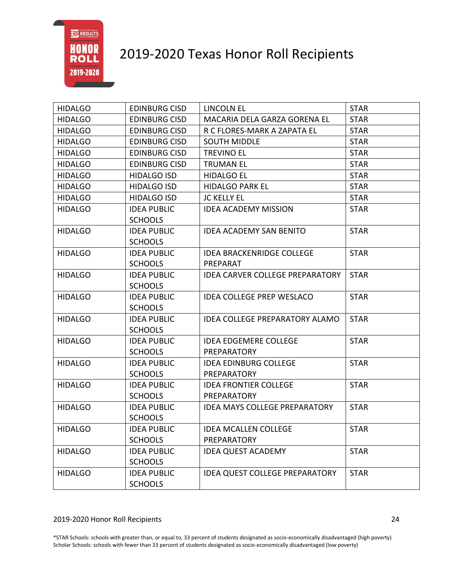# 2019-2020 Texas Honor Roll Recipients

| <b>HIDALGO</b> | <b>EDINBURG CISD</b> | LINCOLN EL                             | <b>STAR</b> |
|----------------|----------------------|----------------------------------------|-------------|
| <b>HIDALGO</b> | <b>EDINBURG CISD</b> | MACARIA DELA GARZA GORENA EL           | <b>STAR</b> |
| <b>HIDALGO</b> | <b>EDINBURG CISD</b> | R C FLORES-MARK A ZAPATA EL            | <b>STAR</b> |
| <b>HIDALGO</b> | <b>EDINBURG CISD</b> | <b>SOUTH MIDDLE</b>                    | <b>STAR</b> |
| <b>HIDALGO</b> | <b>EDINBURG CISD</b> | <b>TREVINO EL</b>                      | <b>STAR</b> |
| <b>HIDALGO</b> | <b>EDINBURG CISD</b> | <b>TRUMAN EL</b>                       | <b>STAR</b> |
| <b>HIDALGO</b> | <b>HIDALGO ISD</b>   | <b>HIDALGO EL</b>                      | <b>STAR</b> |
| <b>HIDALGO</b> | <b>HIDALGO ISD</b>   | <b>HIDALGO PARK EL</b>                 | <b>STAR</b> |
| <b>HIDALGO</b> | <b>HIDALGO ISD</b>   | <b>JC KELLY EL</b>                     | <b>STAR</b> |
| <b>HIDALGO</b> | <b>IDEA PUBLIC</b>   | <b>IDEA ACADEMY MISSION</b>            | <b>STAR</b> |
|                | <b>SCHOOLS</b>       |                                        |             |
| <b>HIDALGO</b> | <b>IDEA PUBLIC</b>   | <b>IDEA ACADEMY SAN BENITO</b>         | <b>STAR</b> |
|                | <b>SCHOOLS</b>       |                                        |             |
| <b>HIDALGO</b> | <b>IDEA PUBLIC</b>   | <b>IDEA BRACKENRIDGE COLLEGE</b>       | <b>STAR</b> |
|                | <b>SCHOOLS</b>       | PREPARAT                               |             |
| <b>HIDALGO</b> | <b>IDEA PUBLIC</b>   | <b>IDEA CARVER COLLEGE PREPARATORY</b> | <b>STAR</b> |
|                | <b>SCHOOLS</b>       |                                        |             |
| <b>HIDALGO</b> | <b>IDEA PUBLIC</b>   | <b>IDEA COLLEGE PREP WESLACO</b>       | <b>STAR</b> |
|                | <b>SCHOOLS</b>       |                                        |             |
| <b>HIDALGO</b> | <b>IDEA PUBLIC</b>   | <b>IDEA COLLEGE PREPARATORY ALAMO</b>  | <b>STAR</b> |
|                | <b>SCHOOLS</b>       |                                        |             |
| <b>HIDALGO</b> | <b>IDEA PUBLIC</b>   | <b>IDEA EDGEMERE COLLEGE</b>           | <b>STAR</b> |
|                | <b>SCHOOLS</b>       | PREPARATORY                            |             |
| <b>HIDALGO</b> | <b>IDEA PUBLIC</b>   | <b>IDEA EDINBURG COLLEGE</b>           | <b>STAR</b> |
|                | <b>SCHOOLS</b>       | PREPARATORY                            |             |
| <b>HIDALGO</b> | <b>IDEA PUBLIC</b>   | <b>IDEA FRONTIER COLLEGE</b>           | <b>STAR</b> |
|                | <b>SCHOOLS</b>       | <b>PREPARATORY</b>                     |             |
| <b>HIDALGO</b> | <b>IDEA PUBLIC</b>   | <b>IDEA MAYS COLLEGE PREPARATORY</b>   | <b>STAR</b> |
|                | <b>SCHOOLS</b>       |                                        |             |
| <b>HIDALGO</b> | <b>IDEA PUBLIC</b>   | <b>IDEA MCALLEN COLLEGE</b>            | <b>STAR</b> |
|                | <b>SCHOOLS</b>       | PREPARATORY                            |             |
| <b>HIDALGO</b> | <b>IDEA PUBLIC</b>   | <b>IDEA QUEST ACADEMY</b>              | <b>STAR</b> |
|                | <b>SCHOOLS</b>       |                                        |             |
| <b>HIDALGO</b> | <b>IDEA PUBLIC</b>   | <b>IDEA QUEST COLLEGE PREPARATORY</b>  | <b>STAR</b> |
|                | <b>SCHOOLS</b>       |                                        |             |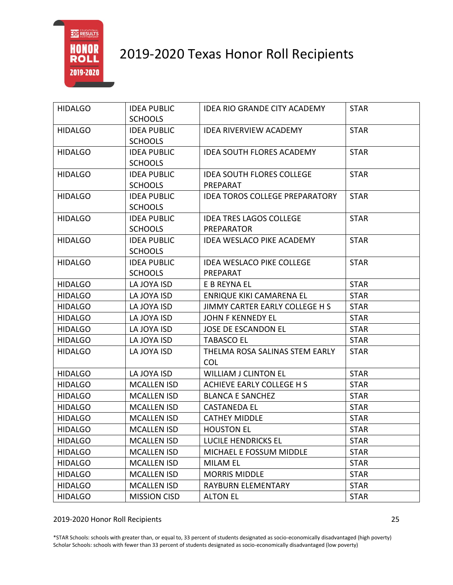

| <b>HIDALGO</b> | <b>IDEA PUBLIC</b><br><b>SCHOOLS</b> | IDEA RIO GRANDE CITY ACADEMY                 | <b>STAR</b> |
|----------------|--------------------------------------|----------------------------------------------|-------------|
| <b>HIDALGO</b> | <b>IDEA PUBLIC</b>                   | <b>IDEA RIVERVIEW ACADEMY</b>                | <b>STAR</b> |
|                | <b>SCHOOLS</b>                       |                                              |             |
| <b>HIDALGO</b> | <b>IDEA PUBLIC</b><br><b>SCHOOLS</b> | <b>IDEA SOUTH FLORES ACADEMY</b>             | <b>STAR</b> |
| <b>HIDALGO</b> | <b>IDEA PUBLIC</b>                   | <b>IDEA SOUTH FLORES COLLEGE</b>             | <b>STAR</b> |
|                | <b>SCHOOLS</b>                       | PREPARAT                                     |             |
| <b>HIDALGO</b> | <b>IDEA PUBLIC</b>                   | <b>IDEA TOROS COLLEGE PREPARATORY</b>        | <b>STAR</b> |
|                | <b>SCHOOLS</b>                       |                                              |             |
| <b>HIDALGO</b> | <b>IDEA PUBLIC</b>                   | <b>IDEA TRES LAGOS COLLEGE</b>               | <b>STAR</b> |
|                | <b>SCHOOLS</b>                       | PREPARATOR                                   |             |
| <b>HIDALGO</b> | <b>IDEA PUBLIC</b>                   | <b>IDEA WESLACO PIKE ACADEMY</b>             | <b>STAR</b> |
|                | <b>SCHOOLS</b>                       |                                              |             |
| <b>HIDALGO</b> | <b>IDEA PUBLIC</b>                   | <b>IDEA WESLACO PIKE COLLEGE</b>             | <b>STAR</b> |
|                | <b>SCHOOLS</b>                       | PREPARAT                                     |             |
| <b>HIDALGO</b> | LA JOYA ISD                          | E B REYNA EL                                 | <b>STAR</b> |
| <b>HIDALGO</b> | LA JOYA ISD                          | ENRIQUE KIKI CAMARENA EL                     | <b>STAR</b> |
| <b>HIDALGO</b> | LA JOYA ISD                          | JIMMY CARTER EARLY COLLEGE H S               | <b>STAR</b> |
| <b>HIDALGO</b> | LA JOYA ISD                          | <b>JOHN F KENNEDY EL</b>                     | <b>STAR</b> |
| <b>HIDALGO</b> | LA JOYA ISD                          | JOSE DE ESCANDON EL                          | <b>STAR</b> |
| <b>HIDALGO</b> | LA JOYA ISD                          | <b>TABASCO EL</b>                            | <b>STAR</b> |
| <b>HIDALGO</b> | LA JOYA ISD                          | THELMA ROSA SALINAS STEM EARLY<br><b>COL</b> | <b>STAR</b> |
|                | LA JOYA ISD                          | <b>WILLIAM J CLINTON EL</b>                  | <b>STAR</b> |
| <b>HIDALGO</b> |                                      |                                              |             |
| <b>HIDALGO</b> | <b>MCALLEN ISD</b>                   | ACHIEVE EARLY COLLEGE H S                    | <b>STAR</b> |
| <b>HIDALGO</b> | <b>MCALLEN ISD</b>                   | <b>BLANCA E SANCHEZ</b>                      | <b>STAR</b> |
| <b>HIDALGO</b> | <b>MCALLEN ISD</b>                   | <b>CASTANEDA EL</b>                          | <b>STAR</b> |
| <b>HIDALGO</b> | <b>MCALLEN ISD</b>                   | <b>CATHEY MIDDLE</b>                         | <b>STAR</b> |
| <b>HIDALGO</b> | <b>MCALLEN ISD</b>                   | <b>HOUSTON EL</b>                            | <b>STAR</b> |
| <b>HIDALGO</b> | <b>MCALLEN ISD</b>                   | LUCILE HENDRICKS EL                          | <b>STAR</b> |
| <b>HIDALGO</b> | <b>MCALLEN ISD</b>                   | MICHAEL E FOSSUM MIDDLE                      | <b>STAR</b> |
| <b>HIDALGO</b> | <b>MCALLEN ISD</b>                   | <b>MILAM EL</b>                              | <b>STAR</b> |
| <b>HIDALGO</b> | <b>MCALLEN ISD</b>                   | <b>MORRIS MIDDLE</b>                         | <b>STAR</b> |
| <b>HIDALGO</b> | <b>MCALLEN ISD</b>                   | RAYBURN ELEMENTARY                           | <b>STAR</b> |
| <b>HIDALGO</b> | <b>MISSION CISD</b>                  | <b>ALTON EL</b>                              | <b>STAR</b> |

#### 2019-2020 Honor Roll Recipients 25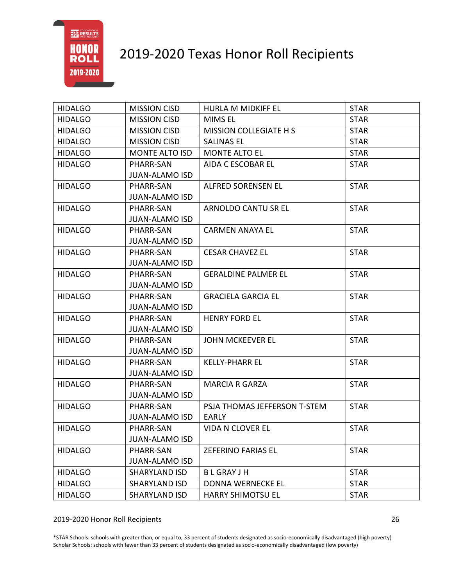

| <b>HIDALGO</b> | <b>MISSION CISD</b>   | HURLA M MIDKIFF EL            | <b>STAR</b> |
|----------------|-----------------------|-------------------------------|-------------|
| <b>HIDALGO</b> | <b>MISSION CISD</b>   | <b>MIMS EL</b>                | <b>STAR</b> |
| <b>HIDALGO</b> | <b>MISSION CISD</b>   | <b>MISSION COLLEGIATE H S</b> | <b>STAR</b> |
| <b>HIDALGO</b> | <b>MISSION CISD</b>   | <b>SALINAS EL</b>             | <b>STAR</b> |
| <b>HIDALGO</b> | <b>MONTE ALTO ISD</b> | <b>MONTE ALTO EL</b>          | <b>STAR</b> |
| <b>HIDALGO</b> | PHARR-SAN             | AIDA C ESCOBAR EL             | <b>STAR</b> |
|                | <b>JUAN-ALAMO ISD</b> |                               |             |
| <b>HIDALGO</b> | PHARR-SAN             | ALFRED SORENSEN EL            | <b>STAR</b> |
|                | <b>JUAN-ALAMO ISD</b> |                               |             |
| <b>HIDALGO</b> | PHARR-SAN             | ARNOLDO CANTU SR EL           | <b>STAR</b> |
|                | <b>JUAN-ALAMO ISD</b> |                               |             |
| <b>HIDALGO</b> | PHARR-SAN             | <b>CARMEN ANAYA EL</b>        | <b>STAR</b> |
|                | <b>JUAN-ALAMO ISD</b> |                               |             |
| <b>HIDALGO</b> | PHARR-SAN             | <b>CESAR CHAVEZ EL</b>        | <b>STAR</b> |
|                | <b>JUAN-ALAMO ISD</b> |                               |             |
| <b>HIDALGO</b> | PHARR-SAN             | <b>GERALDINE PALMER EL</b>    | <b>STAR</b> |
|                | <b>JUAN-ALAMO ISD</b> |                               |             |
| <b>HIDALGO</b> | PHARR-SAN             | <b>GRACIELA GARCIA EL</b>     | <b>STAR</b> |
|                | <b>JUAN-ALAMO ISD</b> |                               |             |
| <b>HIDALGO</b> | PHARR-SAN             | <b>HENRY FORD EL</b>          | <b>STAR</b> |
|                | <b>JUAN-ALAMO ISD</b> |                               |             |
| <b>HIDALGO</b> | PHARR-SAN             | <b>JOHN MCKEEVER EL</b>       | <b>STAR</b> |
|                | <b>JUAN-ALAMO ISD</b> |                               |             |
| <b>HIDALGO</b> | PHARR-SAN             | <b>KELLY-PHARR EL</b>         | <b>STAR</b> |
|                | <b>JUAN-ALAMO ISD</b> |                               |             |
| <b>HIDALGO</b> | PHARR-SAN             | <b>MARCIA R GARZA</b>         | <b>STAR</b> |
|                | <b>JUAN-ALAMO ISD</b> |                               |             |
| <b>HIDALGO</b> | PHARR-SAN             | PSJA THOMAS JEFFERSON T-STEM  | <b>STAR</b> |
|                | <b>JUAN-ALAMO ISD</b> | <b>EARLY</b>                  |             |
| <b>HIDALGO</b> | PHARR-SAN             | <b>VIDA N CLOVER EL</b>       | <b>STAR</b> |
|                | <b>JUAN-ALAMO ISD</b> |                               |             |
| <b>HIDALGO</b> | PHARR-SAN             | <b>ZEFERINO FARIAS EL</b>     | <b>STAR</b> |
|                | <b>JUAN-ALAMO ISD</b> |                               |             |
| <b>HIDALGO</b> | <b>SHARYLAND ISD</b>  | <b>BLGRAYJH</b>               | <b>STAR</b> |
| <b>HIDALGO</b> | <b>SHARYLAND ISD</b>  | <b>DONNA WERNECKE EL</b>      | <b>STAR</b> |
| <b>HIDALGO</b> | <b>SHARYLAND ISD</b>  | <b>HARRY SHIMOTSU EL</b>      | <b>STAR</b> |

2019-2020 Honor Roll Recipients 26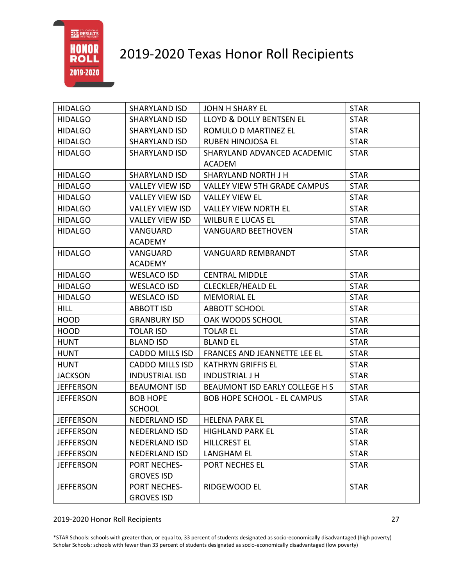

| <b>HIDALGO</b>   | <b>SHARYLAND ISD</b>       | <b>JOHN H SHARY EL</b>                       | <b>STAR</b> |
|------------------|----------------------------|----------------------------------------------|-------------|
| <b>HIDALGO</b>   | <b>SHARYLAND ISD</b>       | LLOYD & DOLLY BENTSEN EL                     | <b>STAR</b> |
| <b>HIDALGO</b>   | SHARYLAND ISD              | ROMULO D MARTINEZ EL                         | <b>STAR</b> |
| <b>HIDALGO</b>   | <b>SHARYLAND ISD</b>       | <b>RUBEN HINOJOSA EL</b>                     | <b>STAR</b> |
| <b>HIDALGO</b>   | <b>SHARYLAND ISD</b>       | SHARYLAND ADVANCED ACADEMIC<br><b>ACADEM</b> | <b>STAR</b> |
| <b>HIDALGO</b>   | <b>SHARYLAND ISD</b>       | SHARYLAND NORTH J H                          | <b>STAR</b> |
| <b>HIDALGO</b>   | <b>VALLEY VIEW ISD</b>     | <b>VALLEY VIEW 5TH GRADE CAMPUS</b>          | <b>STAR</b> |
| <b>HIDALGO</b>   | <b>VALLEY VIEW ISD</b>     | <b>VALLEY VIEW EL</b>                        | <b>STAR</b> |
| <b>HIDALGO</b>   | <b>VALLEY VIEW ISD</b>     | <b>VALLEY VIEW NORTH EL</b>                  | <b>STAR</b> |
| <b>HIDALGO</b>   | <b>VALLEY VIEW ISD</b>     | <b>WILBUR E LUCAS EL</b>                     | <b>STAR</b> |
| <b>HIDALGO</b>   | VANGUARD                   | <b>VANGUARD BEETHOVEN</b>                    | <b>STAR</b> |
|                  | <b>ACADEMY</b>             |                                              |             |
| <b>HIDALGO</b>   | VANGUARD<br><b>ACADEMY</b> | <b>VANGUARD REMBRANDT</b>                    | <b>STAR</b> |
| <b>HIDALGO</b>   | <b>WESLACO ISD</b>         | <b>CENTRAL MIDDLE</b>                        | <b>STAR</b> |
| <b>HIDALGO</b>   | <b>WESLACO ISD</b>         | <b>CLECKLER/HEALD EL</b>                     | <b>STAR</b> |
| <b>HIDALGO</b>   | <b>WESLACO ISD</b>         | <b>MEMORIAL EL</b>                           | <b>STAR</b> |
| <b>HILL</b>      | <b>ABBOTT ISD</b>          | <b>ABBOTT SCHOOL</b>                         | <b>STAR</b> |
| <b>HOOD</b>      | <b>GRANBURY ISD</b>        | OAK WOODS SCHOOL                             | <b>STAR</b> |
| <b>HOOD</b>      | <b>TOLAR ISD</b>           | <b>TOLAR EL</b>                              | <b>STAR</b> |
| <b>HUNT</b>      | <b>BLAND ISD</b>           | <b>BLAND EL</b>                              | <b>STAR</b> |
| <b>HUNT</b>      | <b>CADDO MILLS ISD</b>     | FRANCES AND JEANNETTE LEE EL                 | <b>STAR</b> |
| <b>HUNT</b>      | <b>CADDO MILLS ISD</b>     | <b>KATHRYN GRIFFIS EL</b>                    | <b>STAR</b> |
| <b>JACKSON</b>   | <b>INDUSTRIAL ISD</b>      | <b>INDUSTRIAL J H</b>                        | <b>STAR</b> |
| <b>JEFFERSON</b> | <b>BEAUMONT ISD</b>        | BEAUMONT ISD EARLY COLLEGE H S               | <b>STAR</b> |
| <b>JEFFERSON</b> | <b>BOB HOPE</b>            | <b>BOB HOPE SCHOOL - EL CAMPUS</b>           | <b>STAR</b> |
|                  | <b>SCHOOL</b>              |                                              |             |
| <b>JEFFERSON</b> | <b>NEDERLAND ISD</b>       | <b>HELENA PARK EL</b>                        | <b>STAR</b> |
| <b>JEFFERSON</b> | NEDERLAND ISD              | <b>HIGHLAND PARK EL</b>                      | <b>STAR</b> |
| <b>JEFFERSON</b> | NEDERLAND ISD              | <b>HILLCREST EL</b>                          | <b>STAR</b> |
| <b>JEFFERSON</b> | <b>NEDERLAND ISD</b>       | <b>LANGHAM EL</b>                            | <b>STAR</b> |
| <b>JEFFERSON</b> | PORT NECHES-               | PORT NECHES EL                               | <b>STAR</b> |
|                  | <b>GROVES ISD</b>          |                                              |             |
| <b>JEFFERSON</b> | PORT NECHES-               | RIDGEWOOD EL                                 | <b>STAR</b> |
|                  | <b>GROVES ISD</b>          |                                              |             |

#### 2019-2020 Honor Roll Recipients 27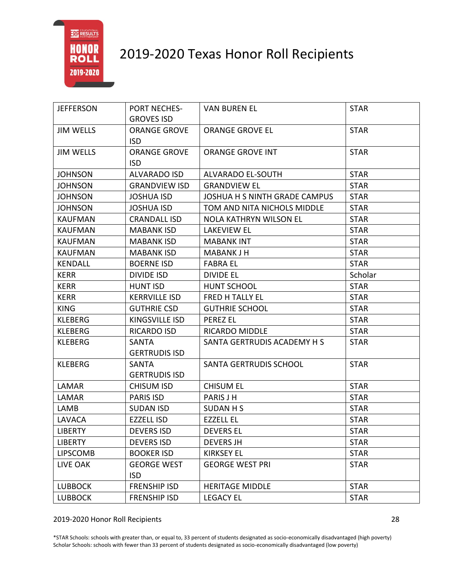

| <b>JEFFERSON</b> | <b>PORT NECHES-</b>  | <b>VAN BUREN EL</b>           | <b>STAR</b> |
|------------------|----------------------|-------------------------------|-------------|
|                  | <b>GROVES ISD</b>    |                               |             |
| <b>JIM WELLS</b> | <b>ORANGE GROVE</b>  | <b>ORANGE GROVE EL</b>        | <b>STAR</b> |
|                  | <b>ISD</b>           |                               |             |
| <b>JIM WELLS</b> | <b>ORANGE GROVE</b>  | <b>ORANGE GROVE INT</b>       | <b>STAR</b> |
|                  | <b>ISD</b>           |                               |             |
| <b>JOHNSON</b>   | <b>ALVARADO ISD</b>  | ALVARADO EL-SOUTH             | <b>STAR</b> |
| <b>JOHNSON</b>   | <b>GRANDVIEW ISD</b> | <b>GRANDVIEW EL</b>           | <b>STAR</b> |
| <b>JOHNSON</b>   | <b>JOSHUA ISD</b>    | JOSHUA H S NINTH GRADE CAMPUS | <b>STAR</b> |
| <b>JOHNSON</b>   | <b>JOSHUA ISD</b>    | TOM AND NITA NICHOLS MIDDLE   | <b>STAR</b> |
| <b>KAUFMAN</b>   | <b>CRANDALL ISD</b>  | <b>NOLA KATHRYN WILSON EL</b> | <b>STAR</b> |
| <b>KAUFMAN</b>   | <b>MABANK ISD</b>    | <b>LAKEVIEW EL</b>            | <b>STAR</b> |
| <b>KAUFMAN</b>   | <b>MABANK ISD</b>    | <b>MABANK INT</b>             | <b>STAR</b> |
| <b>KAUFMAN</b>   | <b>MABANK ISD</b>    | <b>MABANK J H</b>             | <b>STAR</b> |
| <b>KENDALL</b>   | <b>BOERNE ISD</b>    | <b>FABRA EL</b>               | <b>STAR</b> |
| <b>KERR</b>      | <b>DIVIDE ISD</b>    | <b>DIVIDE EL</b>              | Scholar     |
| <b>KERR</b>      | <b>HUNT ISD</b>      | HUNT SCHOOL                   | <b>STAR</b> |
| <b>KERR</b>      | <b>KERRVILLE ISD</b> | FRED H TALLY EL               | <b>STAR</b> |
| <b>KING</b>      | <b>GUTHRIE CSD</b>   | <b>GUTHRIE SCHOOL</b>         | <b>STAR</b> |
| <b>KLEBERG</b>   | KINGSVILLE ISD       | <b>PEREZ EL</b>               | <b>STAR</b> |
| <b>KLEBERG</b>   | <b>RICARDO ISD</b>   | RICARDO MIDDLE                | <b>STAR</b> |
| <b>KLEBERG</b>   | SANTA                | SANTA GERTRUDIS ACADEMY H S   | <b>STAR</b> |
|                  | <b>GERTRUDIS ISD</b> |                               |             |
| <b>KLEBERG</b>   | SANTA                | SANTA GERTRUDIS SCHOOL        | <b>STAR</b> |
|                  | <b>GERTRUDIS ISD</b> |                               |             |
| LAMAR            | <b>CHISUM ISD</b>    | <b>CHISUM EL</b>              | <b>STAR</b> |
| LAMAR            | <b>PARIS ISD</b>     | <b>PARIS J H</b>              | <b>STAR</b> |
| LAMB             | <b>SUDAN ISD</b>     | <b>SUDAN H S</b>              | <b>STAR</b> |
| LAVACA           | <b>EZZELL ISD</b>    | <b>EZZELL EL</b>              | <b>STAR</b> |
| <b>LIBERTY</b>   | <b>DEVERS ISD</b>    | <b>DEVERS EL</b>              | <b>STAR</b> |
| <b>LIBERTY</b>   | <b>DEVERS ISD</b>    | <b>DEVERS JH</b>              | <b>STAR</b> |
| <b>LIPSCOMB</b>  | <b>BOOKER ISD</b>    | <b>KIRKSEY EL</b>             | <b>STAR</b> |
| LIVE OAK         | <b>GEORGE WEST</b>   | <b>GEORGE WEST PRI</b>        | <b>STAR</b> |
|                  | <b>ISD</b>           |                               |             |
| <b>LUBBOCK</b>   | <b>FRENSHIP ISD</b>  | <b>HERITAGE MIDDLE</b>        | <b>STAR</b> |
| <b>LUBBOCK</b>   | <b>FRENSHIP ISD</b>  | <b>LEGACY EL</b>              | <b>STAR</b> |

2019-2020 Honor Roll Recipients 28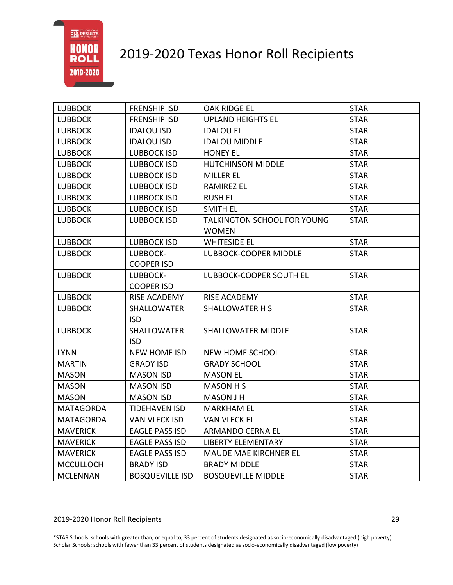### 2019-2020 Texas Honor Roll Recipients

| <b>LUBBOCK</b>   | <b>FRENSHIP ISD</b>              | OAK RIDGE EL                                | <b>STAR</b> |
|------------------|----------------------------------|---------------------------------------------|-------------|
| <b>LUBBOCK</b>   | <b>FRENSHIP ISD</b>              | <b>UPLAND HEIGHTS EL</b>                    | <b>STAR</b> |
| <b>LUBBOCK</b>   | <b>IDALOU ISD</b>                | <b>IDALOU EL</b>                            | <b>STAR</b> |
| <b>LUBBOCK</b>   | <b>IDALOU ISD</b>                | <b>IDALOU MIDDLE</b>                        | <b>STAR</b> |
| <b>LUBBOCK</b>   | <b>LUBBOCK ISD</b>               | <b>HONEY EL</b>                             | <b>STAR</b> |
| <b>LUBBOCK</b>   | <b>LUBBOCK ISD</b>               | <b>HUTCHINSON MIDDLE</b>                    | <b>STAR</b> |
| <b>LUBBOCK</b>   | <b>LUBBOCK ISD</b>               | MILLER EL                                   | <b>STAR</b> |
| <b>LUBBOCK</b>   | <b>LUBBOCK ISD</b>               | <b>RAMIREZ EL</b>                           | <b>STAR</b> |
| <b>LUBBOCK</b>   | <b>LUBBOCK ISD</b>               | <b>RUSH EL</b>                              | <b>STAR</b> |
| <b>LUBBOCK</b>   | <b>LUBBOCK ISD</b>               | <b>SMITH EL</b>                             | <b>STAR</b> |
| <b>LUBBOCK</b>   | <b>LUBBOCK ISD</b>               | TALKINGTON SCHOOL FOR YOUNG<br><b>WOMEN</b> | <b>STAR</b> |
| <b>LUBBOCK</b>   | <b>LUBBOCK ISD</b>               | <b>WHITESIDE EL</b>                         | <b>STAR</b> |
| <b>LUBBOCK</b>   | LUBBOCK-                         | <b>LUBBOCK-COOPER MIDDLE</b>                | <b>STAR</b> |
|                  | <b>COOPER ISD</b>                |                                             |             |
| <b>LUBBOCK</b>   | LUBBOCK-                         | LUBBOCK-COOPER SOUTH EL                     | <b>STAR</b> |
|                  | <b>COOPER ISD</b>                |                                             |             |
| <b>LUBBOCK</b>   | RISE ACADEMY                     | RISE ACADEMY                                | <b>STAR</b> |
| <b>LUBBOCK</b>   | <b>SHALLOWATER</b>               | <b>SHALLOWATER H S</b>                      | <b>STAR</b> |
|                  | <b>ISD</b>                       |                                             |             |
| <b>LUBBOCK</b>   | <b>SHALLOWATER</b><br><b>ISD</b> | <b>SHALLOWATER MIDDLE</b>                   | <b>STAR</b> |
| <b>LYNN</b>      | <b>NEW HOME ISD</b>              | <b>NEW HOME SCHOOL</b>                      | <b>STAR</b> |
| <b>MARTIN</b>    | <b>GRADY ISD</b>                 | <b>GRADY SCHOOL</b>                         | <b>STAR</b> |
| <b>MASON</b>     | <b>MASON ISD</b>                 | <b>MASON EL</b>                             | <b>STAR</b> |
| <b>MASON</b>     | <b>MASON ISD</b>                 | <b>MASON H S</b>                            | <b>STAR</b> |
| <b>MASON</b>     | <b>MASON ISD</b>                 | <b>MASON J H</b>                            | <b>STAR</b> |
| <b>MATAGORDA</b> | <b>TIDEHAVEN ISD</b>             | <b>MARKHAM EL</b>                           | <b>STAR</b> |
| <b>MATAGORDA</b> | <b>VAN VLECK ISD</b>             | <b>VAN VLECK EL</b>                         | <b>STAR</b> |
| <b>MAVERICK</b>  | <b>EAGLE PASS ISD</b>            | ARMANDO CERNA EL                            | <b>STAR</b> |
| <b>MAVERICK</b>  | <b>EAGLE PASS ISD</b>            | <b>LIBERTY ELEMENTARY</b>                   | <b>STAR</b> |
| <b>MAVERICK</b>  | <b>EAGLE PASS ISD</b>            | <b>MAUDE MAE KIRCHNER EL</b>                | <b>STAR</b> |
| <b>MCCULLOCH</b> | <b>BRADY ISD</b>                 | <b>BRADY MIDDLE</b>                         | <b>STAR</b> |
| <b>MCLENNAN</b>  | <b>BOSQUEVILLE ISD</b>           | <b>BOSQUEVILLE MIDDLE</b>                   | <b>STAR</b> |

#### 2019-2020 Honor Roll Recipients 29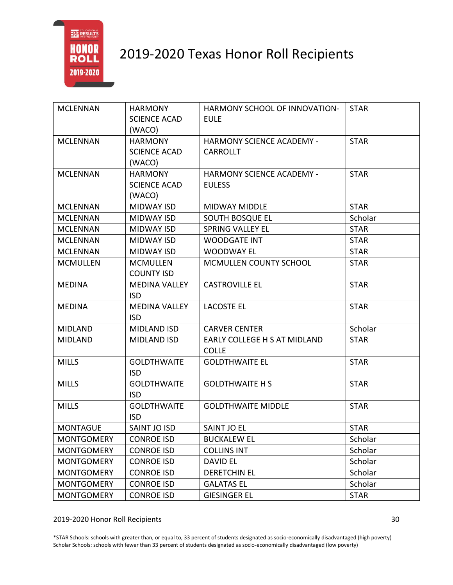

| <b>MCLENNAN</b>   | <b>HARMONY</b>       | HARMONY SCHOOL OF INNOVATION-    | <b>STAR</b> |
|-------------------|----------------------|----------------------------------|-------------|
|                   | <b>SCIENCE ACAD</b>  | <b>EULE</b>                      |             |
|                   | (WACO)               |                                  |             |
| <b>MCLENNAN</b>   | <b>HARMONY</b>       | <b>HARMONY SCIENCE ACADEMY -</b> | <b>STAR</b> |
|                   | <b>SCIENCE ACAD</b>  | <b>CARROLLT</b>                  |             |
|                   | (WACO)               |                                  |             |
| <b>MCLENNAN</b>   | <b>HARMONY</b>       | <b>HARMONY SCIENCE ACADEMY -</b> | <b>STAR</b> |
|                   | <b>SCIENCE ACAD</b>  | <b>EULESS</b>                    |             |
|                   | (WACO)               |                                  |             |
| <b>MCLENNAN</b>   | <b>MIDWAY ISD</b>    | <b>MIDWAY MIDDLE</b>             | <b>STAR</b> |
| <b>MCLENNAN</b>   | <b>MIDWAY ISD</b>    | SOUTH BOSQUE EL                  | Scholar     |
| <b>MCLENNAN</b>   | <b>MIDWAY ISD</b>    | <b>SPRING VALLEY EL</b>          | <b>STAR</b> |
| <b>MCLENNAN</b>   | <b>MIDWAY ISD</b>    | <b>WOODGATE INT</b>              | <b>STAR</b> |
| <b>MCLENNAN</b>   | <b>MIDWAY ISD</b>    | <b>WOODWAY EL</b>                | <b>STAR</b> |
| <b>MCMULLEN</b>   | <b>MCMULLEN</b>      | <b>MCMULLEN COUNTY SCHOOL</b>    | <b>STAR</b> |
|                   | <b>COUNTY ISD</b>    |                                  |             |
| <b>MEDINA</b>     | <b>MEDINA VALLEY</b> | <b>CASTROVILLE EL</b>            | <b>STAR</b> |
|                   | <b>ISD</b>           |                                  |             |
| <b>MEDINA</b>     | <b>MEDINA VALLEY</b> | <b>LACOSTE EL</b>                | <b>STAR</b> |
|                   | <b>ISD</b>           |                                  |             |
| <b>MIDLAND</b>    | <b>MIDLAND ISD</b>   | <b>CARVER CENTER</b>             | Scholar     |
| <b>MIDLAND</b>    | <b>MIDLAND ISD</b>   | EARLY COLLEGE H S AT MIDLAND     | <b>STAR</b> |
|                   |                      | <b>COLLE</b>                     |             |
| <b>MILLS</b>      | <b>GOLDTHWAITE</b>   | <b>GOLDTHWAITE EL</b>            | <b>STAR</b> |
|                   | <b>ISD</b>           |                                  |             |
| <b>MILLS</b>      | <b>GOLDTHWAITE</b>   | <b>GOLDTHWAITE H S</b>           | <b>STAR</b> |
|                   | <b>ISD</b>           |                                  |             |
| <b>MILLS</b>      | <b>GOLDTHWAITE</b>   | <b>GOLDTHWAITE MIDDLE</b>        | <b>STAR</b> |
|                   | <b>ISD</b>           |                                  |             |
| <b>MONTAGUE</b>   | SAINT JO ISD         | <b>SAINT JO EL</b>               | <b>STAR</b> |
| <b>MONTGOMERY</b> | <b>CONROE ISD</b>    | <b>BUCKALEW EL</b>               | Scholar     |
| <b>MONTGOMERY</b> | <b>CONROE ISD</b>    | <b>COLLINS INT</b>               | Scholar     |
| <b>MONTGOMERY</b> | <b>CONROE ISD</b>    | <b>DAVID EL</b>                  | Scholar     |
| <b>MONTGOMERY</b> | <b>CONROE ISD</b>    | <b>DERETCHIN EL</b>              | Scholar     |
| <b>MONTGOMERY</b> | <b>CONROE ISD</b>    | <b>GALATAS EL</b>                | Scholar     |
| <b>MONTGOMERY</b> | <b>CONROE ISD</b>    | <b>GIESINGER EL</b>              | <b>STAR</b> |

### 2019-2020 Honor Roll Recipients 30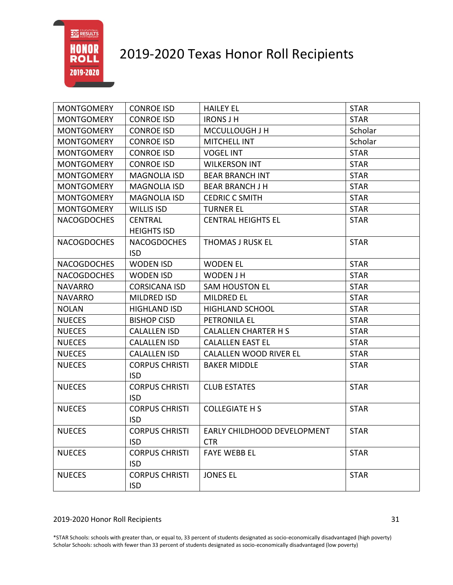

| <b>MONTGOMERY</b>  | <b>CONROE ISD</b>                   | <b>HAILEY EL</b>                          | <b>STAR</b> |
|--------------------|-------------------------------------|-------------------------------------------|-------------|
| <b>MONTGOMERY</b>  | <b>CONROE ISD</b>                   | <b>IRONS J H</b>                          | <b>STAR</b> |
| <b>MONTGOMERY</b>  | <b>CONROE ISD</b>                   | MCCULLOUGH J H                            | Scholar     |
| <b>MONTGOMERY</b>  | <b>CONROE ISD</b>                   | MITCHELL INT                              | Scholar     |
| <b>MONTGOMERY</b>  | <b>CONROE ISD</b>                   | <b>VOGEL INT</b>                          | <b>STAR</b> |
| <b>MONTGOMERY</b>  | <b>CONROE ISD</b>                   | <b>WILKERSON INT</b>                      | <b>STAR</b> |
| <b>MONTGOMERY</b>  | <b>MAGNOLIA ISD</b>                 | <b>BEAR BRANCH INT</b>                    | <b>STAR</b> |
| <b>MONTGOMERY</b>  | <b>MAGNOLIA ISD</b>                 | <b>BEAR BRANCH J H</b>                    | <b>STAR</b> |
| <b>MONTGOMERY</b>  | <b>MAGNOLIA ISD</b>                 | <b>CEDRIC C SMITH</b>                     | <b>STAR</b> |
| <b>MONTGOMERY</b>  | <b>WILLIS ISD</b>                   | <b>TURNER EL</b>                          | <b>STAR</b> |
| <b>NACOGDOCHES</b> | <b>CENTRAL</b>                      | <b>CENTRAL HEIGHTS EL</b>                 | <b>STAR</b> |
|                    | <b>HEIGHTS ISD</b>                  |                                           |             |
| <b>NACOGDOCHES</b> | <b>NACOGDOCHES</b>                  | <b>THOMAS J RUSK EL</b>                   | <b>STAR</b> |
|                    | <b>ISD</b>                          |                                           |             |
| <b>NACOGDOCHES</b> | <b>WODEN ISD</b>                    | <b>WODEN EL</b>                           | <b>STAR</b> |
| <b>NACOGDOCHES</b> | <b>WODEN ISD</b>                    | WODEN J H                                 | <b>STAR</b> |
| <b>NAVARRO</b>     | <b>CORSICANA ISD</b>                | <b>SAM HOUSTON EL</b>                     | <b>STAR</b> |
| <b>NAVARRO</b>     | <b>MILDRED ISD</b>                  | <b>MILDRED EL</b>                         | <b>STAR</b> |
| <b>NOLAN</b>       | <b>HIGHLAND ISD</b>                 | <b>HIGHLAND SCHOOL</b>                    | <b>STAR</b> |
| <b>NUECES</b>      | <b>BISHOP CISD</b>                  | PETRONILA EL                              | <b>STAR</b> |
| <b>NUECES</b>      | <b>CALALLEN ISD</b>                 | <b>CALALLEN CHARTER H S</b>               | <b>STAR</b> |
| <b>NUECES</b>      | <b>CALALLEN ISD</b>                 | <b>CALALLEN EAST EL</b>                   | <b>STAR</b> |
| <b>NUECES</b>      | <b>CALALLEN ISD</b>                 | <b>CALALLEN WOOD RIVER EL</b>             | <b>STAR</b> |
| <b>NUECES</b>      | <b>CORPUS CHRISTI</b><br><b>ISD</b> | <b>BAKER MIDDLE</b>                       | <b>STAR</b> |
| <b>NUECES</b>      | <b>CORPUS CHRISTI</b><br><b>ISD</b> | <b>CLUB ESTATES</b>                       | <b>STAR</b> |
| <b>NUECES</b>      | <b>CORPUS CHRISTI</b><br><b>ISD</b> | <b>COLLEGIATE H S</b>                     | <b>STAR</b> |
| <b>NUECES</b>      | <b>CORPUS CHRISTI</b><br><b>ISD</b> | EARLY CHILDHOOD DEVELOPMENT<br><b>CTR</b> | <b>STAR</b> |
| <b>NUECES</b>      | <b>CORPUS CHRISTI</b><br><b>ISD</b> | <b>FAYE WEBB EL</b>                       | <b>STAR</b> |
| <b>NUECES</b>      | <b>CORPUS CHRISTI</b><br><b>ISD</b> | <b>JONES EL</b>                           | <b>STAR</b> |

#### 2019-2020 Honor Roll Recipients 31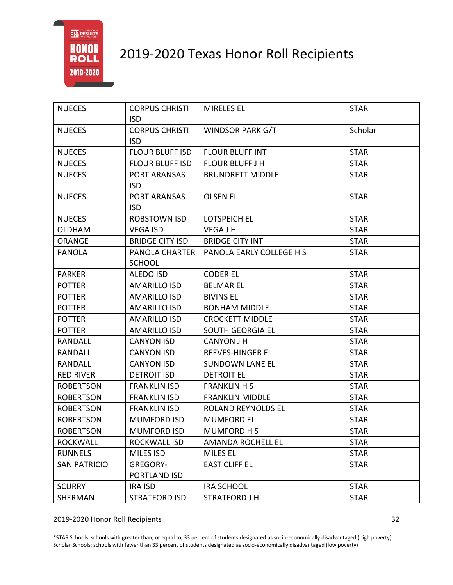

| <b>NUECES</b>       | <b>CORPUS CHRISTI</b>  | <b>MIRELES EL</b>         | <b>STAR</b> |
|---------------------|------------------------|---------------------------|-------------|
|                     | <b>ISD</b>             |                           |             |
| <b>NUECES</b>       | <b>CORPUS CHRISTI</b>  | <b>WINDSOR PARK G/T</b>   | Scholar     |
|                     | <b>ISD</b>             |                           |             |
| <b>NUECES</b>       | <b>FLOUR BLUFF ISD</b> | <b>FLOUR BLUFF INT</b>    | <b>STAR</b> |
| <b>NUECES</b>       | <b>FLOUR BLUFF ISD</b> | <b>FLOUR BLUFF J H</b>    | <b>STAR</b> |
| <b>NUECES</b>       | PORT ARANSAS           | <b>BRUNDRETT MIDDLE</b>   | <b>STAR</b> |
|                     | <b>ISD</b>             |                           |             |
| <b>NUECES</b>       | PORT ARANSAS           | <b>OLSEN EL</b>           | <b>STAR</b> |
|                     | <b>ISD</b>             |                           |             |
| <b>NUECES</b>       | ROBSTOWN ISD           | <b>LOTSPEICH EL</b>       | <b>STAR</b> |
| <b>OLDHAM</b>       | <b>VEGA ISD</b>        | <b>VEGAJH</b>             | <b>STAR</b> |
| ORANGE              | <b>BRIDGE CITY ISD</b> | <b>BRIDGE CITY INT</b>    | <b>STAR</b> |
| <b>PANOLA</b>       | PANOLA CHARTER         | PANOLA EARLY COLLEGE H S  | <b>STAR</b> |
|                     | <b>SCHOOL</b>          |                           |             |
| <b>PARKER</b>       | <b>ALEDO ISD</b>       | <b>CODER EL</b>           | <b>STAR</b> |
| <b>POTTER</b>       | <b>AMARILLO ISD</b>    | <b>BELMAR EL</b>          | <b>STAR</b> |
| <b>POTTER</b>       | <b>AMARILLO ISD</b>    | <b>BIVINS EL</b>          | <b>STAR</b> |
| <b>POTTER</b>       | <b>AMARILLO ISD</b>    | <b>BONHAM MIDDLE</b>      | <b>STAR</b> |
| <b>POTTER</b>       | <b>AMARILLO ISD</b>    | <b>CROCKETT MIDDLE</b>    | <b>STAR</b> |
| <b>POTTER</b>       | <b>AMARILLO ISD</b>    | <b>SOUTH GEORGIA EL</b>   | <b>STAR</b> |
| RANDALL             | <b>CANYON ISD</b>      | <b>CANYON J H</b>         | <b>STAR</b> |
| RANDALL             | <b>CANYON ISD</b>      | <b>REEVES-HINGER EL</b>   | <b>STAR</b> |
| RANDALL             | <b>CANYON ISD</b>      | <b>SUNDOWN LANE EL</b>    | <b>STAR</b> |
| <b>RED RIVER</b>    | <b>DETROIT ISD</b>     | <b>DETROIT EL</b>         | <b>STAR</b> |
| <b>ROBERTSON</b>    | <b>FRANKLIN ISD</b>    | <b>FRANKLIN H S</b>       | <b>STAR</b> |
| <b>ROBERTSON</b>    | <b>FRANKLIN ISD</b>    | <b>FRANKLIN MIDDLE</b>    | <b>STAR</b> |
| <b>ROBERTSON</b>    | <b>FRANKLIN ISD</b>    | <b>ROLAND REYNOLDS EL</b> | <b>STAR</b> |
| <b>ROBERTSON</b>    | <b>MUMFORD ISD</b>     | <b>MUMFORD EL</b>         | <b>STAR</b> |
| <b>ROBERTSON</b>    | <b>MUMFORD ISD</b>     | MUMFORD H S               | <b>STAR</b> |
| <b>ROCKWALL</b>     | ROCKWALL ISD           | AMANDA ROCHELL EL         | <b>STAR</b> |
| <b>RUNNELS</b>      | <b>MILES ISD</b>       | <b>MILES EL</b>           | <b>STAR</b> |
| <b>SAN PATRICIO</b> | GREGORY-               | <b>EAST CLIFF EL</b>      | <b>STAR</b> |
|                     | PORTLAND ISD           |                           |             |
| <b>SCURRY</b>       | <b>IRA ISD</b>         | <b>IRA SCHOOL</b>         | <b>STAR</b> |
| SHERMAN             | <b>STRATFORD ISD</b>   | <b>STRATFORD J H</b>      | <b>STAR</b> |

#### 2019-2020 Honor Roll Recipients 32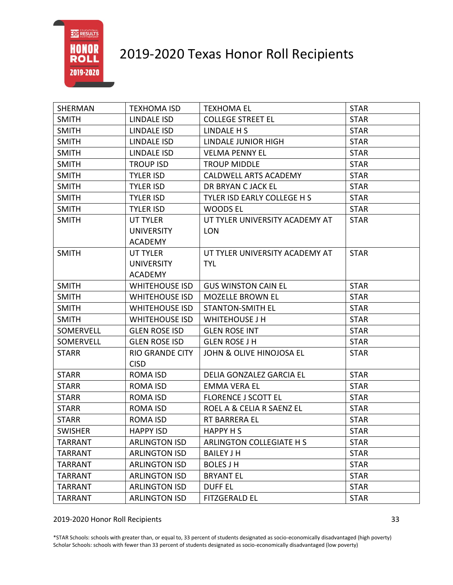

| SHERMAN        | <b>TEXHOMA ISD</b>     | <b>TEXHOMA EL</b>              | <b>STAR</b> |
|----------------|------------------------|--------------------------------|-------------|
| <b>SMITH</b>   | <b>LINDALE ISD</b>     | <b>COLLEGE STREET EL</b>       | <b>STAR</b> |
| <b>SMITH</b>   | <b>LINDALE ISD</b>     | LINDALE H S                    | <b>STAR</b> |
| <b>SMITH</b>   | LINDALE ISD            | <b>LINDALE JUNIOR HIGH</b>     | <b>STAR</b> |
| <b>SMITH</b>   | <b>LINDALE ISD</b>     | <b>VELMA PENNY EL</b>          | <b>STAR</b> |
| <b>SMITH</b>   | <b>TROUP ISD</b>       | <b>TROUP MIDDLE</b>            | <b>STAR</b> |
| <b>SMITH</b>   | <b>TYLER ISD</b>       | CALDWELL ARTS ACADEMY          | <b>STAR</b> |
| <b>SMITH</b>   | <b>TYLER ISD</b>       | DR BRYAN C JACK EL             | <b>STAR</b> |
| <b>SMITH</b>   | <b>TYLER ISD</b>       | TYLER ISD EARLY COLLEGE H S    | <b>STAR</b> |
| <b>SMITH</b>   | <b>TYLER ISD</b>       | <b>WOODS EL</b>                | <b>STAR</b> |
| <b>SMITH</b>   | UT TYLER               | UT TYLER UNIVERSITY ACADEMY AT | <b>STAR</b> |
|                | <b>UNIVERSITY</b>      | <b>LON</b>                     |             |
|                | <b>ACADEMY</b>         |                                |             |
| <b>SMITH</b>   | UT TYLER               | UT TYLER UNIVERSITY ACADEMY AT | <b>STAR</b> |
|                | <b>UNIVERSITY</b>      | <b>TYL</b>                     |             |
|                | <b>ACADEMY</b>         |                                |             |
| <b>SMITH</b>   | <b>WHITEHOUSE ISD</b>  | <b>GUS WINSTON CAIN EL</b>     | <b>STAR</b> |
| <b>SMITH</b>   | <b>WHITEHOUSE ISD</b>  | <b>MOZELLE BROWN EL</b>        | <b>STAR</b> |
| <b>SMITH</b>   | <b>WHITEHOUSE ISD</b>  | <b>STANTON-SMITH EL</b>        | <b>STAR</b> |
| <b>SMITH</b>   | <b>WHITEHOUSE ISD</b>  | <b>WHITEHOUSE J H</b>          | <b>STAR</b> |
| SOMERVELL      | <b>GLEN ROSE ISD</b>   | <b>GLEN ROSE INT</b>           | <b>STAR</b> |
| SOMERVELL      | <b>GLEN ROSE ISD</b>   | <b>GLEN ROSE J H</b>           | <b>STAR</b> |
| <b>STARR</b>   | <b>RIO GRANDE CITY</b> | JOHN & OLIVE HINOJOSA EL       | <b>STAR</b> |
|                | <b>CISD</b>            |                                |             |
| <b>STARR</b>   | <b>ROMA ISD</b>        | DELIA GONZALEZ GARCIA EL       | <b>STAR</b> |
| <b>STARR</b>   | <b>ROMA ISD</b>        | <b>EMMA VERA EL</b>            | <b>STAR</b> |
| <b>STARR</b>   | <b>ROMA ISD</b>        | <b>FLORENCE J SCOTT EL</b>     | <b>STAR</b> |
| <b>STARR</b>   | <b>ROMA ISD</b>        | ROEL A & CELIA R SAENZ EL      | <b>STAR</b> |
| <b>STARR</b>   | <b>ROMA ISD</b>        | RT BARRERA EL                  | <b>STAR</b> |
| <b>SWISHER</b> | <b>HAPPY ISD</b>       | <b>HAPPY HS</b>                | <b>STAR</b> |
| <b>TARRANT</b> | <b>ARLINGTON ISD</b>   | ARLINGTON COLLEGIATE H S       | <b>STAR</b> |
| <b>TARRANT</b> | <b>ARLINGTON ISD</b>   | <b>BAILEY J H</b>              | <b>STAR</b> |
| <b>TARRANT</b> | <b>ARLINGTON ISD</b>   | <b>BOLES J H</b>               | <b>STAR</b> |
| <b>TARRANT</b> | <b>ARLINGTON ISD</b>   | <b>BRYANT EL</b>               | <b>STAR</b> |
| TARRANT        | <b>ARLINGTON ISD</b>   | <b>DUFF EL</b>                 | <b>STAR</b> |
| <b>TARRANT</b> | <b>ARLINGTON ISD</b>   | <b>FITZGERALD EL</b>           | <b>STAR</b> |

2019-2020 Honor Roll Recipients 33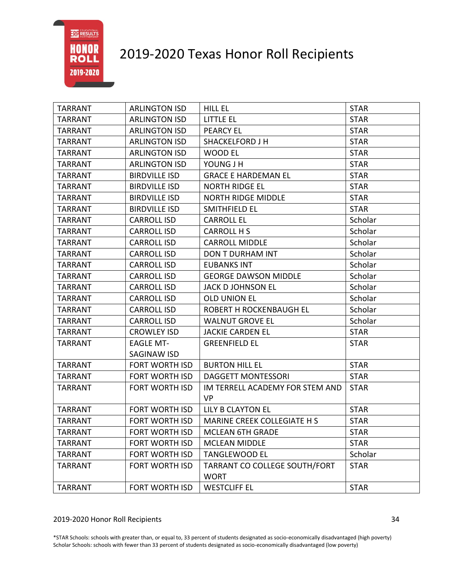# 2019-2020 Texas Honor Roll Recipients

| <b>TARRANT</b> | <b>ARLINGTON ISD</b>  | HILL EL                              | <b>STAR</b> |
|----------------|-----------------------|--------------------------------------|-------------|
| TARRANT        | <b>ARLINGTON ISD</b>  | LITTLE EL                            | <b>STAR</b> |
| <b>TARRANT</b> | <b>ARLINGTON ISD</b>  | <b>PEARCY EL</b>                     | <b>STAR</b> |
| <b>TARRANT</b> | <b>ARLINGTON ISD</b>  | <b>SHACKELFORD J H</b>               | <b>STAR</b> |
| <b>TARRANT</b> | <b>ARLINGTON ISD</b>  | WOOD EL                              | <b>STAR</b> |
| TARRANT        | <b>ARLINGTON ISD</b>  | YOUNG J H                            | <b>STAR</b> |
| <b>TARRANT</b> | <b>BIRDVILLE ISD</b>  | <b>GRACE E HARDEMAN EL</b>           | <b>STAR</b> |
| <b>TARRANT</b> | <b>BIRDVILLE ISD</b>  | <b>NORTH RIDGE EL</b>                | <b>STAR</b> |
| <b>TARRANT</b> | <b>BIRDVILLE ISD</b>  | <b>NORTH RIDGE MIDDLE</b>            | <b>STAR</b> |
| <b>TARRANT</b> | <b>BIRDVILLE ISD</b>  | SMITHFIELD EL                        | <b>STAR</b> |
| <b>TARRANT</b> | <b>CARROLL ISD</b>    | <b>CARROLL EL</b>                    | Scholar     |
| <b>TARRANT</b> | <b>CARROLL ISD</b>    | CARROLL H S                          | Scholar     |
| <b>TARRANT</b> | <b>CARROLL ISD</b>    | <b>CARROLL MIDDLE</b>                | Scholar     |
| <b>TARRANT</b> | <b>CARROLL ISD</b>    | DON T DURHAM INT                     | Scholar     |
| <b>TARRANT</b> | <b>CARROLL ISD</b>    | <b>EUBANKS INT</b>                   | Scholar     |
| <b>TARRANT</b> | <b>CARROLL ISD</b>    | <b>GEORGE DAWSON MIDDLE</b>          | Scholar     |
| <b>TARRANT</b> | <b>CARROLL ISD</b>    | <b>JACK D JOHNSON EL</b>             | Scholar     |
| <b>TARRANT</b> | <b>CARROLL ISD</b>    | <b>OLD UNION EL</b>                  | Scholar     |
| <b>TARRANT</b> | <b>CARROLL ISD</b>    | ROBERT H ROCKENBAUGH EL              | Scholar     |
| <b>TARRANT</b> | <b>CARROLL ISD</b>    | <b>WALNUT GROVE EL</b>               | Scholar     |
| <b>TARRANT</b> | <b>CROWLEY ISD</b>    | <b>JACKIE CARDEN EL</b>              | <b>STAR</b> |
| <b>TARRANT</b> | <b>EAGLE MT-</b>      | <b>GREENFIELD EL</b>                 | <b>STAR</b> |
|                | SAGINAW ISD           |                                      |             |
| <b>TARRANT</b> | <b>FORT WORTH ISD</b> | <b>BURTON HILL EL</b>                | <b>STAR</b> |
| <b>TARRANT</b> | <b>FORT WORTH ISD</b> | <b>DAGGETT MONTESSORI</b>            | <b>STAR</b> |
| <b>TARRANT</b> | <b>FORT WORTH ISD</b> | IM TERRELL ACADEMY FOR STEM AND      | <b>STAR</b> |
|                |                       | <b>VP</b>                            |             |
| <b>TARRANT</b> | FORT WORTH ISD        | LILY B CLAYTON EL                    | <b>STAR</b> |
| <b>TARRANT</b> | <b>FORT WORTH ISD</b> | MARINE CREEK COLLEGIATE H S          | <b>STAR</b> |
| <b>TARRANT</b> |                       | FORT WORTH ISD   MCLEAN 6TH GRADE    | <b>STAR</b> |
| <b>TARRANT</b> | <b>FORT WORTH ISD</b> | <b>MCLEAN MIDDLE</b>                 | <b>STAR</b> |
| TARRANT        | <b>FORT WORTH ISD</b> | <b>TANGLEWOOD EL</b>                 | Scholar     |
| <b>TARRANT</b> | <b>FORT WORTH ISD</b> | <b>TARRANT CO COLLEGE SOUTH/FORT</b> | <b>STAR</b> |
|                |                       | <b>WORT</b>                          |             |
| <b>TARRANT</b> | FORT WORTH ISD        | <b>WESTCLIFF EL</b>                  | <b>STAR</b> |

### 2019-2020 Honor Roll Recipients 34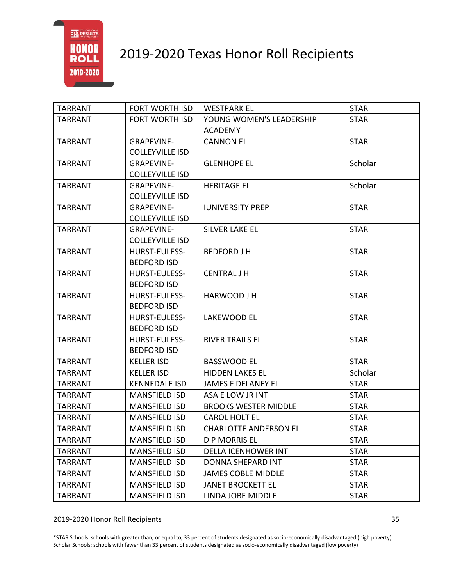

| <b>TARRANT</b> | FORT WORTH ISD         | <b>WESTPARK EL</b>           | <b>STAR</b> |
|----------------|------------------------|------------------------------|-------------|
| <b>TARRANT</b> | <b>FORT WORTH ISD</b>  | YOUNG WOMEN'S LEADERSHIP     | <b>STAR</b> |
|                |                        | <b>ACADEMY</b>               |             |
| <b>TARRANT</b> | <b>GRAPEVINE-</b>      | <b>CANNON EL</b>             | <b>STAR</b> |
|                | <b>COLLEYVILLE ISD</b> |                              |             |
| TARRANT        | <b>GRAPEVINE-</b>      | <b>GLENHOPE EL</b>           | Scholar     |
|                | <b>COLLEYVILLE ISD</b> |                              |             |
| <b>TARRANT</b> | <b>GRAPEVINE-</b>      | <b>HERITAGE EL</b>           | Scholar     |
|                | <b>COLLEYVILLE ISD</b> |                              |             |
| <b>TARRANT</b> | <b>GRAPEVINE-</b>      | <b>IUNIVERSITY PREP</b>      | <b>STAR</b> |
|                | <b>COLLEYVILLE ISD</b> |                              |             |
| <b>TARRANT</b> | <b>GRAPEVINE-</b>      | SILVER LAKE EL               | <b>STAR</b> |
|                | <b>COLLEYVILLE ISD</b> |                              |             |
| <b>TARRANT</b> | <b>HURST-EULESS-</b>   | <b>BEDFORD J H</b>           | <b>STAR</b> |
|                | <b>BEDFORD ISD</b>     |                              |             |
| <b>TARRANT</b> | HURST-EULESS-          | <b>CENTRAL J H</b>           | <b>STAR</b> |
|                | <b>BEDFORD ISD</b>     |                              |             |
| <b>TARRANT</b> | HURST-EULESS-          | HARWOOD J H                  | <b>STAR</b> |
|                | <b>BEDFORD ISD</b>     |                              |             |
| <b>TARRANT</b> | HURST-EULESS-          | LAKEWOOD EL                  | <b>STAR</b> |
|                | <b>BEDFORD ISD</b>     |                              |             |
| <b>TARRANT</b> | HURST-EULESS-          | <b>RIVER TRAILS EL</b>       | <b>STAR</b> |
|                | <b>BEDFORD ISD</b>     |                              |             |
| <b>TARRANT</b> | <b>KELLER ISD</b>      | <b>BASSWOOD EL</b>           | <b>STAR</b> |
| <b>TARRANT</b> | <b>KELLER ISD</b>      | <b>HIDDEN LAKES EL</b>       | Scholar     |
| TARRANT        | <b>KENNEDALE ISD</b>   | JAMES F DELANEY EL           | <b>STAR</b> |
| <b>TARRANT</b> | <b>MANSFIELD ISD</b>   | ASA E LOW JR INT             | <b>STAR</b> |
| TARRANT        | <b>MANSFIELD ISD</b>   | <b>BROOKS WESTER MIDDLE</b>  | <b>STAR</b> |
| <b>TARRANT</b> | <b>MANSFIELD ISD</b>   | <b>CAROL HOLT EL</b>         | <b>STAR</b> |
| <b>TARRANT</b> | <b>MANSFIELD ISD</b>   | <b>CHARLOTTE ANDERSON EL</b> | <b>STAR</b> |
| <b>TARRANT</b> | <b>MANSFIELD ISD</b>   | <b>D P MORRIS EL</b>         | <b>STAR</b> |
| <b>TARRANT</b> | <b>MANSFIELD ISD</b>   | <b>DELLA ICENHOWER INT</b>   | <b>STAR</b> |
| <b>TARRANT</b> | <b>MANSFIELD ISD</b>   | DONNA SHEPARD INT            | <b>STAR</b> |
| <b>TARRANT</b> | <b>MANSFIELD ISD</b>   | <b>JAMES COBLE MIDDLE</b>    | <b>STAR</b> |
| <b>TARRANT</b> | <b>MANSFIELD ISD</b>   | <b>JANET BROCKETT EL</b>     | <b>STAR</b> |
| <b>TARRANT</b> | <b>MANSFIELD ISD</b>   | LINDA JOBE MIDDLE            | <b>STAR</b> |

#### 2019-2020 Honor Roll Recipients 35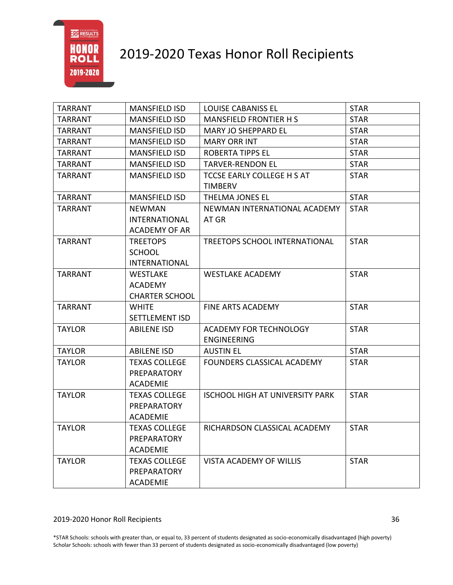

| <b>TARRANT</b> | <b>MANSFIELD ISD</b>  | <b>LOUISE CABANISS EL</b>              | <b>STAR</b> |
|----------------|-----------------------|----------------------------------------|-------------|
| <b>TARRANT</b> | <b>MANSFIELD ISD</b>  | <b>MANSFIELD FRONTIER HS</b>           | <b>STAR</b> |
| <b>TARRANT</b> | <b>MANSFIELD ISD</b>  | <b>MARY JO SHEPPARD EL</b>             | <b>STAR</b> |
| <b>TARRANT</b> | <b>MANSFIELD ISD</b>  | <b>MARY ORR INT</b>                    | <b>STAR</b> |
| <b>TARRANT</b> | <b>MANSFIELD ISD</b>  | <b>ROBERTA TIPPS EL</b>                | <b>STAR</b> |
| <b>TARRANT</b> | <b>MANSFIELD ISD</b>  | <b>TARVER-RENDON EL</b>                | <b>STAR</b> |
| <b>TARRANT</b> | <b>MANSFIELD ISD</b>  | TCCSE EARLY COLLEGE H S AT             | <b>STAR</b> |
|                |                       | <b>TIMBERV</b>                         |             |
| <b>TARRANT</b> | <b>MANSFIELD ISD</b>  | THELMA JONES EL                        | <b>STAR</b> |
| <b>TARRANT</b> | <b>NEWMAN</b>         | NEWMAN INTERNATIONAL ACADEMY           | <b>STAR</b> |
|                | <b>INTERNATIONAL</b>  | AT GR                                  |             |
|                | <b>ACADEMY OF AR</b>  |                                        |             |
| <b>TARRANT</b> | <b>TREETOPS</b>       | TREETOPS SCHOOL INTERNATIONAL          | <b>STAR</b> |
|                | <b>SCHOOL</b>         |                                        |             |
|                | <b>INTERNATIONAL</b>  |                                        |             |
| <b>TARRANT</b> | WESTLAKE              | <b>WESTLAKE ACADEMY</b>                | <b>STAR</b> |
|                | <b>ACADEMY</b>        |                                        |             |
|                | <b>CHARTER SCHOOL</b> |                                        |             |
| <b>TARRANT</b> | <b>WHITE</b>          | <b>FINE ARTS ACADEMY</b>               | <b>STAR</b> |
|                | <b>SETTLEMENT ISD</b> |                                        |             |
| <b>TAYLOR</b>  | <b>ABILENE ISD</b>    | <b>ACADEMY FOR TECHNOLOGY</b>          | <b>STAR</b> |
|                |                       | <b>ENGINEERING</b>                     |             |
| <b>TAYLOR</b>  | <b>ABILENE ISD</b>    | <b>AUSTIN EL</b>                       | <b>STAR</b> |
| <b>TAYLOR</b>  | <b>TEXAS COLLEGE</b>  | FOUNDERS CLASSICAL ACADEMY             | <b>STAR</b> |
|                | <b>PREPARATORY</b>    |                                        |             |
|                | <b>ACADEMIE</b>       |                                        |             |
| <b>TAYLOR</b>  | <b>TEXAS COLLEGE</b>  | <b>ISCHOOL HIGH AT UNIVERSITY PARK</b> | <b>STAR</b> |
|                | <b>PREPARATORY</b>    |                                        |             |
|                | <b>ACADEMIE</b>       |                                        |             |
| <b>TAYLOR</b>  | <b>TEXAS COLLEGE</b>  | RICHARDSON CLASSICAL ACADEMY           | <b>STAR</b> |
|                | <b>PREPARATORY</b>    |                                        |             |
|                | <b>ACADEMIE</b>       |                                        |             |
| <b>TAYLOR</b>  | <b>TEXAS COLLEGE</b>  | VISTA ACADEMY OF WILLIS                | <b>STAR</b> |
|                | <b>PREPARATORY</b>    |                                        |             |
|                | <b>ACADEMIE</b>       |                                        |             |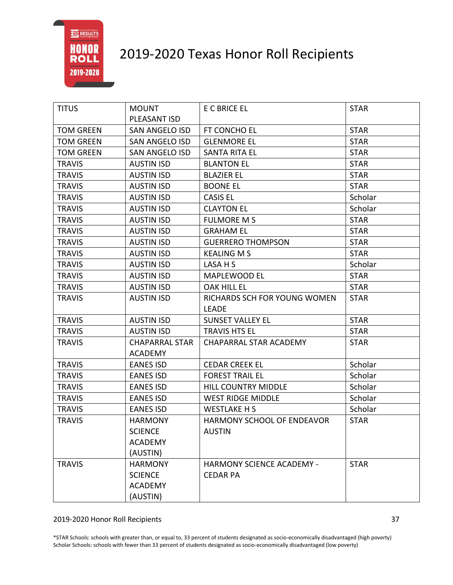

| <b>TITUS</b>     | <b>MOUNT</b>          | E C BRICE EL                     | <b>STAR</b> |
|------------------|-----------------------|----------------------------------|-------------|
|                  | PLEASANT ISD          |                                  |             |
| <b>TOM GREEN</b> | <b>SAN ANGELO ISD</b> | FT CONCHO EL                     | <b>STAR</b> |
| <b>TOM GREEN</b> | <b>SAN ANGELO ISD</b> | <b>GLENMORE EL</b>               | <b>STAR</b> |
| <b>TOM GREEN</b> | <b>SAN ANGELO ISD</b> | <b>SANTA RITA EL</b>             | <b>STAR</b> |
| <b>TRAVIS</b>    | <b>AUSTIN ISD</b>     | <b>BLANTON EL</b>                | <b>STAR</b> |
| <b>TRAVIS</b>    | <b>AUSTIN ISD</b>     | <b>BLAZIER EL</b>                | <b>STAR</b> |
| <b>TRAVIS</b>    | <b>AUSTIN ISD</b>     | <b>BOONE EL</b>                  | <b>STAR</b> |
| <b>TRAVIS</b>    | <b>AUSTIN ISD</b>     | <b>CASIS EL</b>                  | Scholar     |
| <b>TRAVIS</b>    | <b>AUSTIN ISD</b>     | <b>CLAYTON EL</b>                | Scholar     |
| <b>TRAVIS</b>    | <b>AUSTIN ISD</b>     | <b>FULMORE MS</b>                | <b>STAR</b> |
| <b>TRAVIS</b>    | <b>AUSTIN ISD</b>     | <b>GRAHAM EL</b>                 | <b>STAR</b> |
| <b>TRAVIS</b>    | <b>AUSTIN ISD</b>     | <b>GUERRERO THOMPSON</b>         | <b>STAR</b> |
| <b>TRAVIS</b>    | <b>AUSTIN ISD</b>     | <b>KEALING M S</b>               | <b>STAR</b> |
| <b>TRAVIS</b>    | <b>AUSTIN ISD</b>     | LASA H S                         | Scholar     |
| <b>TRAVIS</b>    | <b>AUSTIN ISD</b>     | MAPLEWOOD EL                     | <b>STAR</b> |
| <b>TRAVIS</b>    | <b>AUSTIN ISD</b>     | <b>OAK HILL EL</b>               | <b>STAR</b> |
| <b>TRAVIS</b>    | <b>AUSTIN ISD</b>     | RICHARDS SCH FOR YOUNG WOMEN     | <b>STAR</b> |
|                  |                       | <b>LEADE</b>                     |             |
| <b>TRAVIS</b>    | <b>AUSTIN ISD</b>     | <b>SUNSET VALLEY EL</b>          | <b>STAR</b> |
| <b>TRAVIS</b>    | <b>AUSTIN ISD</b>     | <b>TRAVIS HTS EL</b>             | <b>STAR</b> |
| <b>TRAVIS</b>    | <b>CHAPARRAL STAR</b> | <b>CHAPARRAL STAR ACADEMY</b>    | <b>STAR</b> |
|                  | <b>ACADEMY</b>        |                                  |             |
| <b>TRAVIS</b>    | <b>EANES ISD</b>      | <b>CEDAR CREEK EL</b>            | Scholar     |
| <b>TRAVIS</b>    | <b>EANES ISD</b>      | <b>FOREST TRAIL EL</b>           | Scholar     |
| <b>TRAVIS</b>    | <b>EANES ISD</b>      | <b>HILL COUNTRY MIDDLE</b>       | Scholar     |
| <b>TRAVIS</b>    | <b>EANES ISD</b>      | <b>WEST RIDGE MIDDLE</b>         | Scholar     |
| <b>TRAVIS</b>    | <b>EANES ISD</b>      | <b>WESTLAKE H S</b>              | Scholar     |
| <b>TRAVIS</b>    | <b>HARMONY</b>        | HARMONY SCHOOL OF ENDEAVOR       | <b>STAR</b> |
|                  | <b>SCIENCE</b>        | <b>AUSTIN</b>                    |             |
|                  | <b>ACADEMY</b>        |                                  |             |
|                  | (AUSTIN)              |                                  |             |
| <b>TRAVIS</b>    | <b>HARMONY</b>        | <b>HARMONY SCIENCE ACADEMY -</b> | <b>STAR</b> |
|                  | <b>SCIENCE</b>        | <b>CEDAR PA</b>                  |             |
|                  | <b>ACADEMY</b>        |                                  |             |
|                  | (AUSTIN)              |                                  |             |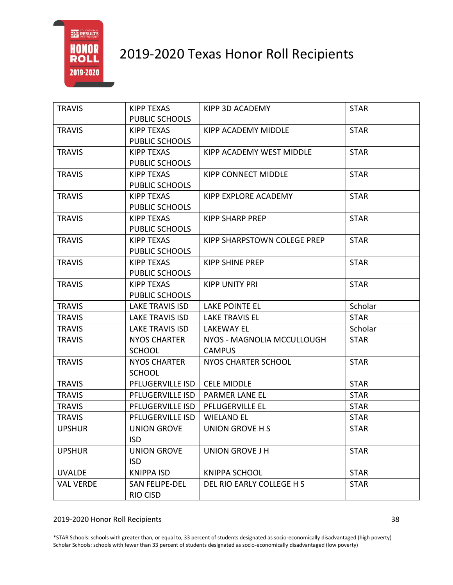

| <b>TRAVIS</b>    | KIPP TEXAS             | KIPP 3D ACADEMY                 | <b>STAR</b> |
|------------------|------------------------|---------------------------------|-------------|
|                  | PUBLIC SCHOOLS         |                                 |             |
| <b>TRAVIS</b>    | <b>KIPP TEXAS</b>      | KIPP ACADEMY MIDDLE             | <b>STAR</b> |
|                  | PUBLIC SCHOOLS         |                                 |             |
| <b>TRAVIS</b>    | <b>KIPP TEXAS</b>      | <b>KIPP ACADEMY WEST MIDDLE</b> | <b>STAR</b> |
|                  | PUBLIC SCHOOLS         |                                 |             |
| <b>TRAVIS</b>    | <b>KIPP TEXAS</b>      | <b>KIPP CONNECT MIDDLE</b>      | <b>STAR</b> |
|                  | <b>PUBLIC SCHOOLS</b>  |                                 |             |
| <b>TRAVIS</b>    | <b>KIPP TEXAS</b>      | KIPP EXPLORE ACADEMY            | <b>STAR</b> |
|                  | PUBLIC SCHOOLS         |                                 |             |
| <b>TRAVIS</b>    | <b>KIPP TEXAS</b>      | <b>KIPP SHARP PREP</b>          | <b>STAR</b> |
|                  | PUBLIC SCHOOLS         |                                 |             |
| <b>TRAVIS</b>    | <b>KIPP TEXAS</b>      | KIPP SHARPSTOWN COLEGE PREP     | <b>STAR</b> |
|                  | PUBLIC SCHOOLS         |                                 |             |
| <b>TRAVIS</b>    | <b>KIPP TEXAS</b>      | <b>KIPP SHINE PREP</b>          | <b>STAR</b> |
|                  | PUBLIC SCHOOLS         |                                 |             |
| <b>TRAVIS</b>    | <b>KIPP TEXAS</b>      | <b>KIPP UNITY PRI</b>           | <b>STAR</b> |
|                  | PUBLIC SCHOOLS         |                                 |             |
| <b>TRAVIS</b>    | <b>LAKE TRAVIS ISD</b> | LAKE POINTE EL                  | Scholar     |
| <b>TRAVIS</b>    | <b>LAKE TRAVIS ISD</b> | <b>LAKE TRAVIS EL</b>           | <b>STAR</b> |
| <b>TRAVIS</b>    | <b>LAKE TRAVIS ISD</b> | <b>LAKEWAY EL</b>               | Scholar     |
| <b>TRAVIS</b>    | <b>NYOS CHARTER</b>    | NYOS - MAGNOLIA MCCULLOUGH      | <b>STAR</b> |
|                  | <b>SCHOOL</b>          | <b>CAMPUS</b>                   |             |
| <b>TRAVIS</b>    | <b>NYOS CHARTER</b>    | <b>NYOS CHARTER SCHOOL</b>      | <b>STAR</b> |
|                  | <b>SCHOOL</b>          |                                 |             |
| <b>TRAVIS</b>    | PFLUGERVILLE ISD       | <b>CELE MIDDLE</b>              | <b>STAR</b> |
| <b>TRAVIS</b>    | PFLUGERVILLE ISD       | <b>PARMER LANE EL</b>           | <b>STAR</b> |
| <b>TRAVIS</b>    | PFLUGERVILLE ISD       | PFLUGERVILLE EL                 | <b>STAR</b> |
| <b>TRAVIS</b>    | PFLUGERVILLE ISD       | <b>WIELAND EL</b>               | <b>STAR</b> |
| <b>UPSHUR</b>    | <b>UNION GROVE</b>     | UNION GROVE H S                 | <b>STAR</b> |
|                  | <b>ISD</b>             |                                 |             |
| <b>UPSHUR</b>    | <b>UNION GROVE</b>     | <b>UNION GROVE J H</b>          | <b>STAR</b> |
|                  |                        |                                 |             |
|                  | <b>ISD</b>             |                                 |             |
| <b>UVALDE</b>    | <b>KNIPPA ISD</b>      | <b>KNIPPA SCHOOL</b>            | <b>STAR</b> |
| <b>VAL VERDE</b> | SAN FELIPE-DEL         | DEL RIO EARLY COLLEGE H S       | <b>STAR</b> |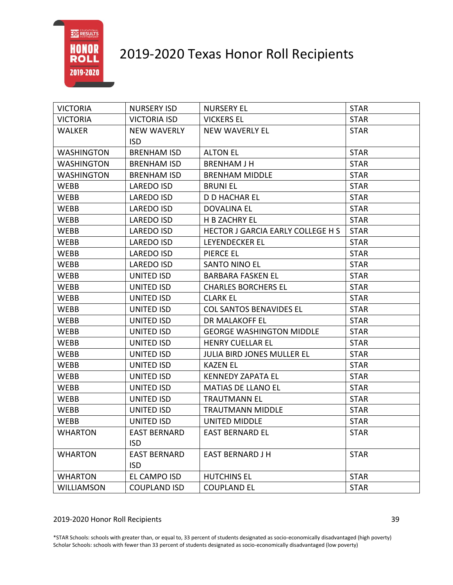

| <b>VICTORIA</b>   | <b>NURSERY ISD</b>  | <b>NURSERY EL</b>                        | <b>STAR</b> |
|-------------------|---------------------|------------------------------------------|-------------|
| <b>VICTORIA</b>   | <b>VICTORIA ISD</b> | <b>VICKERS EL</b>                        | <b>STAR</b> |
| <b>WALKER</b>     | <b>NEW WAVERLY</b>  | <b>NEW WAVERLY EL</b>                    | <b>STAR</b> |
|                   | <b>ISD</b>          |                                          |             |
| <b>WASHINGTON</b> | <b>BRENHAM ISD</b>  | <b>ALTON EL</b>                          | <b>STAR</b> |
| <b>WASHINGTON</b> | <b>BRENHAM ISD</b>  | <b>BRENHAM J H</b>                       | <b>STAR</b> |
| <b>WASHINGTON</b> | <b>BRENHAM ISD</b>  | <b>BRENHAM MIDDLE</b>                    | <b>STAR</b> |
| <b>WEBB</b>       | <b>LAREDO ISD</b>   | <b>BRUNIEL</b>                           | <b>STAR</b> |
| WEBB              | LAREDO ISD          | <b>D D HACHAR EL</b>                     | <b>STAR</b> |
| WEBB              | LAREDO ISD          | <b>DOVALINA EL</b>                       | <b>STAR</b> |
| <b>WEBB</b>       | LAREDO ISD          | H B ZACHRY EL                            | <b>STAR</b> |
| WEBB              | LAREDO ISD          | <b>HECTOR J GARCIA EARLY COLLEGE H S</b> | <b>STAR</b> |
| WEBB              | LAREDO ISD          | LEYENDECKER EL                           | <b>STAR</b> |
| WEBB              | <b>LAREDO ISD</b>   | PIERCE EL                                | <b>STAR</b> |
| <b>WEBB</b>       | <b>LAREDO ISD</b>   | <b>SANTO NINO EL</b>                     | <b>STAR</b> |
| <b>WEBB</b>       | UNITED ISD          | <b>BARBARA FASKEN EL</b>                 | <b>STAR</b> |
| <b>WEBB</b>       | UNITED ISD          | <b>CHARLES BORCHERS EL</b>               | <b>STAR</b> |
| <b>WEBB</b>       | UNITED ISD          | <b>CLARK EL</b>                          | <b>STAR</b> |
| <b>WEBB</b>       | UNITED ISD          | <b>COL SANTOS BENAVIDES EL</b>           | <b>STAR</b> |
| <b>WEBB</b>       | UNITED ISD          | DR MALAKOFF EL                           | <b>STAR</b> |
| WEBB              | UNITED ISD          | <b>GEORGE WASHINGTON MIDDLE</b>          | <b>STAR</b> |
| <b>WEBB</b>       | UNITED ISD          | <b>HENRY CUELLAR EL</b>                  | <b>STAR</b> |
| WEBB              | UNITED ISD          | <b>JULIA BIRD JONES MULLER EL</b>        | <b>STAR</b> |
| WEBB              | UNITED ISD          | <b>KAZEN EL</b>                          | <b>STAR</b> |
| WEBB              | UNITED ISD          | <b>KENNEDY ZAPATA EL</b>                 | <b>STAR</b> |
| <b>WEBB</b>       | UNITED ISD          | <b>MATIAS DE LLANO EL</b>                | <b>STAR</b> |
| WEBB              | UNITED ISD          | <b>TRAUTMANN EL</b>                      | <b>STAR</b> |
| WEBB              | UNITED ISD          | <b>TRAUTMANN MIDDLE</b>                  | <b>STAR</b> |
| <b>WEBB</b>       | <b>UNITED ISD</b>   | <b>UNITED MIDDLE</b>                     | <b>STAR</b> |
| <b>WHARTON</b>    | <b>EAST BERNARD</b> | <b>EAST BERNARD EL</b>                   | <b>STAR</b> |
|                   | <b>ISD</b>          |                                          |             |
| <b>WHARTON</b>    | <b>EAST BERNARD</b> | <b>EAST BERNARD J H</b>                  | <b>STAR</b> |
|                   | <b>ISD</b>          |                                          |             |
| <b>WHARTON</b>    | EL CAMPO ISD        | <b>HUTCHINS EL</b>                       | <b>STAR</b> |
| <b>WILLIAMSON</b> | <b>COUPLAND ISD</b> | <b>COUPLAND EL</b>                       | <b>STAR</b> |

### 2019-2020 Honor Roll Recipients 39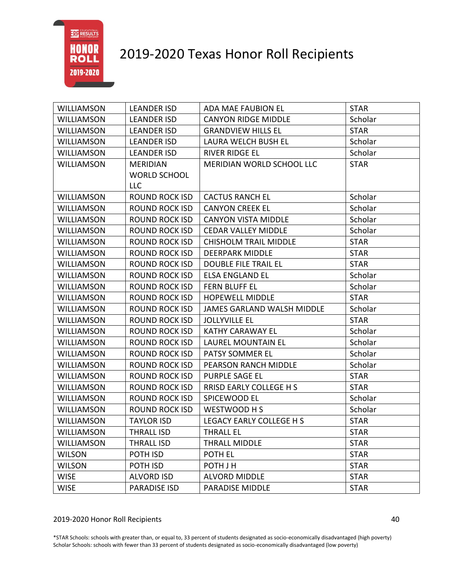

| <b>WILLIAMSON</b> | <b>LEANDER ISD</b>    | ADA MAE FAUBION EL             | <b>STAR</b> |
|-------------------|-----------------------|--------------------------------|-------------|
| <b>WILLIAMSON</b> | <b>LEANDER ISD</b>    | <b>CANYON RIDGE MIDDLE</b>     | Scholar     |
| <b>WILLIAMSON</b> | <b>LEANDER ISD</b>    | <b>GRANDVIEW HILLS EL</b>      | <b>STAR</b> |
| <b>WILLIAMSON</b> | <b>LEANDER ISD</b>    | LAURA WELCH BUSH EL            | Scholar     |
| WILLIAMSON        | <b>LEANDER ISD</b>    | <b>RIVER RIDGE EL</b>          | Scholar     |
| <b>WILLIAMSON</b> | <b>MERIDIAN</b>       | MERIDIAN WORLD SCHOOL LLC      | <b>STAR</b> |
|                   | <b>WORLD SCHOOL</b>   |                                |             |
|                   | <b>LLC</b>            |                                |             |
| <b>WILLIAMSON</b> | <b>ROUND ROCK ISD</b> | <b>CACTUS RANCH EL</b>         | Scholar     |
| <b>WILLIAMSON</b> | <b>ROUND ROCK ISD</b> | <b>CANYON CREEK EL</b>         | Scholar     |
| <b>WILLIAMSON</b> | <b>ROUND ROCK ISD</b> | <b>CANYON VISTA MIDDLE</b>     | Scholar     |
| <b>WILLIAMSON</b> | <b>ROUND ROCK ISD</b> | <b>CEDAR VALLEY MIDDLE</b>     | Scholar     |
| <b>WILLIAMSON</b> | <b>ROUND ROCK ISD</b> | <b>CHISHOLM TRAIL MIDDLE</b>   | <b>STAR</b> |
| <b>WILLIAMSON</b> | <b>ROUND ROCK ISD</b> | <b>DEERPARK MIDDLE</b>         | <b>STAR</b> |
| <b>WILLIAMSON</b> | <b>ROUND ROCK ISD</b> | <b>DOUBLE FILE TRAIL EL</b>    | <b>STAR</b> |
| <b>WILLIAMSON</b> | <b>ROUND ROCK ISD</b> | <b>ELSA ENGLAND EL</b>         | Scholar     |
| <b>WILLIAMSON</b> | <b>ROUND ROCK ISD</b> | FERN BLUFF EL                  | Scholar     |
| <b>WILLIAMSON</b> | <b>ROUND ROCK ISD</b> | <b>HOPEWELL MIDDLE</b>         | <b>STAR</b> |
| <b>WILLIAMSON</b> | <b>ROUND ROCK ISD</b> | JAMES GARLAND WALSH MIDDLE     | Scholar     |
| <b>WILLIAMSON</b> | <b>ROUND ROCK ISD</b> | <b>JOLLYVILLE EL</b>           | <b>STAR</b> |
| <b>WILLIAMSON</b> | <b>ROUND ROCK ISD</b> | <b>KATHY CARAWAY EL</b>        | Scholar     |
| <b>WILLIAMSON</b> | <b>ROUND ROCK ISD</b> | <b>LAUREL MOUNTAIN EL</b>      | Scholar     |
| <b>WILLIAMSON</b> | <b>ROUND ROCK ISD</b> | PATSY SOMMER EL                | Scholar     |
| <b>WILLIAMSON</b> | <b>ROUND ROCK ISD</b> | PEARSON RANCH MIDDLE           | Scholar     |
| <b>WILLIAMSON</b> | <b>ROUND ROCK ISD</b> | PURPLE SAGE EL                 | <b>STAR</b> |
| <b>WILLIAMSON</b> | <b>ROUND ROCK ISD</b> | <b>RRISD EARLY COLLEGE H S</b> | <b>STAR</b> |
| <b>WILLIAMSON</b> | <b>ROUND ROCK ISD</b> | SPICEWOOD EL                   | Scholar     |
| <b>WILLIAMSON</b> | <b>ROUND ROCK ISD</b> | WESTWOOD H S                   | Scholar     |
| <b>WILLIAMSON</b> | <b>TAYLOR ISD</b>     | LEGACY EARLY COLLEGE H S       | <b>STAR</b> |
| WILLIAMSON        | THRALL ISD            | THRALL EL                      | <b>STAR</b> |
| <b>WILLIAMSON</b> | <b>THRALL ISD</b>     | <b>THRALL MIDDLE</b>           | <b>STAR</b> |
| <b>WILSON</b>     | POTH ISD              | POTH EL                        | <b>STAR</b> |
| <b>WILSON</b>     | POTH ISD              | POTH J H                       | <b>STAR</b> |
| <b>WISE</b>       | <b>ALVORD ISD</b>     | <b>ALVORD MIDDLE</b>           | <b>STAR</b> |
| <b>WISE</b>       | <b>PARADISE ISD</b>   | PARADISE MIDDLE                | <b>STAR</b> |

#### 2019-2020 Honor Roll Recipients 40